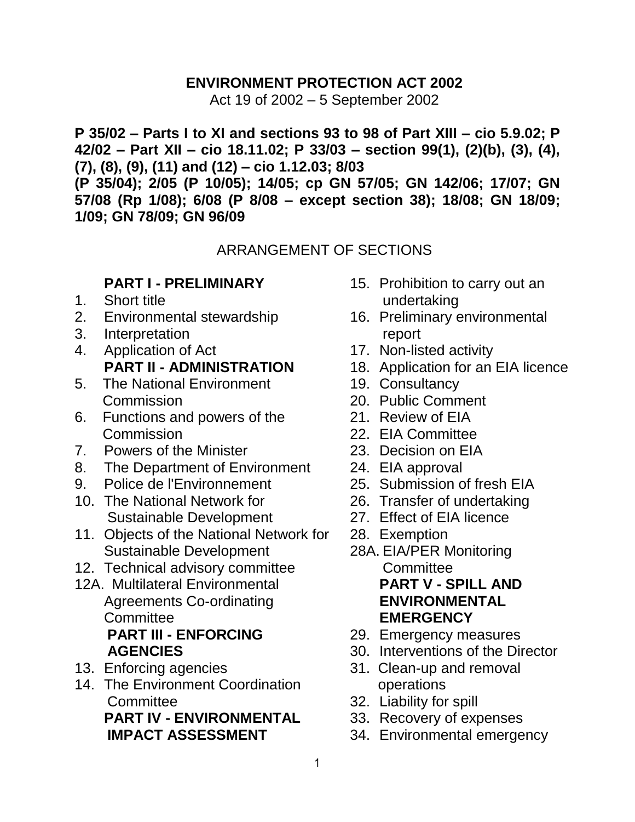### **ENVIRONMENT PROTECTION ACT 2002**

Act 19 of 2002 – 5 September 2002

**P 35/02 – Parts I to XI and sections 93 to 98 of Part XIII – cio 5.9.02; P 42/02 – Part XII – cio 18.11.02; P 33/03 – section 99(1), (2)(b), (3), (4), (7), (8), (9), (11) and (12) – cio 1.12.03; 8/03** 

**(P 35/04); 2/05 (P 10/05); 14/05; cp GN 57/05; GN 142/06; 17/07; GN 57/08 (Rp 1/08); 6/08 (P 8/08 – except section 38); 18/08; GN 18/09; 1/09; GN 78/09; GN 96/09**

### ARRANGEMENT OF SECTIONS

### **PART I - PRELIMINARY**

- 1. [Short title](#page-3-0)
- 2. [Environmental stewardship](#page-3-1)
- 3. [Interpretation](#page-3-2)
- 4. [Application of Act](#page-9-0) **PART II - ADMINISTRATION**
- 5. [The National Environment](#page-10-0)  **[Commission](#page-10-0)**
- 6. [Functions and powers of the](#page-10-1)  **[Commission](#page-10-1)**
- 7. [Powers of the Minister](#page-11-0)
- 8. [The Department of Environment](#page-12-0)
- 9. [Police de l'Environnement](#page-13-0)
- 10. [The National Network for](#page-13-1)  [Sustainable Development](#page-13-1)
- 11. [Objects of the National Network for](#page-14-0)  [Sustainable Development](#page-14-0)
- 12. [Technical advisory committee](#page-15-0)
- 12A. Multilateral Environmental Agreements Co-ordinating **Committee PART III - ENFORCING AGENCIES**
- 13. [Enforcing agencies](#page-18-0)
- 14. [The Environment Coordination](#page-19-0)  **[Committee](#page-19-0) PART IV - ENVIRONMENTAL IMPACT ASSESSMENT**
- 15. [Prohibition to carry out an](#page-21-0)  [undertaking](#page-21-0)
- 16. [Preliminary environmental](#page-22-0)  [report](#page-22-0)
- 17. [Non-listed activity](#page-26-0)
- 18. [Application for an EIA licence](#page-26-1)
- 19. [Consultancy](#page-28-0)
- 20. [Public Comment](#page-29-0)
- 21. [Review of EIA](#page-30-0)
- 22. [EIA Committee](#page-31-0)
- 23. [Decision on EIA](#page-32-0)
- 24. [EIA approval](#page-33-0)
- 25. [Submission of fresh EIA](#page-35-0)
- 26. [Transfer of undertaking](#page-36-0)
- 27. [Effect of EIA licence](#page-37-0)
- 28. [Exemption](#page-37-1)
- 28A. EIA/PER Monitoring **Committee PART V - SPILL AND ENVIRONMENTAL EMERGENCY**
- 29. [Emergency measures](#page-40-0)
- 30. [Interventions of the Director](#page-40-1)
- 31. [Clean-up and removal](#page-41-0)  [operations](#page-41-0)
- 32. [Liability for spill](#page-41-1)
- 33. [Recovery of expenses](#page-42-0)
- 34. [Environmental emergency](#page-42-1)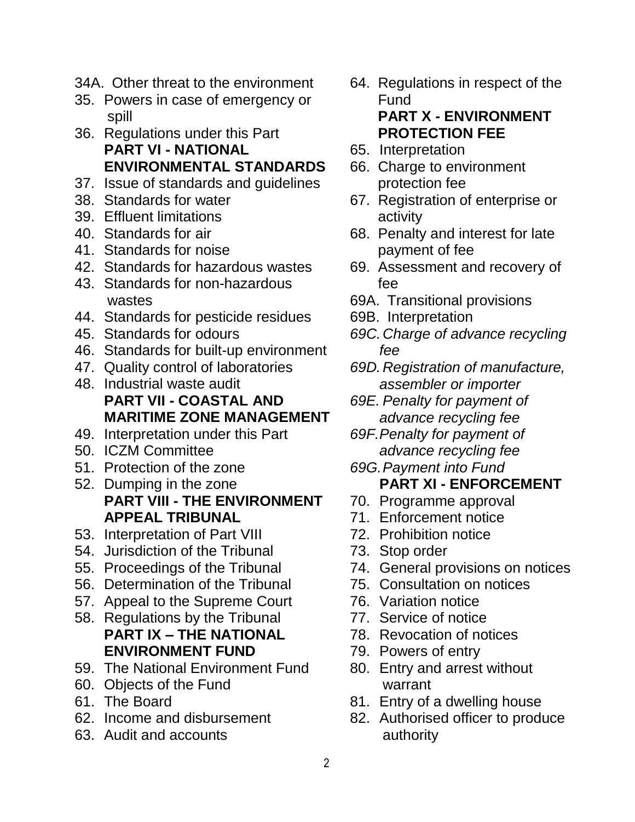- 34A. Other threat to the environment
- 35. [Powers in case of emergency or](#page-44-0)  [spill](#page-44-0)
- 36. [Regulations under this Part](#page-44-1) **PART VI - NATIONAL ENVIRONMENTAL STANDARDS**
- 37. [Issue of standards and guidelines](#page-45-0)
- 38. [Standards for water](#page-46-0)
- 39. [Effluent limitations](#page-46-1)
- 40. [Standards for air](#page-46-2)
- 41. [Standards for noise](#page-47-0)
- 42. [Standards for hazardous wastes](#page-47-1)
- 43. [Standards for non-hazardous](#page-48-0)  [wastes](#page-48-0)
- 44. [Standards for pesticide residues](#page-48-1)
- 45. [Standards for odours](#page-49-0)
- 46. [Standards for built-up environment](#page-49-1)
- 47. [Quality control of laboratories](#page-49-2)
- 48. [Industrial waste audit](#page-49-3) **PART VII - COASTAL AND MARITIME ZONE MANAGEMENT**
- 49. [Interpretation under this Part](#page-50-0)
- 50. [ICZM Committee](#page-50-1)
- 51. [Protection of the zone](#page-52-0)
- 52. [Dumping in the zone](#page-53-0) **PART VIII - THE ENVIRONMENT APPEAL TRIBUNAL**
- 53. [Interpretation](#page-54-0) of Part VIII
- 54. [Jurisdiction of the Tribunal](#page-54-1)
- 55. Proceedings of the Tribunal
- 56. Determination of the Tribunal
- 57. Appeal to the Supreme Court
- 58. Regulations by the Tribunal **PART IX – THE NATIONAL ENVIRONMENT FUND**
- 59. [The National Environment Fund](#page-55-0)
- 60. [Objects of the Fund](#page-55-1)
- 61. [The Board](#page-56-0)
- 62. [Income and disbursement](#page-56-1)
- 63. [Audit and accounts](#page-57-0)
- 64. [Regulations in respect of the](#page-57-1)  [Fund](#page-57-1) **PART X - ENVIRONMENT PROTECTION FEE**
- 65. [Interpretation](#page-58-0)
- 66. [Charge to environment](#page-58-1)  [protection fee](#page-58-1)
- 67. [Registration of enterprise or](#page-59-0)  [activity](#page-59-0)
- 68. Penalty and interest for late payment of fee
- 69. Assessment and recovery of fee
- 69A. Transitional provisions
- 69B. Interpretation
- *69C.Charge of advance recycling fee*
- *69D.Registration of manufacture, assembler or importer*
- *69E. Penalty for payment of advance recycling fee*
- *69F.Penalty for payment of advance recycling fee*

#### *69G.Payment into Fund* **PART XI - ENFORCEMENT**

- 70. [Programme approval](#page-63-0)
- 71. [Enforcement notice](#page-65-0)
- 72. [Prohibition notice](#page-66-0)
- 73. [Stop order](#page-67-0)
- 74. [General provisions on notices](#page-67-1)
- 75. [Consultation on notices](#page-68-0)
- 76. [Variation notice](#page-68-1)
- 77. [Service of notice](#page-68-2)
- 78. [Revocation of notices](#page-69-0)
- 79. [Powers of entry](#page-69-1)
- 80. [Entry and arrest without](#page-71-0)  [warrant](#page-71-0)
- 81. [Entry of a dwelling house](#page-72-0)
- 82. [Authorised officer to produce](#page-72-1)  [authority](#page-72-1)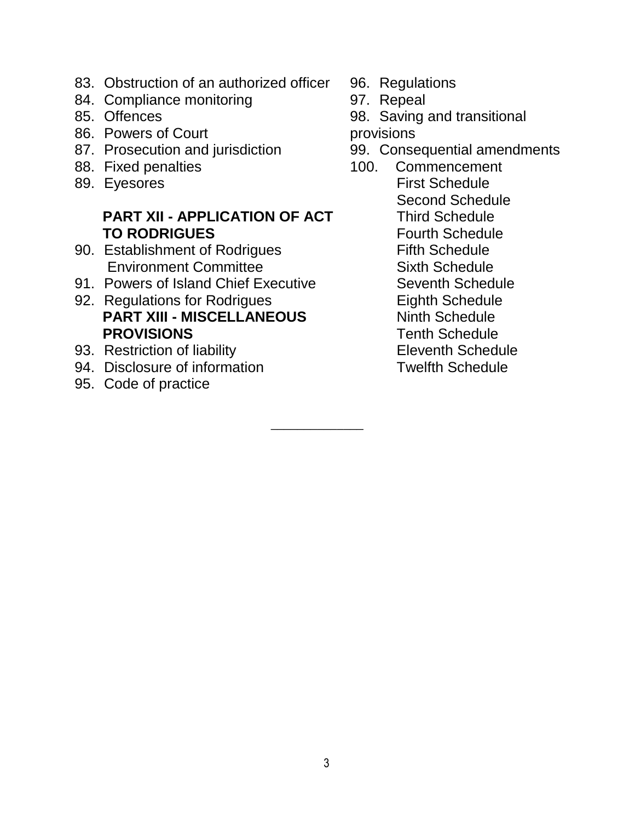- 83. [Obstruction of an authorized officer](#page-72-2)
- 84. [Compliance monitoring](#page-73-0)
- 85. [Offences](#page-73-1)
- 86. [Powers of Court](#page-75-0)
- 87. [Prosecution and jurisdiction](#page-75-1)
- 88. [Fixed penalties](#page-76-0)
- 89. [Eyesores](#page-77-0)

# **PART XII - APPLICATION OF ACT TO RODRIGUES**

- 90. [Establishment of Rodrigues](#page-79-0)  [Environment Committee](#page-79-0)
- 91. [Powers of Island Chief Executive](#page-80-0)
- 92. [Regulations for Rodrigues](#page-81-0) **PART XIII - MISCELLANEOUS PROVISIONS**
- 93. [Restriction of liability](#page-83-0)
- 94. [Disclosure of information](#page-83-1)
- 95. [Code of practice](#page-83-2)
- 96. [Regulations](#page-83-3)
- 97. [Repeal](#page-85-0)
- 98. [Saving and transitional](#page-85-1)

[provisions](#page-85-1)

- 99. [Consequential amendments](#page-86-0)
- 100. [Commencement](#page-93-0) [First Schedule](#page-102-0) [Second Schedule](#page-93-1) Third Schedule [Fourth Schedule](#page-97-0) [Fifth Schedule](#page-108-0) [Sixth Schedule](#page-107-0) [Seventh Schedule](#page-107-1) Eighth Schedule Ninth Schedule Tenth Schedule Eleventh Schedule Twelfth Schedule

 $\overline{\phantom{a}}$  , where  $\overline{\phantom{a}}$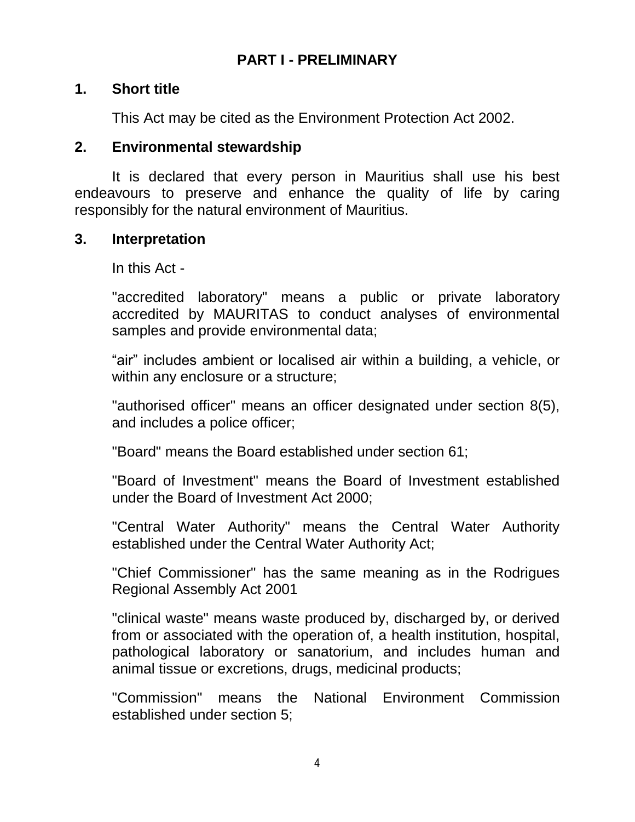## **PART I - PRELIMINARY**

#### <span id="page-3-0"></span>**1. Short title**

This Act may be cited as the Environment Protection Act 2002.

#### <span id="page-3-1"></span>**2. Environmental stewardship**

It is declared that every person in Mauritius shall use his best endeavours to preserve and enhance the quality of life by caring responsibly for the natural environment of Mauritius.

#### <span id="page-3-2"></span>**3. Interpretation**

In this Act -

"accredited laboratory" means a public or private laboratory accredited by MAURITAS to conduct analyses of environmental samples and provide environmental data;

"air" includes ambient or localised air within a building, a vehicle, or within any enclosure or a structure;

"authorised officer" means an officer designated under section 8(5), and includes a police officer;

"Board" means the Board established under section 61;

"Board of Investment" means the Board of Investment established under the Board of Investment Act 2000;

"Central Water Authority" means the Central Water Authority established under the Central Water Authority Act;

"Chief Commissioner" has the same meaning as in the Rodrigues Regional Assembly Act 2001

"clinical waste" means waste produced by, discharged by, or derived from or associated with the operation of, a health institution, hospital, pathological laboratory or sanatorium, and includes human and animal tissue or excretions, drugs, medicinal products;

"Commission" means the National Environment Commission established under section 5;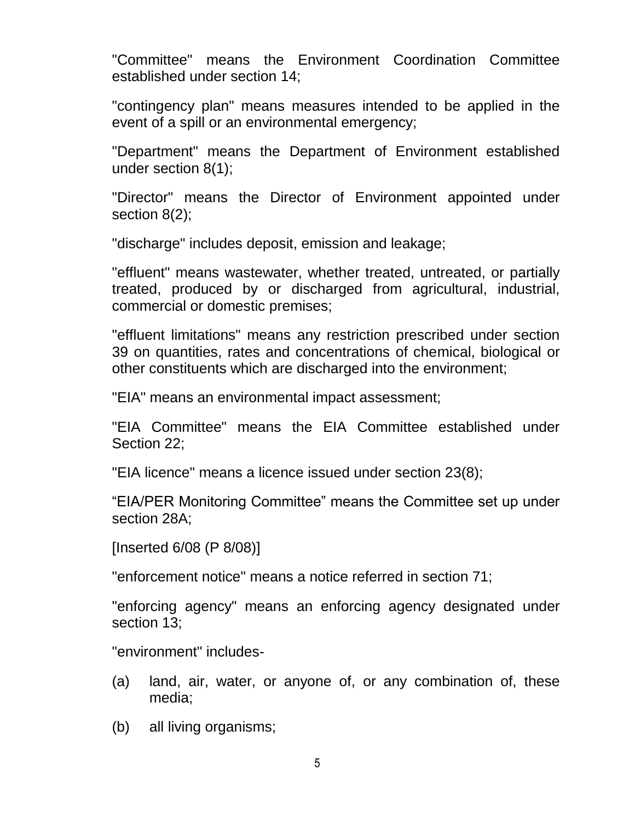"Committee" means the Environment Coordination Committee established under section 14;

"contingency plan" means measures intended to be applied in the event of a spill or an environmental emergency;

"Department" means the Department of Environment established under section 8(1);

"Director" means the Director of Environment appointed under section 8(2);

"discharge" includes deposit, emission and leakage;

"effluent" means wastewater, whether treated, untreated, or partially treated, produced by or discharged from agricultural, industrial, commercial or domestic premises;

"effluent limitations" means any restriction prescribed under section 39 on quantities, rates and concentrations of chemical, biological or other constituents which are discharged into the environment;

"EIA" means an environmental impact assessment;

"EIA Committee" means the EIA Committee established under Section 22;

"EIA licence" means a licence issued under section 23(8);

"EIA/PER Monitoring Committee" means the Committee set up under section 28A;

[Inserted 6/08 (P 8/08)]

"enforcement notice" means a notice referred in section 71;

"enforcing agency" means an enforcing agency designated under section 13;

"environment" includes-

- (a) land, air, water, or anyone of, or any combination of, these media;
- (b) all living organisms;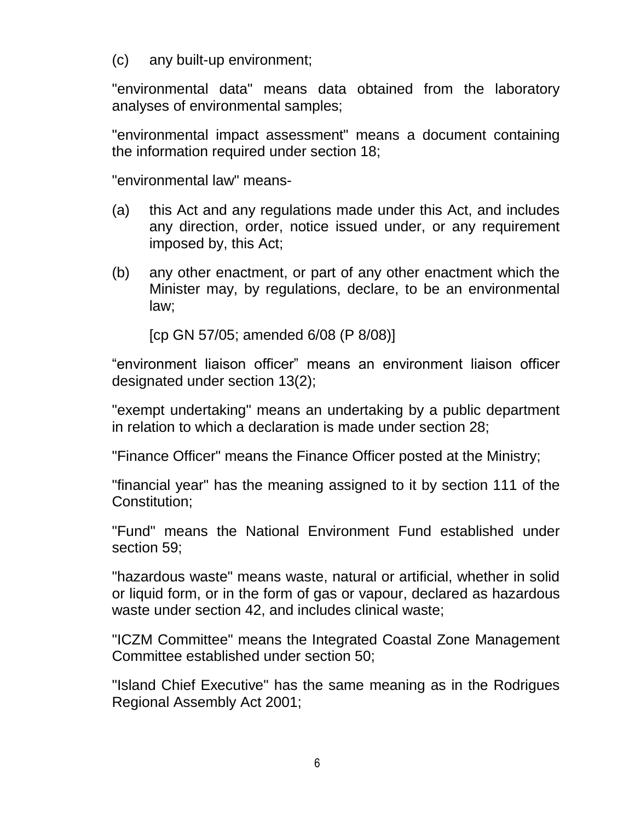(c) any built-up environment;

"environmental data" means data obtained from the laboratory analyses of environmental samples;

"environmental impact assessment" means a document containing the information required under section 18;

"environmental law" means-

- (a) this Act and any regulations made under this Act, and includes any direction, order, notice issued under, or any requirement imposed by, this Act;
- (b) any other enactment, or part of any other enactment which the Minister may, by regulations, declare, to be an environmental law;

[cp GN 57/05; amended 6/08 (P 8/08)]

"environment liaison officer" means an environment liaison officer designated under section 13(2);

"exempt undertaking" means an undertaking by a public department in relation to which a declaration is made under section 28;

"Finance Officer" means the Finance Officer posted at the Ministry;

"financial year" has the meaning assigned to it by section 111 of the Constitution;

"Fund" means the National Environment Fund established under section 59;

"hazardous waste" means waste, natural or artificial, whether in solid or liquid form, or in the form of gas or vapour, declared as hazardous waste under section 42, and includes clinical waste;

"ICZM Committee" means the Integrated Coastal Zone Management Committee established under section 50;

"Island Chief Executive" has the same meaning as in the Rodrigues Regional Assembly Act 2001;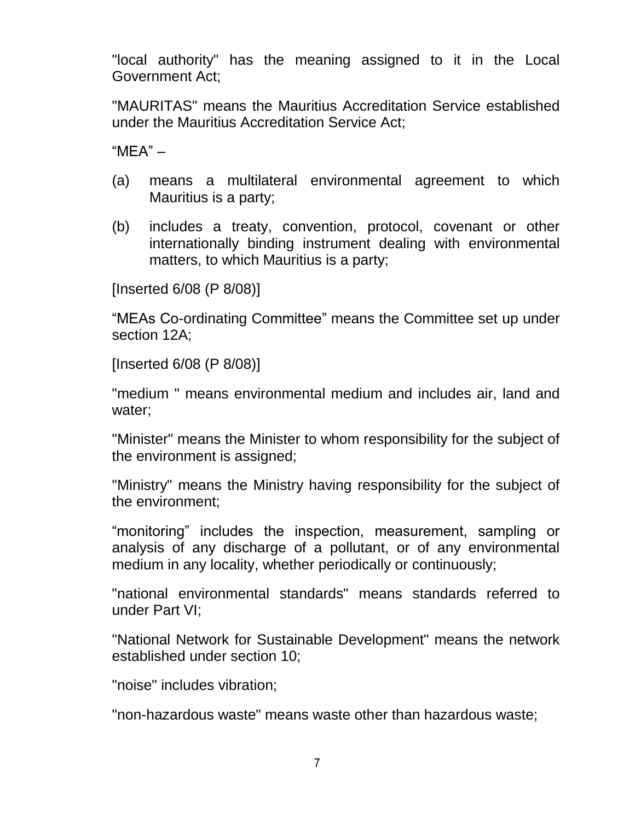"local authority" has the meaning assigned to it in the Local Government Act;

"MAURITAS" means the Mauritius Accreditation Service established under the Mauritius Accreditation Service Act;

 $"MFA" -$ 

- (a) means a multilateral environmental agreement to which Mauritius is a party;
- (b) includes a treaty, convention, protocol, covenant or other internationally binding instrument dealing with environmental matters, to which Mauritius is a party;

[Inserted 6/08 (P 8/08)]

"MEAs Co-ordinating Committee" means the Committee set up under section 12A;

[Inserted 6/08 (P 8/08)]

"medium " means environmental medium and includes air, land and water;

"Minister" means the Minister to whom responsibility for the subject of the environment is assigned;

"Ministry" means the Ministry having responsibility for the subject of the environment;

"monitoring" includes the inspection, measurement, sampling or analysis of any discharge of a pollutant, or of any environmental medium in any locality, whether periodically or continuously;

"national environmental standards" means standards referred to under Part VI;

"National Network for Sustainable Development" means the network established under section 10;

"noise" includes vibration;

"non-hazardous waste" means waste other than hazardous waste;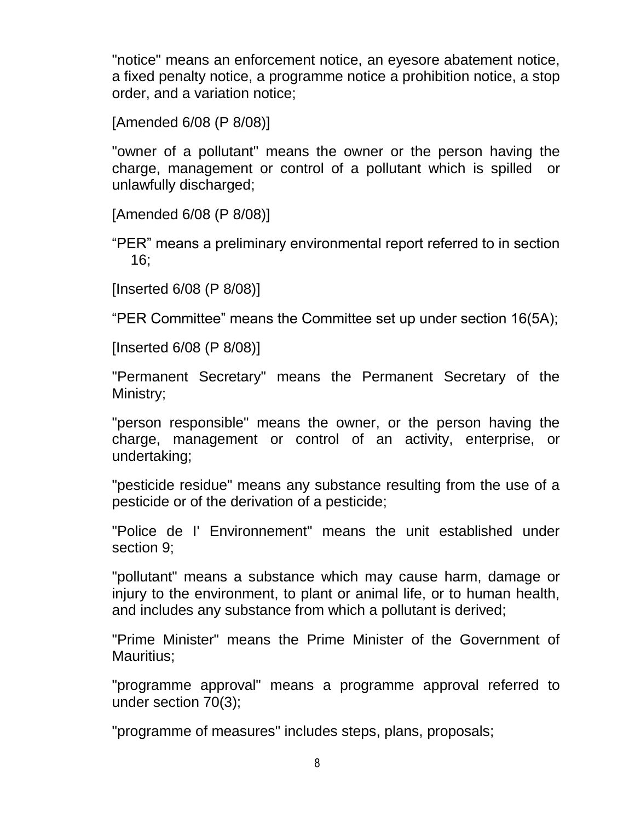"notice" means an enforcement notice, an eyesore abatement notice, a fixed penalty notice, a programme notice a prohibition notice, a stop order, and a variation notice;

[Amended 6/08 (P 8/08)]

"owner of a pollutant" means the owner or the person having the charge, management or control of a pollutant which is spilled or unlawfully discharged;

[Amended 6/08 (P 8/08)]

"PER" means a preliminary environmental report referred to in section 16;

[Inserted 6/08 (P 8/08)]

"PER Committee" means the Committee set up under section 16(5A);

[Inserted 6/08 (P 8/08)]

"Permanent Secretary" means the Permanent Secretary of the Ministry;

"person responsible" means the owner, or the person having the charge, management or control of an activity, enterprise, or undertaking;

"pesticide residue" means any substance resulting from the use of a pesticide or of the derivation of a pesticide;

"Police de I' Environnement" means the unit established under section 9;

"pollutant" means a substance which may cause harm, damage or injury to the environment, to plant or animal life, or to human health, and includes any substance from which a pollutant is derived;

"Prime Minister" means the Prime Minister of the Government of Mauritius;

"programme approval" means a programme approval referred to under section 70(3);

"programme of measures" includes steps, plans, proposals;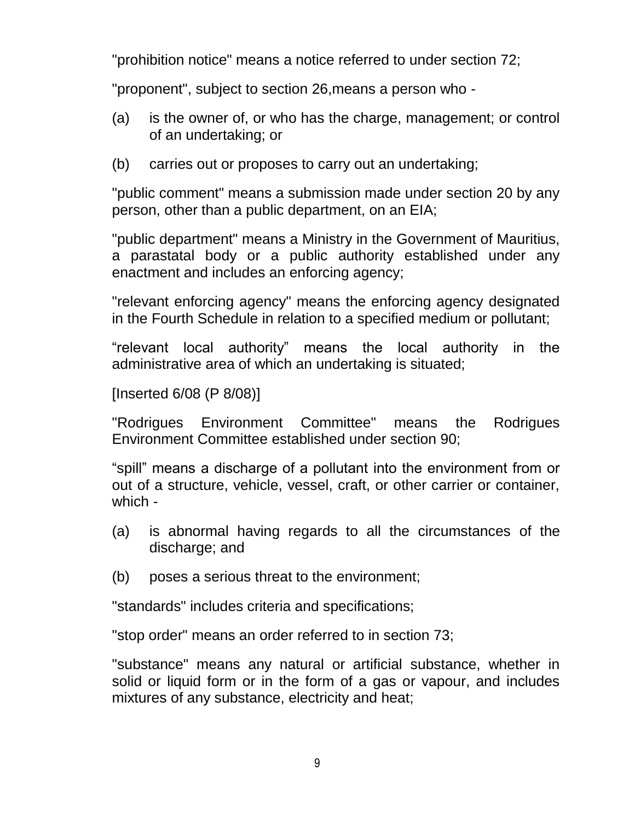"prohibition notice" means a notice referred to under section 72;

"proponent", subject to section 26,means a person who -

- (a) is the owner of, or who has the charge, management; or control of an undertaking; or
- (b) carries out or proposes to carry out an undertaking;

"public comment" means a submission made under section 20 by any person, other than a public department, on an EIA;

"public department" means a Ministry in the Government of Mauritius, a parastatal body or a public authority established under any enactment and includes an enforcing agency;

"relevant enforcing agency" means the enforcing agency designated in the Fourth Schedule in relation to a specified medium or pollutant;

"relevant local authority" means the local authority in the administrative area of which an undertaking is situated;

[Inserted 6/08 (P 8/08)]

"Rodrigues Environment Committee" means the Rodrigues Environment Committee established under section 90;

"spill" means a discharge of a pollutant into the environment from or out of a structure, vehicle, vessel, craft, or other carrier or container, which -

- (a) is abnormal having regards to all the circumstances of the discharge; and
- (b) poses a serious threat to the environment;

"standards" includes criteria and specifications;

"stop order" means an order referred to in section 73;

"substance" means any natural or artificial substance, whether in solid or liquid form or in the form of a gas or vapour, and includes mixtures of any substance, electricity and heat;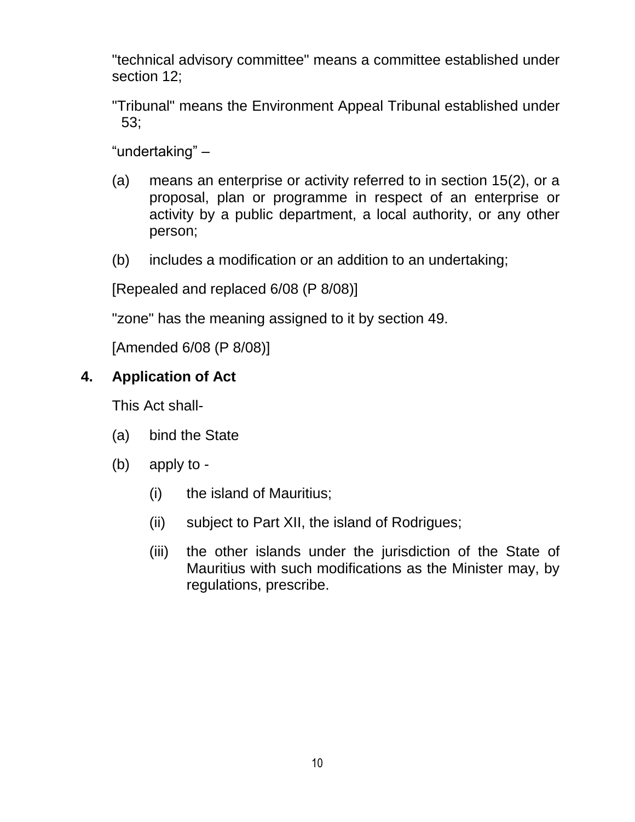"technical advisory committee" means a committee established under section 12;

"Tribunal" means the Environment Appeal Tribunal established under 53;

"undertaking" –

- (a) means an enterprise or activity referred to in section 15(2), or a proposal, plan or programme in respect of an enterprise or activity by a public department, a local authority, or any other person;
- (b) includes a modification or an addition to an undertaking;

[Repealed and replaced 6/08 (P 8/08)]

"zone" has the meaning assigned to it by section 49.

[Amended 6/08 (P 8/08)]

# <span id="page-9-0"></span>**4. Application of Act**

This Act shall-

- (a) bind the State
- (b) apply to
	- (i) the island of Mauritius;
	- (ii) subject to Part XII, the island of Rodrigues;
	- (iii) the other islands under the jurisdiction of the State of Mauritius with such modifications as the Minister may, by regulations, prescribe.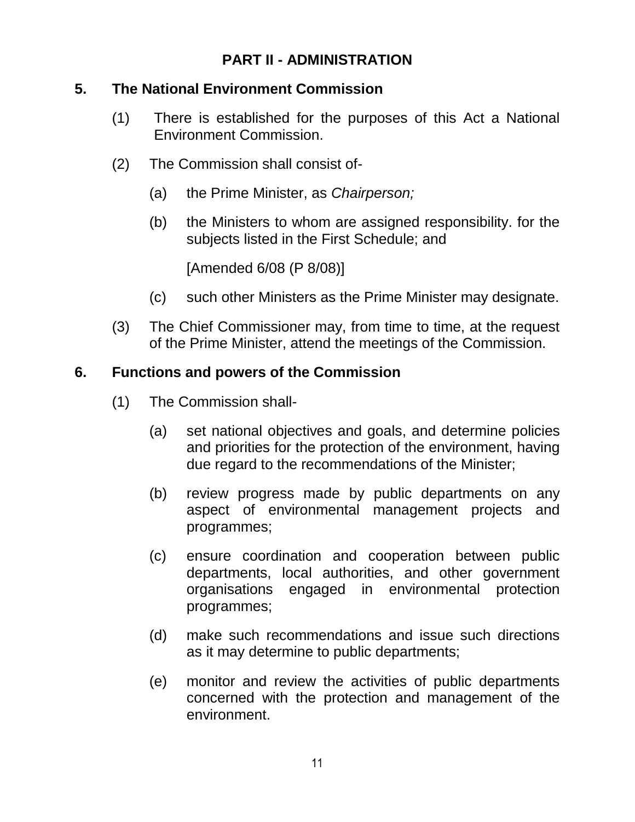# **PART II - ADMINISTRATION**

## <span id="page-10-0"></span>**5. The National Environment Commission**

- (1) There is established for the purposes of this Act a National Environment Commission.
- (2) The Commission shall consist of-
	- (a) the Prime Minister, as *Chairperson;*
	- (b) the Ministers to whom are assigned responsibility. for the subjects listed in the First Schedule; and

[Amended 6/08 (P 8/08)]

- (c) such other Ministers as the Prime Minister may designate.
- (3) The Chief Commissioner may, from time to time, at the request of the Prime Minister, attend the meetings of the Commission.

# <span id="page-10-1"></span>**6. Functions and powers of the Commission**

- (1) The Commission shall-
	- (a) set national objectives and goals, and determine policies and priorities for the protection of the environment, having due regard to the recommendations of the Minister;
	- (b) review progress made by public departments on any aspect of environmental management projects and programmes;
	- (c) ensure coordination and cooperation between public departments, local authorities, and other government organisations engaged in environmental protection programmes;
	- (d) make such recommendations and issue such directions as it may determine to public departments;
	- (e) monitor and review the activities of public departments concerned with the protection and management of the environment.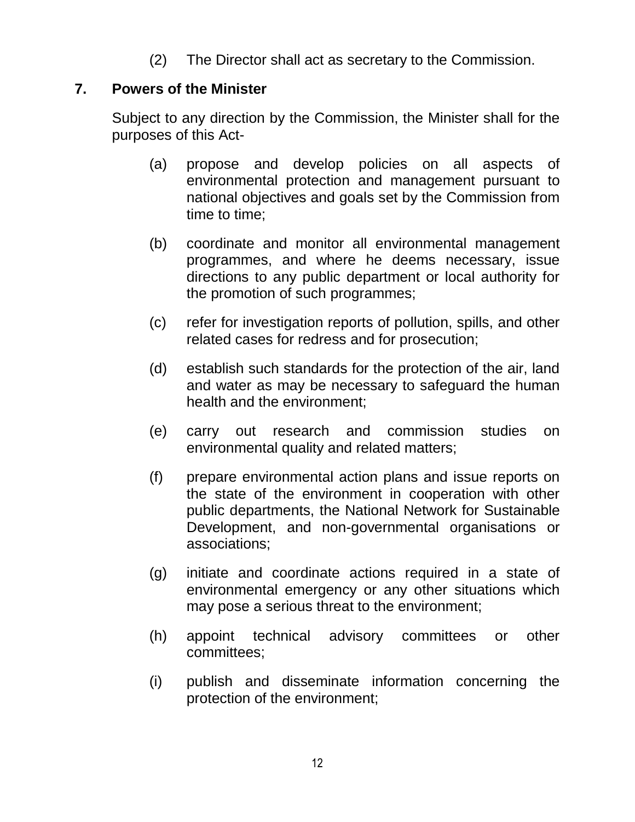(2) The Director shall act as secretary to the Commission.

### <span id="page-11-0"></span>**7. Powers of the Minister**

Subject to any direction by the Commission, the Minister shall for the purposes of this Act-

- (a) propose and develop policies on all aspects of environmental protection and management pursuant to national objectives and goals set by the Commission from time to time;
- (b) coordinate and monitor all environmental management programmes, and where he deems necessary, issue directions to any public department or local authority for the promotion of such programmes;
- (c) refer for investigation reports of pollution, spills, and other related cases for redress and for prosecution;
- (d) establish such standards for the protection of the air, land and water as may be necessary to safeguard the human health and the environment;
- (e) carry out research and commission studies on environmental quality and related matters;
- (f) prepare environmental action plans and issue reports on the state of the environment in cooperation with other public departments, the National Network for Sustainable Development, and non-governmental organisations or associations;
- (g) initiate and coordinate actions required in a state of environmental emergency or any other situations which may pose a serious threat to the environment;
- (h) appoint technical advisory committees or other committees;
- (i) publish and disseminate information concerning the protection of the environment;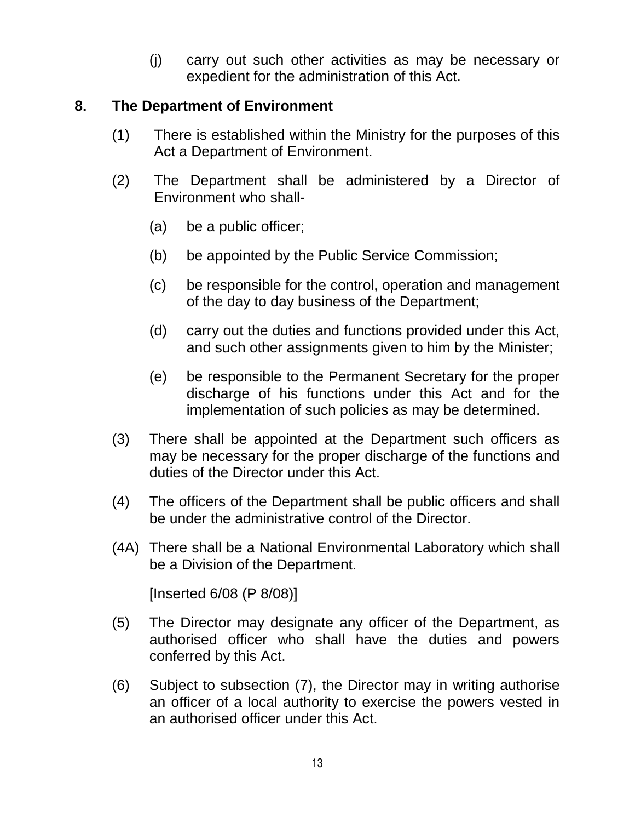(j) carry out such other activities as may be necessary or expedient for the administration of this Act.

#### <span id="page-12-0"></span>**8. The Department of Environment**

- (1) There is established within the Ministry for the purposes of this Act a Department of Environment.
- (2) The Department shall be administered by a Director of Environment who shall-
	- (a) be a public officer;
	- (b) be appointed by the Public Service Commission;
	- (c) be responsible for the control, operation and management of the day to day business of the Department;
	- (d) carry out the duties and functions provided under this Act, and such other assignments given to him by the Minister;
	- (e) be responsible to the Permanent Secretary for the proper discharge of his functions under this Act and for the implementation of such policies as may be determined.
- (3) There shall be appointed at the Department such officers as may be necessary for the proper discharge of the functions and duties of the Director under this Act.
- (4) The officers of the Department shall be public officers and shall be under the administrative control of the Director.
- (4A) There shall be a National Environmental Laboratory which shall be a Division of the Department.

[Inserted 6/08 (P 8/08)]

- (5) The Director may designate any officer of the Department, as authorised officer who shall have the duties and powers conferred by this Act.
- (6) Subject to subsection (7), the Director may in writing authorise an officer of a local authority to exercise the powers vested in an authorised officer under this Act.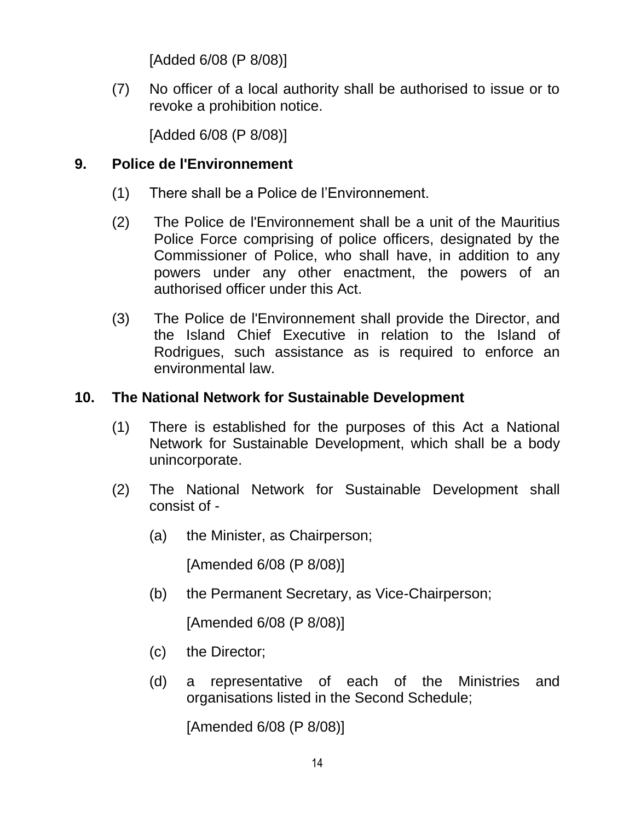[Added 6/08 (P 8/08)]

(7) No officer of a local authority shall be authorised to issue or to revoke a prohibition notice.

[Added 6/08 (P 8/08)]

# <span id="page-13-0"></span>**9. Police de l'Environnement**

- (1) There shall be a Police de l"Environnement.
- (2) The Police de l'Environnement shall be a unit of the Mauritius Police Force comprising of police officers, designated by the Commissioner of Police, who shall have, in addition to any powers under any other enactment, the powers of an authorised officer under this Act.
- (3) The Police de l'Environnement shall provide the Director, and the Island Chief Executive in relation to the Island of Rodrigues, such assistance as is required to enforce an environmental law.

# <span id="page-13-1"></span>**10. The National Network for Sustainable Development**

- (1) There is established for the purposes of this Act a National Network for Sustainable Development, which shall be a body unincorporate.
- (2) The National Network for Sustainable Development shall consist of -
	- (a) the Minister, as Chairperson;

[Amended 6/08 (P 8/08)]

(b) the Permanent Secretary, as Vice-Chairperson;

[Amended 6/08 (P 8/08)]

- (c) the Director;
- (d) a representative of each of the Ministries and organisations listed in the Second Schedule;

[Amended 6/08 (P 8/08)]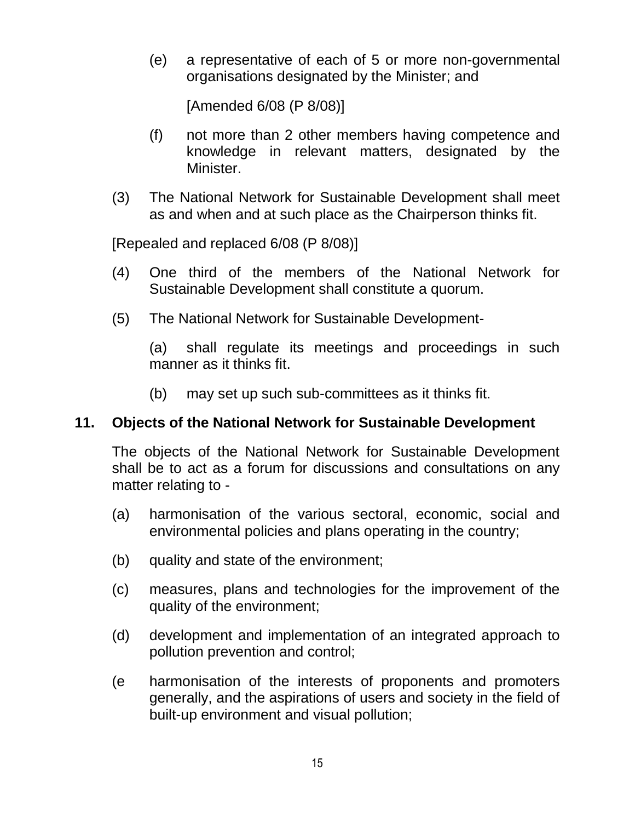(e) a representative of each of 5 or more non-governmental organisations designated by the Minister; and

[Amended 6/08 (P 8/08)]

- (f) not more than 2 other members having competence and knowledge in relevant matters, designated by the Minister.
- (3) The National Network for Sustainable Development shall meet as and when and at such place as the Chairperson thinks fit.

[Repealed and replaced 6/08 (P 8/08)]

- (4) One third of the members of the National Network for Sustainable Development shall constitute a quorum.
- (5) The National Network for Sustainable Development-

(a) shall regulate its meetings and proceedings in such manner as it thinks fit.

(b) may set up such sub-committees as it thinks fit.

### <span id="page-14-0"></span>**11. Objects of the National Network for Sustainable Development**

The objects of the National Network for Sustainable Development shall be to act as a forum for discussions and consultations on any matter relating to -

- (a) harmonisation of the various sectoral, economic, social and environmental policies and plans operating in the country;
- (b) quality and state of the environment;
- (c) measures, plans and technologies for the improvement of the quality of the environment;
- (d) development and implementation of an integrated approach to pollution prevention and control;
- (e harmonisation of the interests of proponents and promoters generally, and the aspirations of users and society in the field of built-up environment and visual pollution;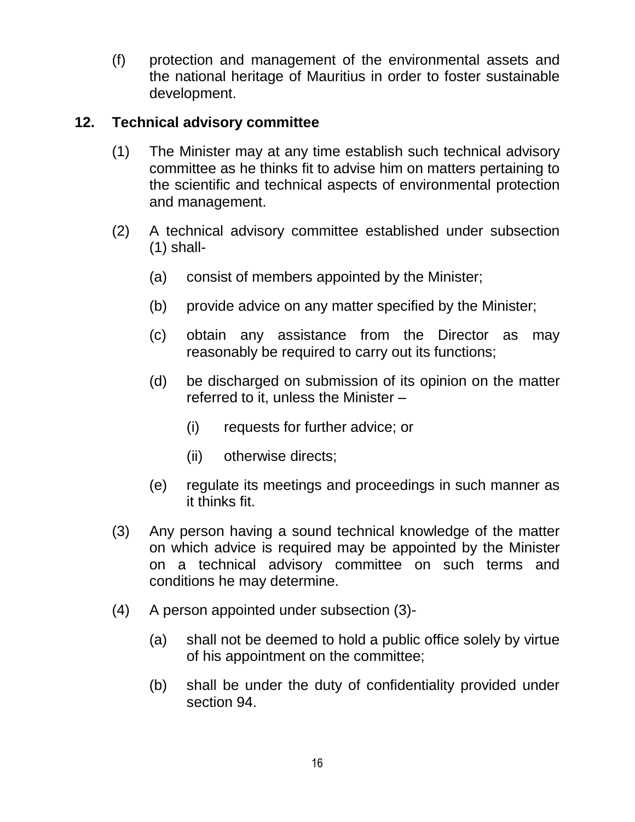(f) protection and management of the environmental assets and the national heritage of Mauritius in order to foster sustainable development.

## <span id="page-15-0"></span>**12. Technical advisory committee**

- (1) The Minister may at any time establish such technical advisory committee as he thinks fit to advise him on matters pertaining to the scientific and technical aspects of environmental protection and management.
- (2) A technical advisory committee established under subsection  $(1)$  shall-
	- (a) consist of members appointed by the Minister;
	- (b) provide advice on any matter specified by the Minister;
	- (c) obtain any assistance from the Director as may reasonably be required to carry out its functions;
	- (d) be discharged on submission of its opinion on the matter referred to it, unless the Minister –
		- (i) requests for further advice; or
		- (ii) otherwise directs;
	- (e) regulate its meetings and proceedings in such manner as it thinks fit.
- (3) Any person having a sound technical knowledge of the matter on which advice is required may be appointed by the Minister on a technical advisory committee on such terms and conditions he may determine.
- (4) A person appointed under subsection (3)-
	- (a) shall not be deemed to hold a public office solely by virtue of his appointment on the committee;
	- (b) shall be under the duty of confidentiality provided under section 94.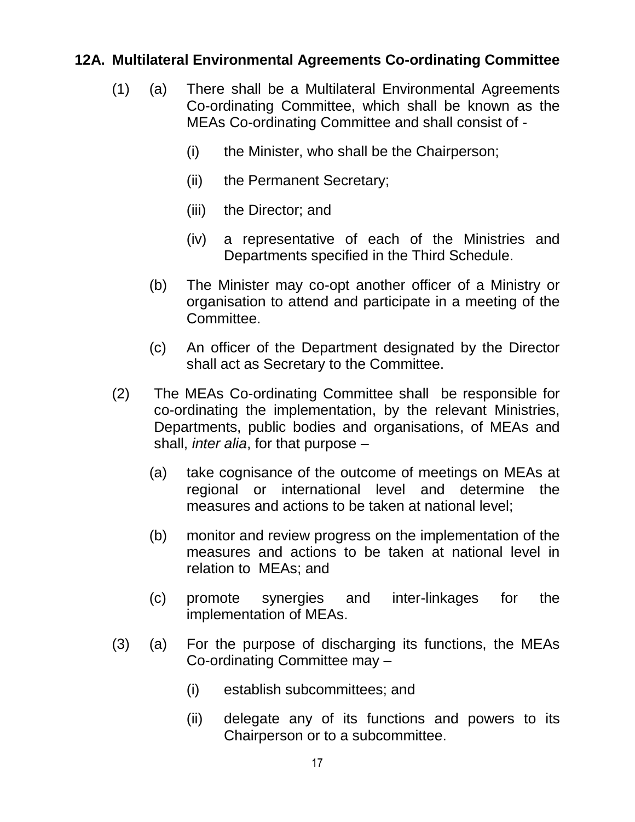## **12A. Multilateral Environmental Agreements Co-ordinating Committee**

- (1) (a) There shall be a Multilateral Environmental Agreements Co-ordinating Committee, which shall be known as the MEAs Co-ordinating Committee and shall consist of -
	- (i) the Minister, who shall be the Chairperson;
	- (ii) the Permanent Secretary;
	- (iii) the Director; and
	- (iv) a representative of each of the Ministries and Departments specified in the Third Schedule.
	- (b) The Minister may co-opt another officer of a Ministry or organisation to attend and participate in a meeting of the Committee.
	- (c) An officer of the Department designated by the Director shall act as Secretary to the Committee.
- (2) The MEAs Co-ordinating Committee shall be responsible for co-ordinating the implementation, by the relevant Ministries, Departments, public bodies and organisations, of MEAs and shall, *inter alia*, for that purpose –
	- (a) take cognisance of the outcome of meetings on MEAs at regional or international level and determine the measures and actions to be taken at national level;
	- (b) monitor and review progress on the implementation of the measures and actions to be taken at national level in relation to MEAs; and
	- (c) promote synergies and inter-linkages for the implementation of MEAs.
- (3) (a) For the purpose of discharging its functions, the MEAs Co-ordinating Committee may –
	- (i) establish subcommittees; and
	- (ii) delegate any of its functions and powers to its Chairperson or to a subcommittee.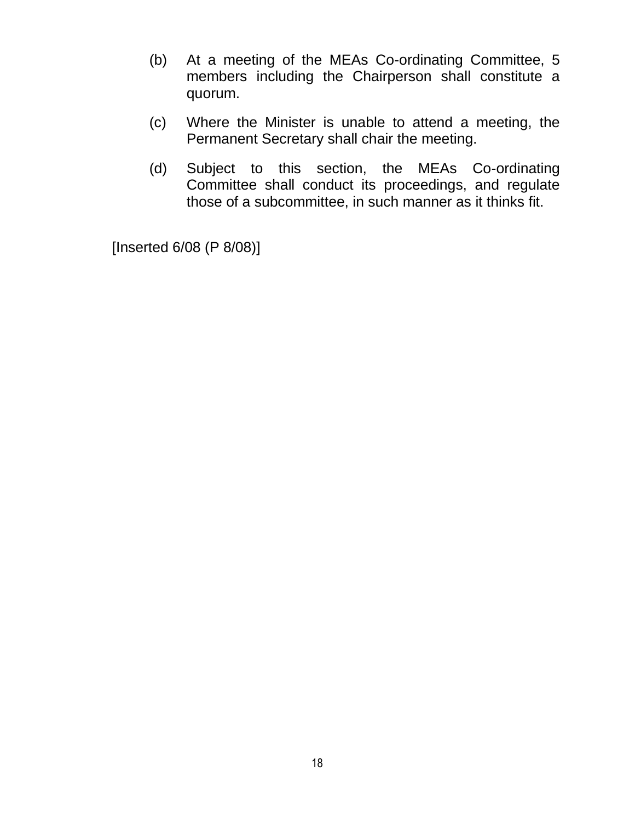- (b) At a meeting of the MEAs Co-ordinating Committee, 5 members including the Chairperson shall constitute a quorum.
- (c) Where the Minister is unable to attend a meeting, the Permanent Secretary shall chair the meeting.
- (d) Subject to this section, the MEAs Co-ordinating Committee shall conduct its proceedings, and regulate those of a subcommittee, in such manner as it thinks fit.

[Inserted 6/08 (P 8/08)]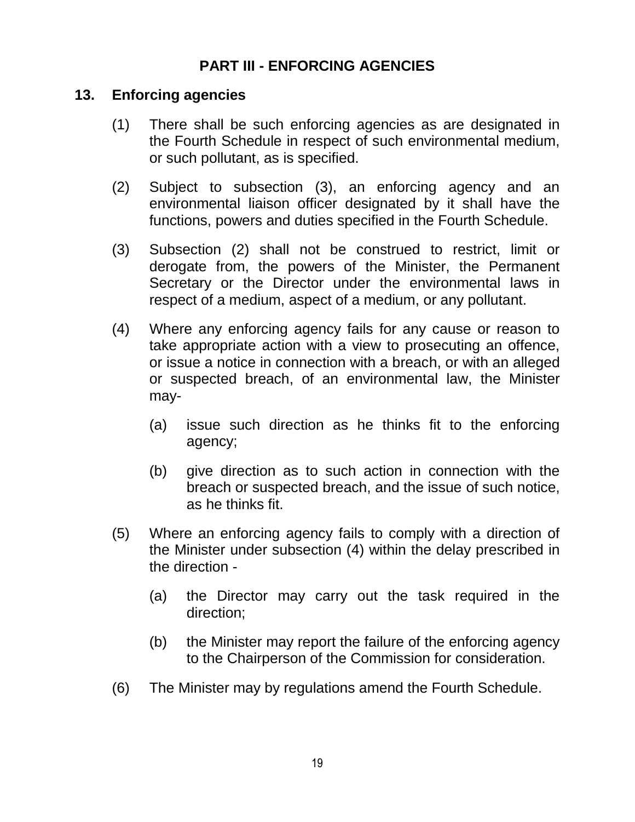## **PART III - ENFORCING AGENCIES**

#### <span id="page-18-0"></span>**13. Enforcing agencies**

- (1) There shall be such enforcing agencies as are designated in the Fourth Schedule in respect of such environmental medium, or such pollutant, as is specified.
- (2) Subject to subsection (3), an enforcing agency and an environmental liaison officer designated by it shall have the functions, powers and duties specified in the Fourth Schedule.
- (3) Subsection (2) shall not be construed to restrict, limit or derogate from, the powers of the Minister, the Permanent Secretary or the Director under the environmental laws in respect of a medium, aspect of a medium, or any pollutant.
- (4) Where any enforcing agency fails for any cause or reason to take appropriate action with a view to prosecuting an offence, or issue a notice in connection with a breach, or with an alleged or suspected breach, of an environmental law, the Minister may-
	- (a) issue such direction as he thinks fit to the enforcing agency;
	- (b) give direction as to such action in connection with the breach or suspected breach, and the issue of such notice, as he thinks fit.
- (5) Where an enforcing agency fails to comply with a direction of the Minister under subsection (4) within the delay prescribed in the direction -
	- (a) the Director may carry out the task required in the direction;
	- (b) the Minister may report the failure of the enforcing agency to the Chairperson of the Commission for consideration.
- (6) The Minister may by regulations amend the Fourth Schedule.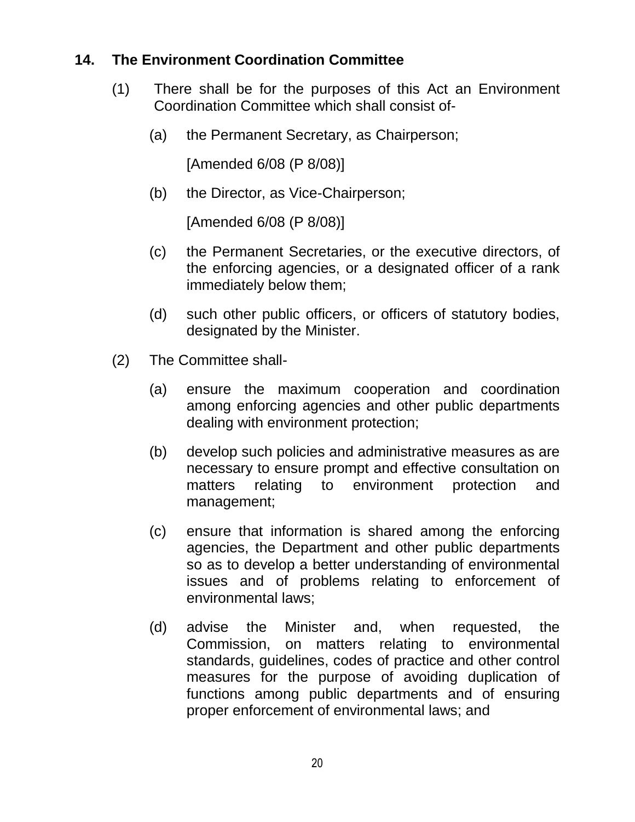## <span id="page-19-0"></span>**14. The Environment Coordination Committee**

- (1) There shall be for the purposes of this Act an Environment Coordination Committee which shall consist of-
	- (a) the Permanent Secretary, as Chairperson;

[Amended 6/08 (P 8/08)]

(b) the Director, as Vice-Chairperson;

[Amended 6/08 (P 8/08)]

- (c) the Permanent Secretaries, or the executive directors, of the enforcing agencies, or a designated officer of a rank immediately below them;
- (d) such other public officers, or officers of statutory bodies, designated by the Minister.
- (2) The Committee shall-
	- (a) ensure the maximum cooperation and coordination among enforcing agencies and other public departments dealing with environment protection;
	- (b) develop such policies and administrative measures as are necessary to ensure prompt and effective consultation on matters relating to environment protection and management;
	- (c) ensure that information is shared among the enforcing agencies, the Department and other public departments so as to develop a better understanding of environmental issues and of problems relating to enforcement of environmental laws;
	- (d) advise the Minister and, when requested, the Commission, on matters relating to environmental standards, guidelines, codes of practice and other control measures for the purpose of avoiding duplication of functions among public departments and of ensuring proper enforcement of environmental laws; and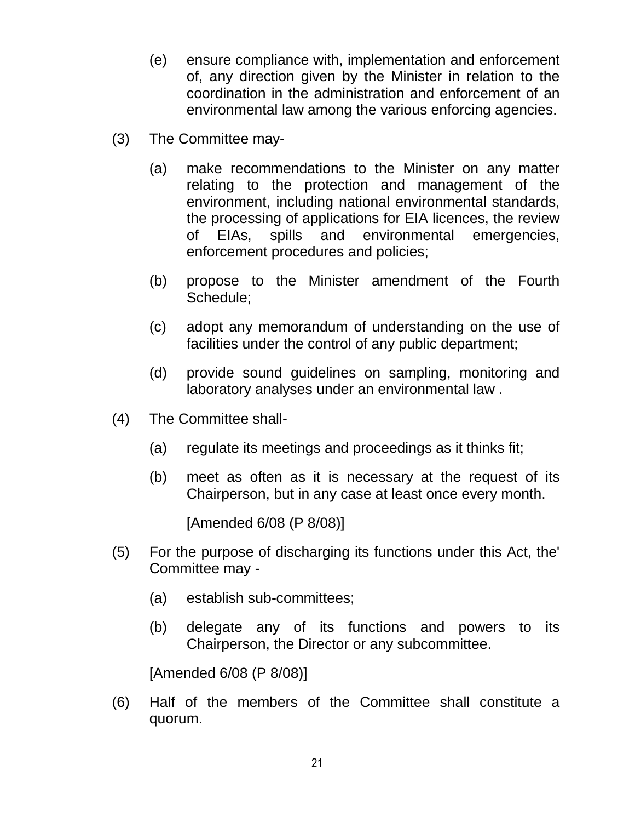- (e) ensure compliance with, implementation and enforcement of, any direction given by the Minister in relation to the coordination in the administration and enforcement of an environmental law among the various enforcing agencies.
- (3) The Committee may-
	- (a) make recommendations to the Minister on any matter relating to the protection and management of the environment, including national environmental standards, the processing of applications for EIA licences, the review of EIAs, spills and environmental emergencies, enforcement procedures and policies;
	- (b) propose to the Minister amendment of the Fourth Schedule;
	- (c) adopt any memorandum of understanding on the use of facilities under the control of any public department;
	- (d) provide sound guidelines on sampling, monitoring and laboratory analyses under an environmental law .
- (4) The Committee shall-
	- (a) regulate its meetings and proceedings as it thinks fit;
	- (b) meet as often as it is necessary at the request of its Chairperson, but in any case at least once every month.

[Amended 6/08 (P 8/08)]

- (5) For the purpose of discharging its functions under this Act, the' Committee may -
	- (a) establish sub-committees;
	- (b) delegate any of its functions and powers to its Chairperson, the Director or any subcommittee.

[Amended 6/08 (P 8/08)]

(6) Half of the members of the Committee shall constitute a quorum.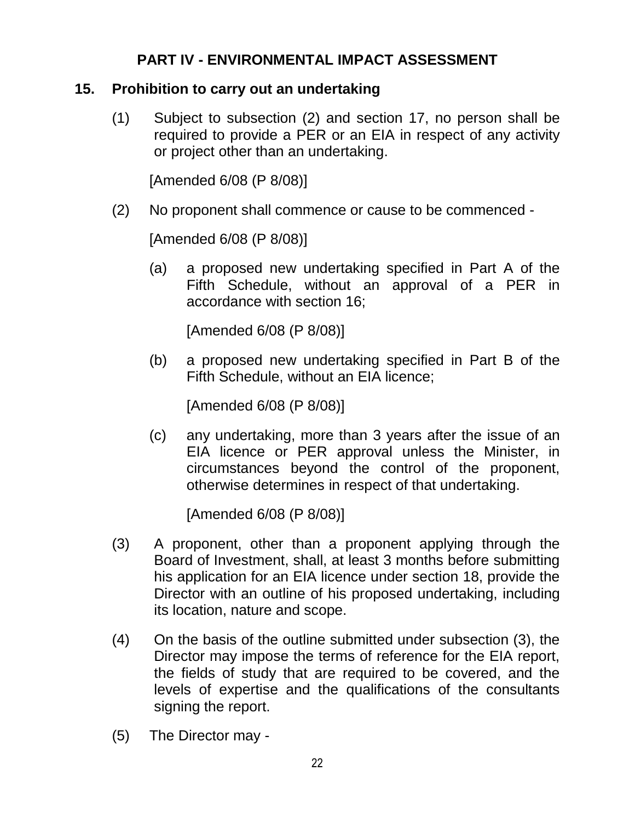# **PART IV - ENVIRONMENTAL IMPACT ASSESSMENT**

## <span id="page-21-0"></span>**15. Prohibition to carry out an undertaking**

(1) Subject to subsection (2) and section 17, no person shall be required to provide a PER or an EIA in respect of any activity or project other than an undertaking.

[Amended 6/08 (P 8/08)]

(2) No proponent shall commence or cause to be commenced -

[Amended 6/08 (P 8/08)]

(a) a proposed new undertaking specified in Part A of the Fifth Schedule, without an approval of a PER in accordance with section 16;

[Amended 6/08 (P 8/08)]

(b) a proposed new undertaking specified in Part B of the Fifth Schedule, without an EIA licence;

[Amended 6/08 (P 8/08)]

(c) any undertaking, more than 3 years after the issue of an EIA licence or PER approval unless the Minister, in circumstances beyond the control of the proponent, otherwise determines in respect of that undertaking.

[Amended 6/08 (P 8/08)]

- (3) A proponent, other than a proponent applying through the Board of Investment, shall, at least 3 months before submitting his application for an EIA licence under section 18, provide the Director with an outline of his proposed undertaking, including its location, nature and scope.
- (4) On the basis of the outline submitted under subsection (3), the Director may impose the terms of reference for the EIA report, the fields of study that are required to be covered, and the levels of expertise and the qualifications of the consultants signing the report.
- (5) The Director may -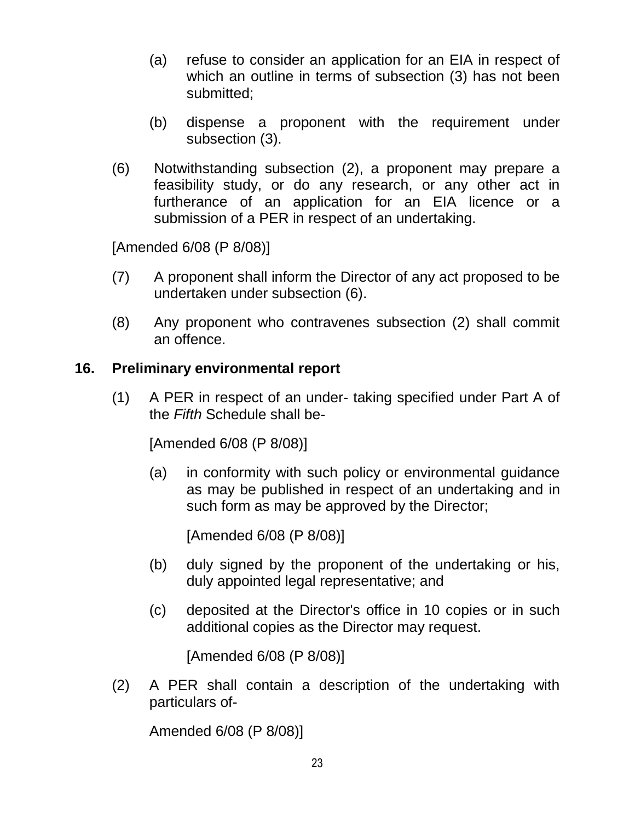- (a) refuse to consider an application for an EIA in respect of which an outline in terms of subsection (3) has not been submitted;
- (b) dispense a proponent with the requirement under subsection (3).
- (6) Notwithstanding subsection (2), a proponent may prepare a feasibility study, or do any research, or any other act in furtherance of an application for an EIA licence or a submission of a PER in respect of an undertaking.

[Amended 6/08 (P 8/08)]

- (7) A proponent shall inform the Director of any act proposed to be undertaken under subsection (6).
- (8) Any proponent who contravenes subsection (2) shall commit an offence.

### <span id="page-22-0"></span>**16. Preliminary environmental report**

(1) A PER in respect of an under- taking specified under Part A of the *Fifth* Schedule shall be-

[Amended 6/08 (P 8/08)]

(a) in conformity with such policy or environmental guidance as may be published in respect of an undertaking and in such form as may be approved by the Director;

[Amended 6/08 (P 8/08)]

- (b) duly signed by the proponent of the undertaking or his, duly appointed legal representative; and
- (c) deposited at the Director's office in 10 copies or in such additional copies as the Director may request.

[Amended 6/08 (P 8/08)]

(2) A PER shall contain a description of the undertaking with particulars of-

Amended 6/08 (P 8/08)]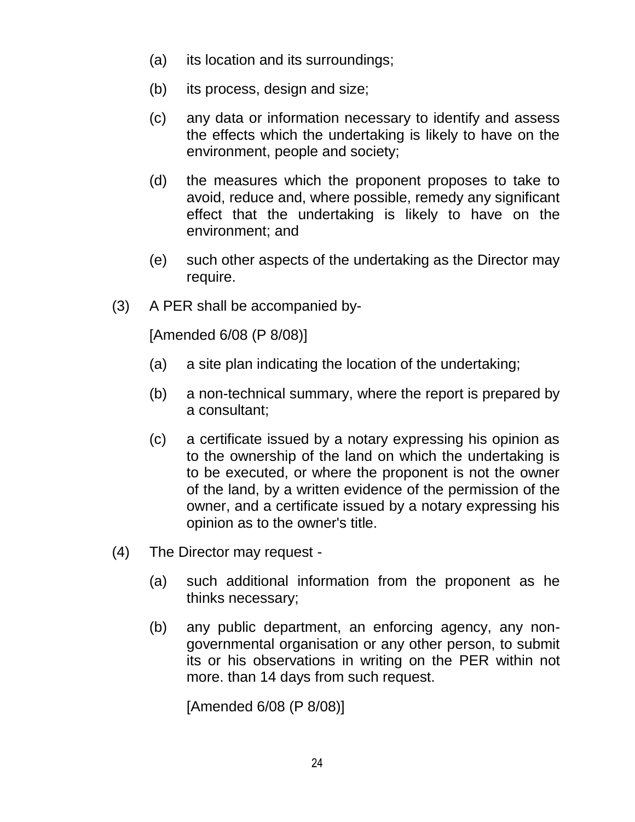- (a) its location and its surroundings;
- (b) its process, design and size;
- (c) any data or information necessary to identify and assess the effects which the undertaking is likely to have on the environment, people and society;
- (d) the measures which the proponent proposes to take to avoid, reduce and, where possible, remedy any significant effect that the undertaking is likely to have on the environment; and
- (e) such other aspects of the undertaking as the Director may require.
- (3) A PER shall be accompanied by-

[Amended 6/08 (P 8/08)]

- (a) a site plan indicating the location of the undertaking;
- (b) a non-technical summary, where the report is prepared by a consultant;
- (c) a certificate issued by a notary expressing his opinion as to the ownership of the land on which the undertaking is to be executed, or where the proponent is not the owner of the land, by a written evidence of the permission of the owner, and a certificate issued by a notary expressing his opinion as to the owner's title.
- (4) The Director may request
	- (a) such additional information from the proponent as he thinks necessary;
	- (b) any public department, an enforcing agency, any nongovernmental organisation or any other person, to submit its or his observations in writing on the PER within not more. than 14 days from such request.

[Amended 6/08 (P 8/08)]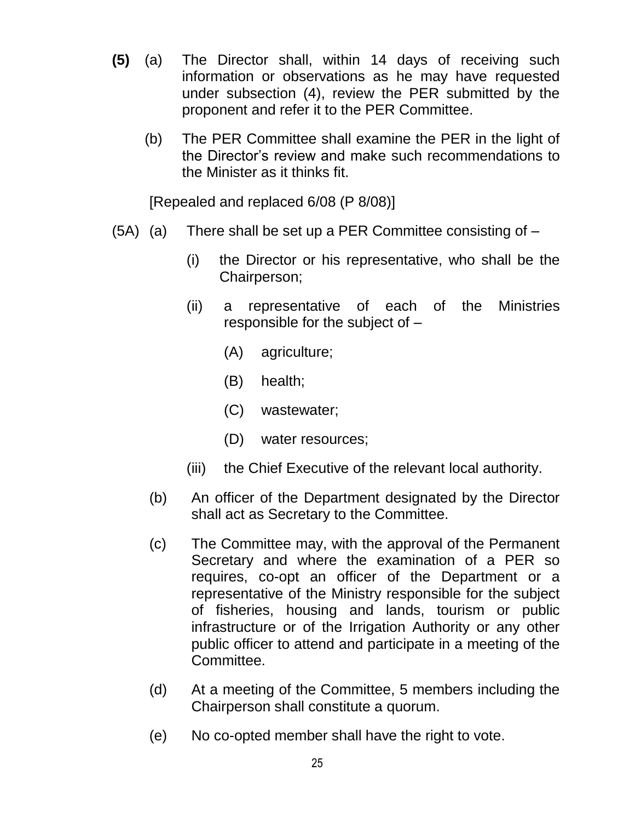- **(5)** (a) The Director shall, within 14 days of receiving such information or observations as he may have requested under subsection (4), review the PER submitted by the proponent and refer it to the PER Committee.
	- (b) The PER Committee shall examine the PER in the light of the Director"s review and make such recommendations to the Minister as it thinks fit.

[Repealed and replaced 6/08 (P 8/08)]

- $(5A)$  (a) There shall be set up a PER Committee consisting of  $-$ 
	- (i) the Director or his representative, who shall be the Chairperson;
	- (ii) a representative of each of the Ministries responsible for the subject of –
		- (A) agriculture;
		- (B) health;
		- (C) wastewater;
		- (D) water resources;
	- (iii) the Chief Executive of the relevant local authority.
	- (b) An officer of the Department designated by the Director shall act as Secretary to the Committee.
	- (c) The Committee may, with the approval of the Permanent Secretary and where the examination of a PER so requires, co-opt an officer of the Department or a representative of the Ministry responsible for the subject of fisheries, housing and lands, tourism or public infrastructure or of the Irrigation Authority or any other public officer to attend and participate in a meeting of the Committee.
	- (d) At a meeting of the Committee, 5 members including the Chairperson shall constitute a quorum.
	- (e) No co-opted member shall have the right to vote.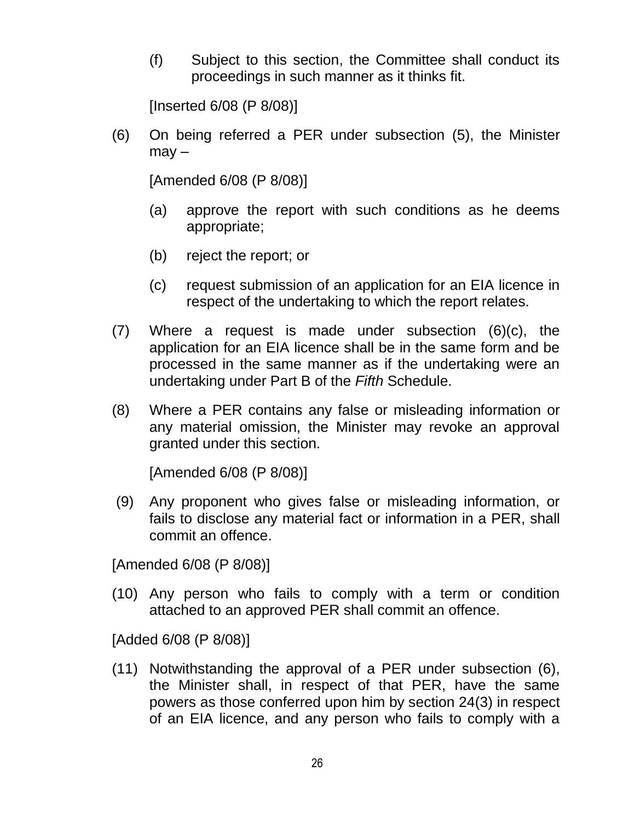(f) Subject to this section, the Committee shall conduct its proceedings in such manner as it thinks fit.

[Inserted 6/08 (P 8/08)]

(6) On being referred a PER under subsection (5), the Minister  $may -$ 

[Amended 6/08 (P 8/08)]

- (a) approve the report with such conditions as he deems appropriate;
- (b) reject the report; or
- (c) request submission of an application for an EIA licence in respect of the undertaking to which the report relates.
- (7) Where a request is made under subsection (6)(c), the application for an EIA licence shall be in the same form and be processed in the same manner as if the undertaking were an undertaking under Part B of the *Fifth* Schedule.
- (8) Where a PER contains any false or misleading information or any material omission, the Minister may revoke an approval granted under this section.

[Amended 6/08 (P 8/08)]

(9) Any proponent who gives false or misleading information, or fails to disclose any material fact or information in a PER, shall commit an offence.

[Amended 6/08 (P 8/08)]

(10) Any person who fails to comply with a term or condition attached to an approved PER shall commit an offence.

[Added 6/08 (P 8/08)]

(11) Notwithstanding the approval of a PER under subsection (6), the Minister shall, in respect of that PER, have the same powers as those conferred upon him by section 24(3) in respect of an EIA licence, and any person who fails to comply with a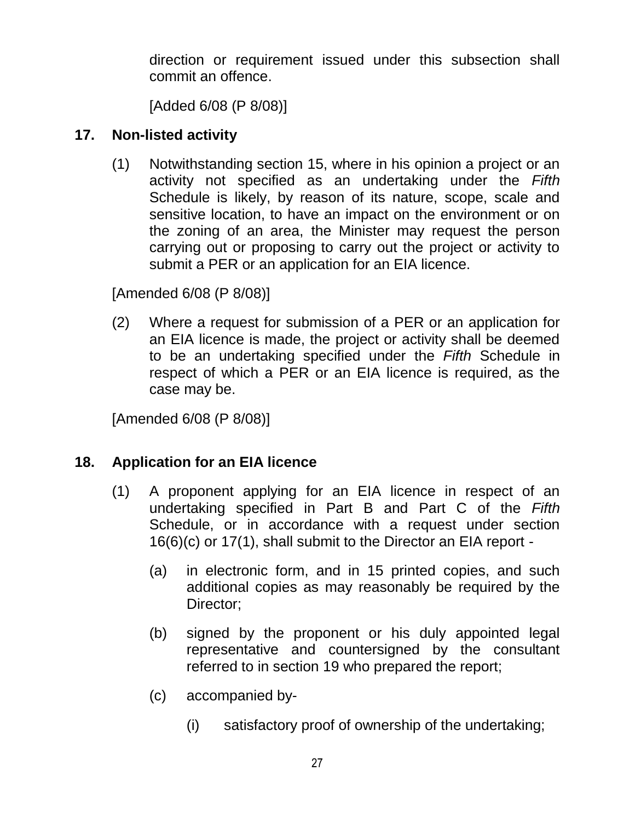direction or requirement issued under this subsection shall commit an offence.

[Added 6/08 (P 8/08)]

# <span id="page-26-0"></span>**17. Non-listed activity**

(1) Notwithstanding section 15, where in his opinion a project or an activity not specified as an undertaking under the *Fifth* Schedule is likely, by reason of its nature, scope, scale and sensitive location, to have an impact on the environment or on the zoning of an area, the Minister may request the person carrying out or proposing to carry out the project or activity to submit a PER or an application for an EIA licence.

[Amended 6/08 (P 8/08)]

(2) Where a request for submission of a PER or an application for an EIA licence is made, the project or activity shall be deemed to be an undertaking specified under the *Fifth* Schedule in respect of which a PER or an EIA licence is required, as the case may be.

[Amended 6/08 (P 8/08)]

# <span id="page-26-1"></span>**18. Application for an EIA licence**

- (1) A proponent applying for an EIA licence in respect of an undertaking specified in Part B and Part C of the *Fifth* Schedule, or in accordance with a request under section 16(6)(c) or 17(1), shall submit to the Director an EIA report -
	- (a) in electronic form, and in 15 printed copies, and such additional copies as may reasonably be required by the Director:
	- (b) signed by the proponent or his duly appointed legal representative and countersigned by the consultant referred to in section 19 who prepared the report;
	- (c) accompanied by-
		- (i) satisfactory proof of ownership of the undertaking;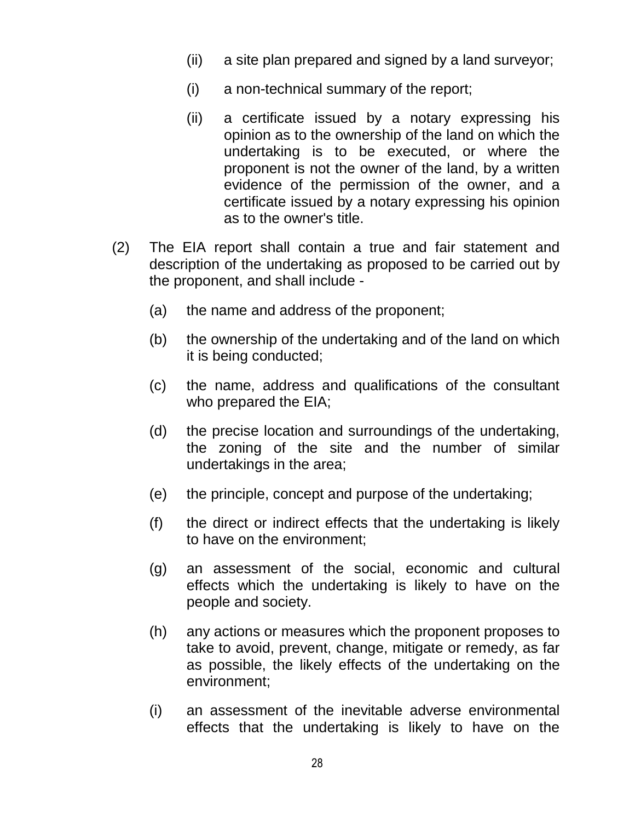- (ii) a site plan prepared and signed by a land surveyor;
- (i) a non-technical summary of the report;
- (ii) a certificate issued by a notary expressing his opinion as to the ownership of the land on which the undertaking is to be executed, or where the proponent is not the owner of the land, by a written evidence of the permission of the owner, and a certificate issued by a notary expressing his opinion as to the owner's title.
- (2) The EIA report shall contain a true and fair statement and description of the undertaking as proposed to be carried out by the proponent, and shall include -
	- (a) the name and address of the proponent;
	- (b) the ownership of the undertaking and of the land on which it is being conducted;
	- (c) the name, address and qualifications of the consultant who prepared the EIA;
	- (d) the precise location and surroundings of the undertaking, the zoning of the site and the number of similar undertakings in the area;
	- (e) the principle, concept and purpose of the undertaking;
	- (f) the direct or indirect effects that the undertaking is likely to have on the environment;
	- (g) an assessment of the social, economic and cultural effects which the undertaking is likely to have on the people and society.
	- (h) any actions or measures which the proponent proposes to take to avoid, prevent, change, mitigate or remedy, as far as possible, the likely effects of the undertaking on the environment;
	- (i) an assessment of the inevitable adverse environmental effects that the undertaking is likely to have on the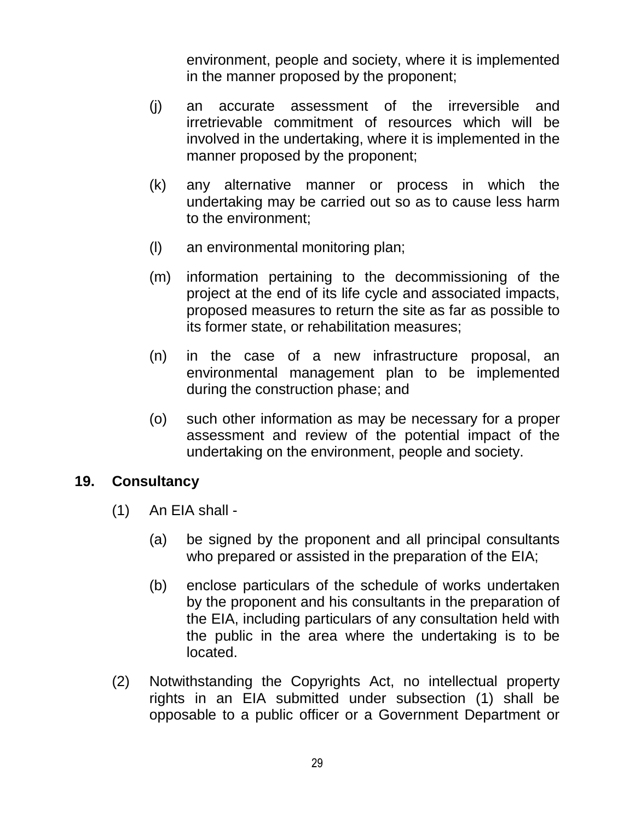environment, people and society, where it is implemented in the manner proposed by the proponent;

- (j) an accurate assessment of the irreversible and irretrievable commitment of resources which will be involved in the undertaking, where it is implemented in the manner proposed by the proponent;
- (k) any alternative manner or process in which the undertaking may be carried out so as to cause less harm to the environment;
- (l) an environmental monitoring plan;
- (m) information pertaining to the decommissioning of the project at the end of its life cycle and associated impacts, proposed measures to return the site as far as possible to its former state, or rehabilitation measures;
- (n) in the case of a new infrastructure proposal, an environmental management plan to be implemented during the construction phase; and
- (o) such other information as may be necessary for a proper assessment and review of the potential impact of the undertaking on the environment, people and society.

#### <span id="page-28-0"></span>**19. Consultancy**

- (1) An EIA shall
	- (a) be signed by the proponent and all principal consultants who prepared or assisted in the preparation of the EIA;
	- (b) enclose particulars of the schedule of works undertaken by the proponent and his consultants in the preparation of the EIA, including particulars of any consultation held with the public in the area where the undertaking is to be located.
- (2) Notwithstanding the Copyrights Act, no intellectual property rights in an EIA submitted under subsection (1) shall be opposable to a public officer or a Government Department or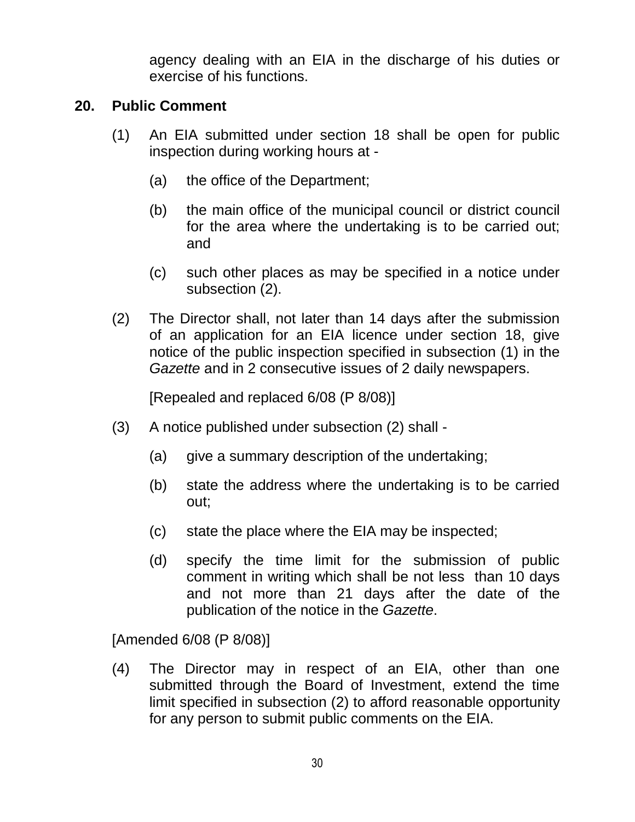agency dealing with an EIA in the discharge of his duties or exercise of his functions.

#### <span id="page-29-0"></span>**20. Public Comment**

- (1) An EIA submitted under section 18 shall be open for public inspection during working hours at -
	- (a) the office of the Department;
	- (b) the main office of the municipal council or district council for the area where the undertaking is to be carried out; and
	- (c) such other places as may be specified in a notice under subsection (2).
- (2) The Director shall, not later than 14 days after the submission of an application for an EIA licence under section 18, give notice of the public inspection specified in subsection (1) in the *Gazette* and in 2 consecutive issues of 2 daily newspapers.

[Repealed and replaced 6/08 (P 8/08)]

- (3) A notice published under subsection (2) shall
	- (a) give a summary description of the undertaking;
	- (b) state the address where the undertaking is to be carried out;
	- (c) state the place where the EIA may be inspected;
	- (d) specify the time limit for the submission of public comment in writing which shall be not less than 10 days and not more than 21 days after the date of the publication of the notice in the *Gazette*.

[Amended 6/08 (P 8/08)]

(4) The Director may in respect of an EIA, other than one submitted through the Board of Investment, extend the time limit specified in subsection (2) to afford reasonable opportunity for any person to submit public comments on the EIA.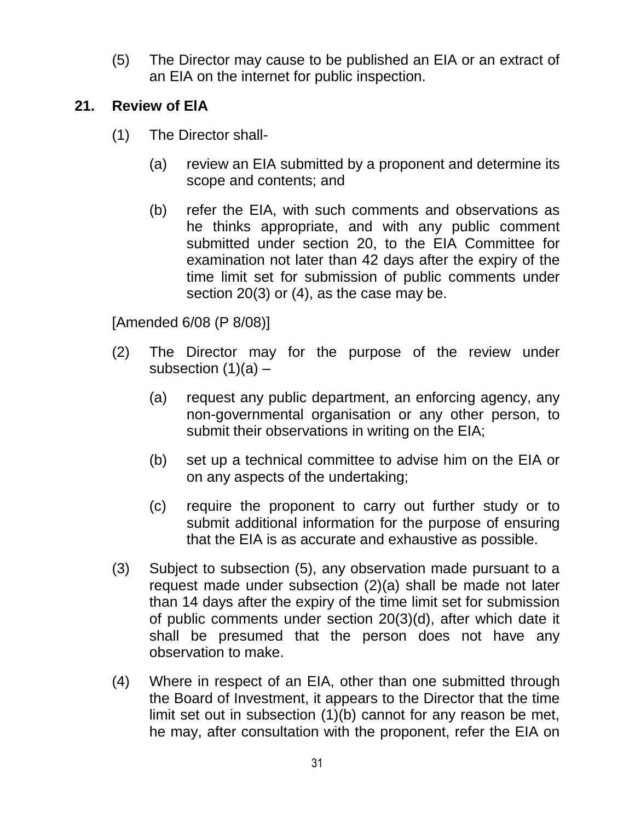(5) The Director may cause to be published an EIA or an extract of an EIA on the internet for public inspection.

## <span id="page-30-0"></span>**21. Review of ElA**

- (1) The Director shall-
	- (a) review an EIA submitted by a proponent and determine its scope and contents; and
	- (b) refer the EIA, with such comments and observations as he thinks appropriate, and with any public comment submitted under section 20, to the EIA Committee for examination not later than 42 days after the expiry of the time limit set for submission of public comments under section 20(3) or (4), as the case may be.

[Amended 6/08 (P 8/08)]

- (2) The Director may for the purpose of the review under subsection  $(1)(a)$  –
	- (a) request any public department, an enforcing agency, any non-governmental organisation or any other person, to submit their observations in writing on the EIA;
	- (b) set up a technical committee to advise him on the EIA or on any aspects of the undertaking;
	- (c) require the proponent to carry out further study or to submit additional information for the purpose of ensuring that the EIA is as accurate and exhaustive as possible.
- (3) Subject to subsection (5), any observation made pursuant to a request made under subsection (2)(a) shall be made not later than 14 days after the expiry of the time limit set for submission of public comments under section 20(3)(d), after which date it shall be presumed that the person does not have any observation to make.
- (4) Where in respect of an EIA, other than one submitted through the Board of Investment, it appears to the Director that the time limit set out in subsection (1)(b) cannot for any reason be met, he may, after consultation with the proponent, refer the EIA on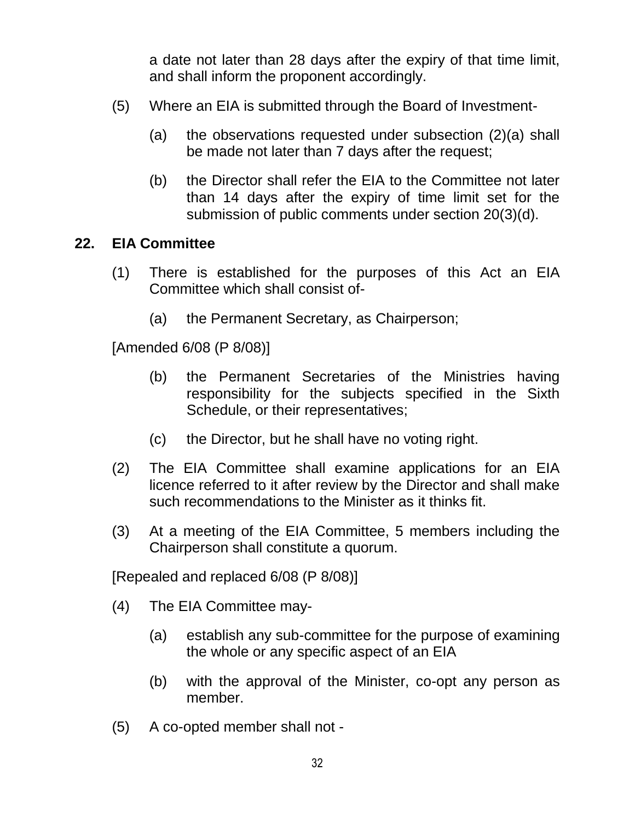a date not later than 28 days after the expiry of that time limit, and shall inform the proponent accordingly.

- (5) Where an EIA is submitted through the Board of Investment-
	- (a) the observations requested under subsection (2)(a) shall be made not later than 7 days after the request;
	- (b) the Director shall refer the EIA to the Committee not later than 14 days after the expiry of time limit set for the submission of public comments under section 20(3)(d).

#### <span id="page-31-0"></span>**22. EIA Committee**

- (1) There is established for the purposes of this Act an EIA Committee which shall consist of-
	- (a) the Permanent Secretary, as Chairperson;

[Amended 6/08 (P 8/08)]

- (b) the Permanent Secretaries of the Ministries having responsibility for the subjects specified in the Sixth Schedule, or their representatives;
- (c) the Director, but he shall have no voting right.
- (2) The EIA Committee shall examine applications for an EIA licence referred to it after review by the Director and shall make such recommendations to the Minister as it thinks fit.
- (3) At a meeting of the EIA Committee, 5 members including the Chairperson shall constitute a quorum.

[Repealed and replaced 6/08 (P 8/08)]

- (4) The EIA Committee may-
	- (a) establish any sub-committee for the purpose of examining the whole or any specific aspect of an EIA
	- (b) with the approval of the Minister, co-opt any person as member.
- (5) A co-opted member shall not -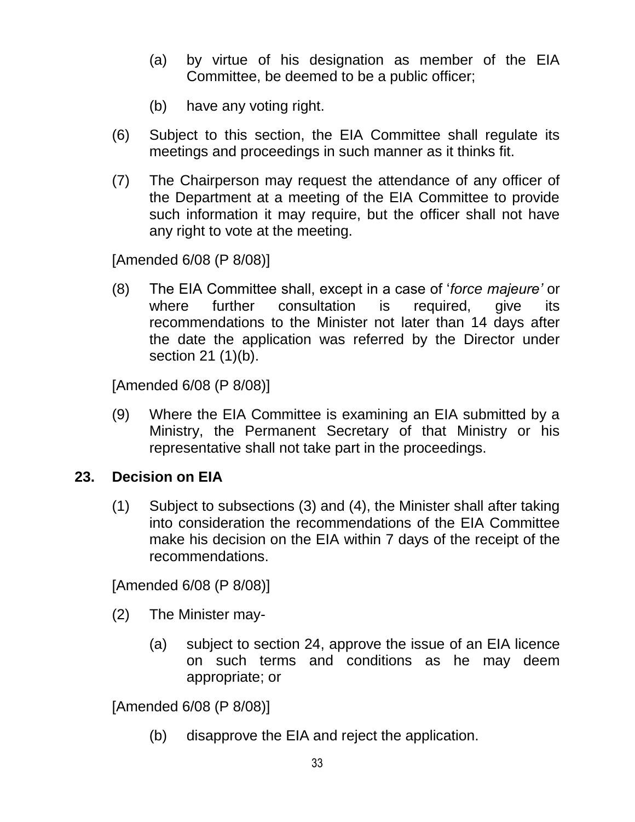- (a) by virtue of his designation as member of the EIA Committee, be deemed to be a public officer;
- (b) have any voting right.
- (6) Subject to this section, the EIA Committee shall regulate its meetings and proceedings in such manner as it thinks fit.
- (7) The Chairperson may request the attendance of any officer of the Department at a meeting of the EIA Committee to provide such information it may require, but the officer shall not have any right to vote at the meeting.

[Amended 6/08 (P 8/08)]

(8) The EIA Committee shall, except in a case of "*force majeure'* or where further consultation is required, give its recommendations to the Minister not later than 14 days after the date the application was referred by the Director under section 21 (1)(b).

[Amended 6/08 (P 8/08)]

(9) Where the EIA Committee is examining an EIA submitted by a Ministry, the Permanent Secretary of that Ministry or his representative shall not take part in the proceedings.

### <span id="page-32-0"></span>**23. Decision on EIA**

(1) Subject to subsections (3) and (4), the Minister shall after taking into consideration the recommendations of the EIA Committee make his decision on the EIA within 7 days of the receipt of the recommendations.

[Amended 6/08 (P 8/08)]

- (2) The Minister may-
	- (a) subject to section 24, approve the issue of an EIA licence on such terms and conditions as he may deem appropriate; or

[Amended 6/08 (P 8/08)]

(b) disapprove the EIA and reject the application.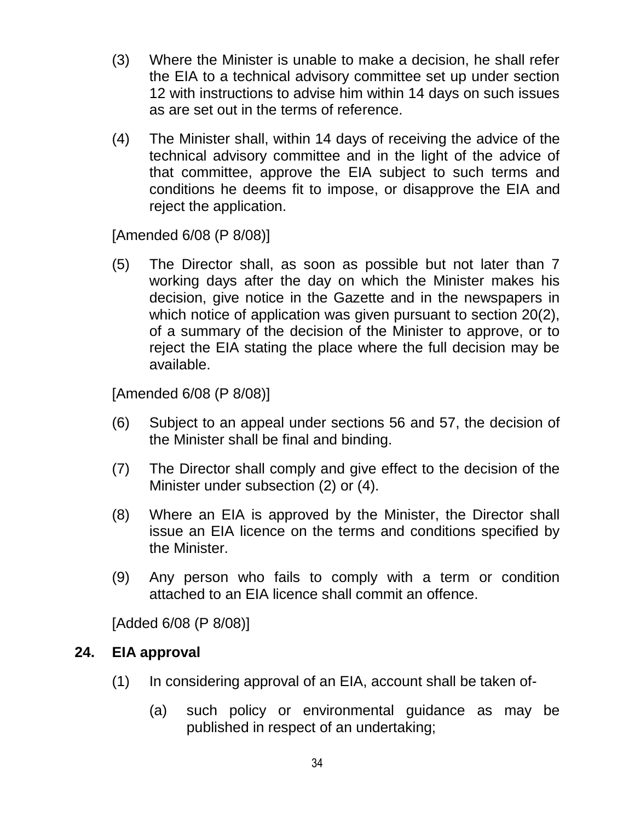- (3) Where the Minister is unable to make a decision, he shall refer the EIA to a technical advisory committee set up under section 12 with instructions to advise him within 14 days on such issues as are set out in the terms of reference.
- (4) The Minister shall, within 14 days of receiving the advice of the technical advisory committee and in the light of the advice of that committee, approve the EIA subject to such terms and conditions he deems fit to impose, or disapprove the EIA and reject the application.

[Amended 6/08 (P 8/08)]

(5) The Director shall, as soon as possible but not later than 7 working days after the day on which the Minister makes his decision, give notice in the Gazette and in the newspapers in which notice of application was given pursuant to section 20(2), of a summary of the decision of the Minister to approve, or to reject the EIA stating the place where the full decision may be available.

[Amended 6/08 (P 8/08)]

- (6) Subject to an appeal under sections 56 and 57, the decision of the Minister shall be final and binding.
- (7) The Director shall comply and give effect to the decision of the Minister under subsection (2) or (4).
- (8) Where an EIA is approved by the Minister, the Director shall issue an EIA licence on the terms and conditions specified by the Minister.
- (9) Any person who fails to comply with a term or condition attached to an EIA licence shall commit an offence.

[Added 6/08 (P 8/08)]

# <span id="page-33-0"></span>**24. EIA approval**

- (1) In considering approval of an EIA, account shall be taken of-
	- (a) such policy or environmental guidance as may be published in respect of an undertaking;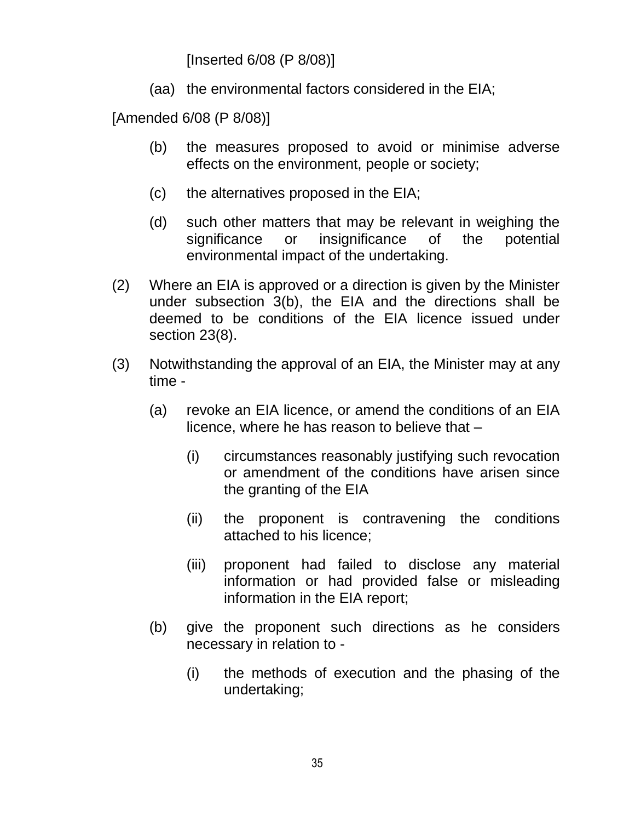[Inserted 6/08 (P 8/08)]

(aa) the environmental factors considered in the EIA;

[Amended 6/08 (P 8/08)]

- (b) the measures proposed to avoid or minimise adverse effects on the environment, people or society;
- (c) the alternatives proposed in the EIA;
- (d) such other matters that may be relevant in weighing the significance or insignificance of the potential environmental impact of the undertaking.
- (2) Where an EIA is approved or a direction is given by the Minister under subsection 3(b), the EIA and the directions shall be deemed to be conditions of the EIA licence issued under section 23(8).
- (3) Notwithstanding the approval of an EIA, the Minister may at any time -
	- (a) revoke an EIA licence, or amend the conditions of an EIA licence, where he has reason to believe that –
		- (i) circumstances reasonably justifying such revocation or amendment of the conditions have arisen since the granting of the EIA
		- (ii) the proponent is contravening the conditions attached to his licence;
		- (iii) proponent had failed to disclose any material information or had provided false or misleading information in the EIA report;
	- (b) give the proponent such directions as he considers necessary in relation to -
		- (i) the methods of execution and the phasing of the undertaking;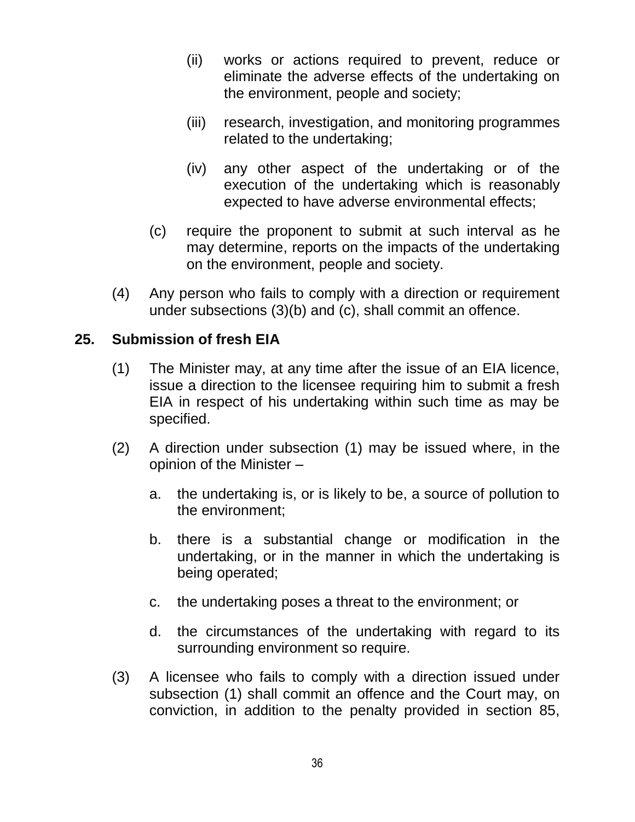- (ii) works or actions required to prevent, reduce or eliminate the adverse effects of the undertaking on the environment, people and society;
- (iii) research, investigation, and monitoring programmes related to the undertaking;
- (iv) any other aspect of the undertaking or of the execution of the undertaking which is reasonably expected to have adverse environmental effects;
- (c) require the proponent to submit at such interval as he may determine, reports on the impacts of the undertaking on the environment, people and society.
- (4) Any person who fails to comply with a direction or requirement under subsections (3)(b) and (c), shall commit an offence.

#### <span id="page-35-0"></span>**25. Submission of fresh EIA**

- (1) The Minister may, at any time after the issue of an EIA licence, issue a direction to the licensee requiring him to submit a fresh EIA in respect of his undertaking within such time as may be specified.
- (2) A direction under subsection (1) may be issued where, in the opinion of the Minister –
	- a. the undertaking is, or is likely to be, a source of pollution to the environment;
	- b. there is a substantial change or modification in the undertaking, or in the manner in which the undertaking is being operated;
	- c. the undertaking poses a threat to the environment; or
	- d. the circumstances of the undertaking with regard to its surrounding environment so require.
- (3) A licensee who fails to comply with a direction issued under subsection (1) shall commit an offence and the Court may, on conviction, in addition to the penalty provided in section 85,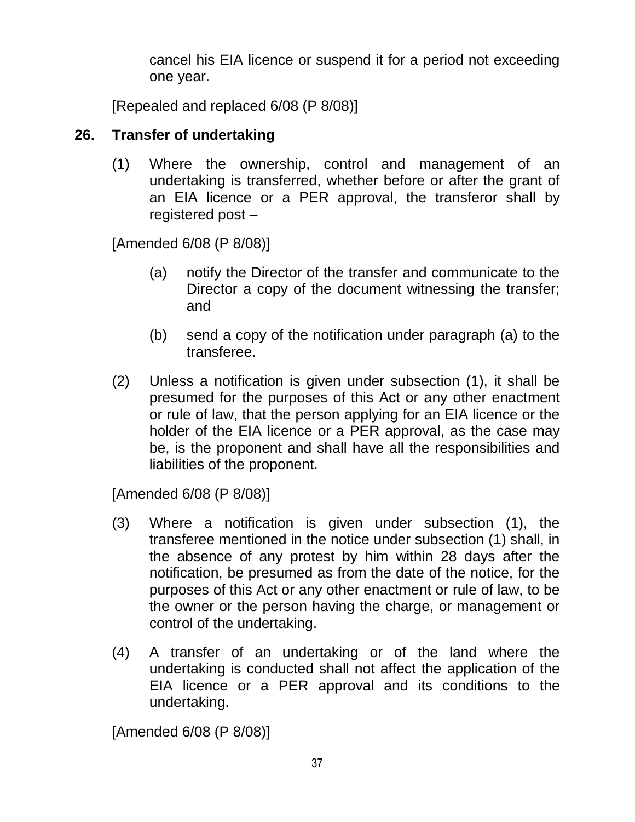cancel his EIA licence or suspend it for a period not exceeding one year.

[Repealed and replaced 6/08 (P 8/08)]

### **26. Transfer of undertaking**

(1) Where the ownership, control and management of an undertaking is transferred, whether before or after the grant of an EIA licence or a PER approval, the transferor shall by registered post –

[Amended 6/08 (P 8/08)]

- (a) notify the Director of the transfer and communicate to the Director a copy of the document witnessing the transfer; and
- (b) send a copy of the notification under paragraph (a) to the transferee.
- (2) Unless a notification is given under subsection (1), it shall be presumed for the purposes of this Act or any other enactment or rule of law, that the person applying for an EIA licence or the holder of the EIA licence or a PER approval, as the case may be, is the proponent and shall have all the responsibilities and liabilities of the proponent.

[Amended 6/08 (P 8/08)]

- (3) Where a notification is given under subsection (1), the transferee mentioned in the notice under subsection (1) shall, in the absence of any protest by him within 28 days after the notification, be presumed as from the date of the notice, for the purposes of this Act or any other enactment or rule of law, to be the owner or the person having the charge, or management or control of the undertaking.
- (4) A transfer of an undertaking or of the land where the undertaking is conducted shall not affect the application of the EIA licence or a PER approval and its conditions to the undertaking.

[Amended 6/08 (P 8/08)]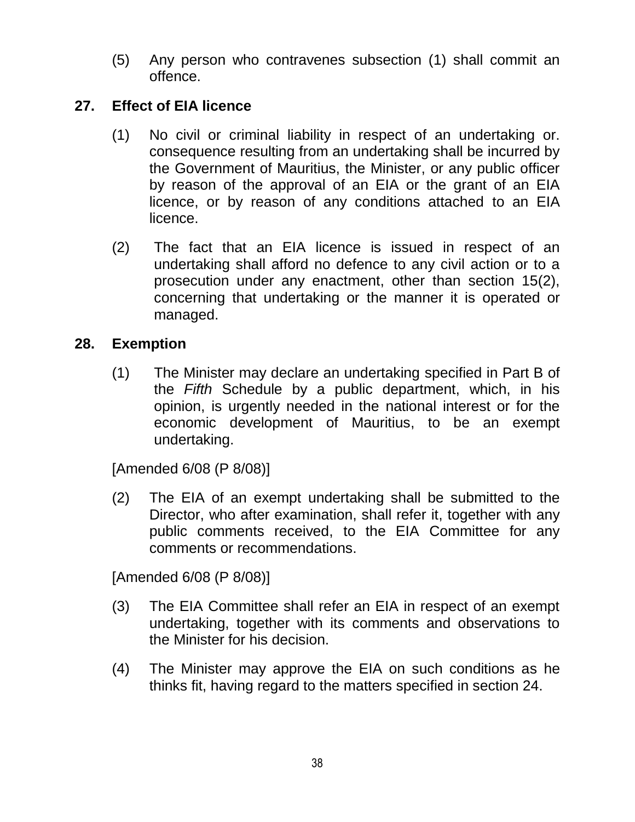(5) Any person who contravenes subsection (1) shall commit an offence.

### **27. Effect of EIA licence**

- (1) No civil or criminal liability in respect of an undertaking or. consequence resulting from an undertaking shall be incurred by the Government of Mauritius, the Minister, or any public officer by reason of the approval of an EIA or the grant of an EIA licence, or by reason of any conditions attached to an EIA licence.
- (2) The fact that an EIA licence is issued in respect of an undertaking shall afford no defence to any civil action or to a prosecution under any enactment, other than section 15(2), concerning that undertaking or the manner it is operated or managed.

# **28. Exemption**

(1) The Minister may declare an undertaking specified in Part B of the *Fifth* Schedule by a public department, which, in his opinion, is urgently needed in the national interest or for the economic development of Mauritius, to be an exempt undertaking.

[Amended 6/08 (P 8/08)]

(2) The EIA of an exempt undertaking shall be submitted to the Director, who after examination, shall refer it, together with any public comments received, to the EIA Committee for any comments or recommendations.

[Amended 6/08 (P 8/08)]

- (3) The EIA Committee shall refer an EIA in respect of an exempt undertaking, together with its comments and observations to the Minister for his decision.
- (4) The Minister may approve the EIA on such conditions as he thinks fit, having regard to the matters specified in section 24.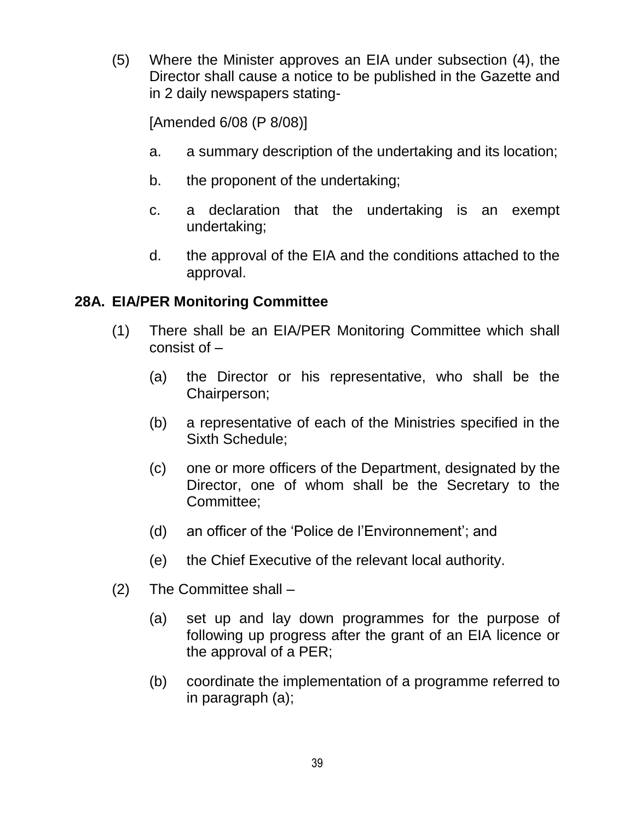(5) Where the Minister approves an EIA under subsection (4), the Director shall cause a notice to be published in the Gazette and in 2 daily newspapers stating-

[Amended 6/08 (P 8/08)]

- a. a summary description of the undertaking and its location;
- b. the proponent of the undertaking;
- c. a declaration that the undertaking is an exempt undertaking;
- d. the approval of the EIA and the conditions attached to the approval.

## **28A. EIA/PER Monitoring Committee**

- (1) There shall be an EIA/PER Monitoring Committee which shall consist of –
	- (a) the Director or his representative, who shall be the Chairperson;
	- (b) a representative of each of the Ministries specified in the Sixth Schedule;
	- (c) one or more officers of the Department, designated by the Director, one of whom shall be the Secretary to the Committee;
	- (d) an officer of the "Police de l"Environnement"; and
	- (e) the Chief Executive of the relevant local authority.
- (2) The Committee shall
	- (a) set up and lay down programmes for the purpose of following up progress after the grant of an EIA licence or the approval of a PER;
	- (b) coordinate the implementation of a programme referred to in paragraph (a);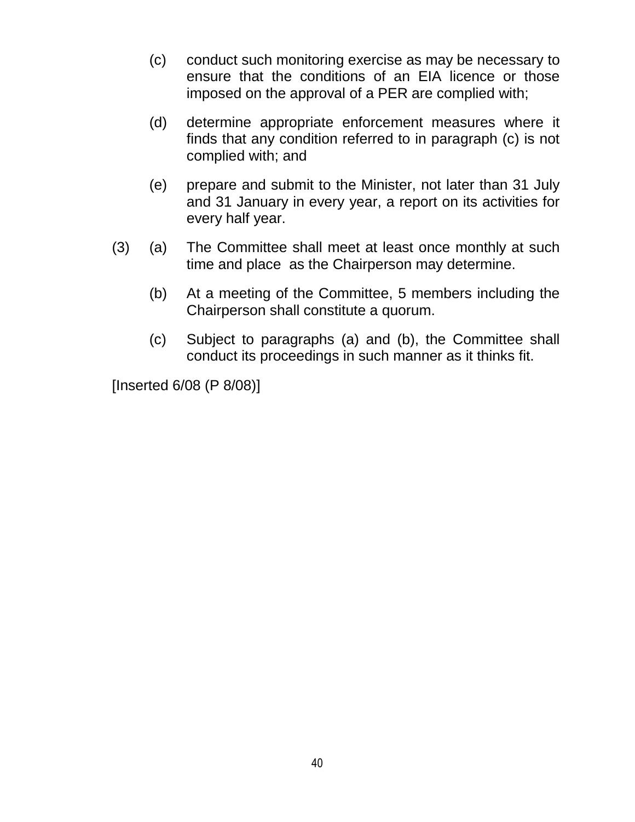- (c) conduct such monitoring exercise as may be necessary to ensure that the conditions of an EIA licence or those imposed on the approval of a PER are complied with;
- (d) determine appropriate enforcement measures where it finds that any condition referred to in paragraph (c) is not complied with; and
- (e) prepare and submit to the Minister, not later than 31 July and 31 January in every year, a report on its activities for every half year.
- (3) (a) The Committee shall meet at least once monthly at such time and place as the Chairperson may determine.
	- (b) At a meeting of the Committee, 5 members including the Chairperson shall constitute a quorum.
	- (c) Subject to paragraphs (a) and (b), the Committee shall conduct its proceedings in such manner as it thinks fit.

[Inserted 6/08 (P 8/08)]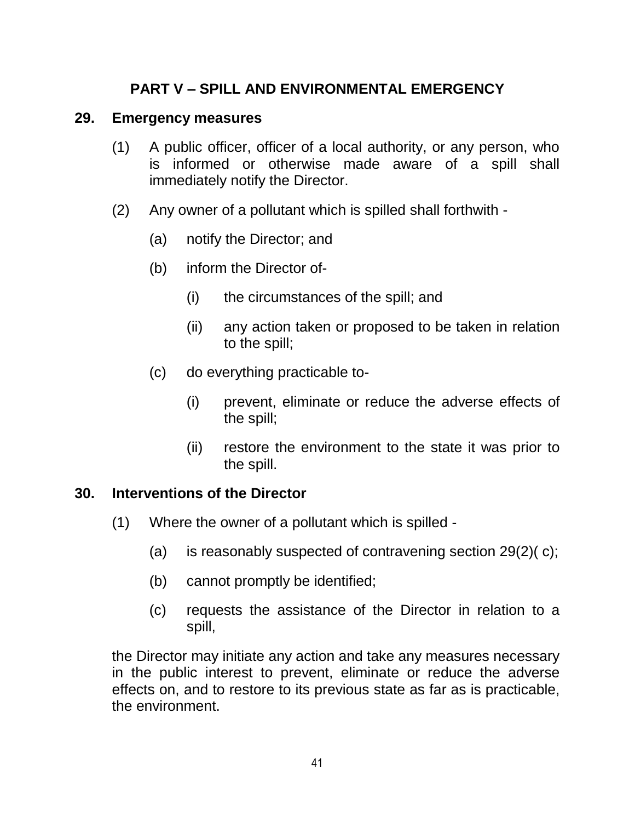# **PART V – SPILL AND ENVIRONMENTAL EMERGENCY**

#### **29. Emergency measures**

- (1) A public officer, officer of a local authority, or any person, who is informed or otherwise made aware of a spill shall immediately notify the Director.
- (2) Any owner of a pollutant which is spilled shall forthwith
	- (a) notify the Director; and
	- (b) inform the Director of-
		- (i) the circumstances of the spill; and
		- (ii) any action taken or proposed to be taken in relation to the spill;
	- (c) do everything practicable to-
		- (i) prevent, eliminate or reduce the adverse effects of the spill;
		- (ii) restore the environment to the state it was prior to the spill.

#### **30. Interventions of the Director**

- (1) Where the owner of a pollutant which is spilled
	- (a) is reasonably suspected of contravening section 29(2)( c);
	- (b) cannot promptly be identified;
	- (c) requests the assistance of the Director in relation to a spill,

the Director may initiate any action and take any measures necessary in the public interest to prevent, eliminate or reduce the adverse effects on, and to restore to its previous state as far as is practicable, the environment.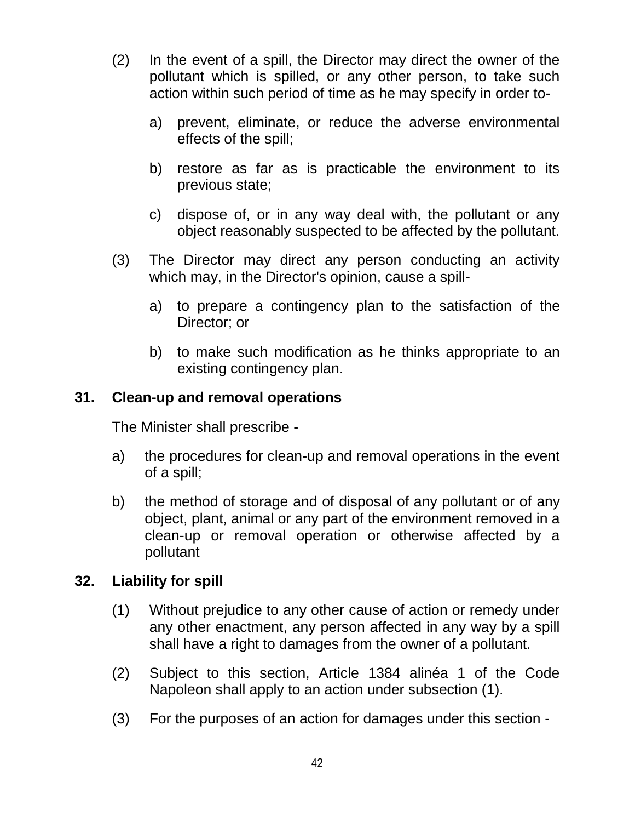- (2) In the event of a spill, the Director may direct the owner of the pollutant which is spilled, or any other person, to take such action within such period of time as he may specify in order to
	- a) prevent, eliminate, or reduce the adverse environmental effects of the spill;
	- b) restore as far as is practicable the environment to its previous state;
	- c) dispose of, or in any way deal with, the pollutant or any object reasonably suspected to be affected by the pollutant.
- (3) The Director may direct any person conducting an activity which may, in the Director's opinion, cause a spill
	- a) to prepare a contingency plan to the satisfaction of the Director; or
	- b) to make such modification as he thinks appropriate to an existing contingency plan.

### **31. Clean-up and removal operations**

The Minister shall prescribe -

- a) the procedures for clean-up and removal operations in the event of a spill;
- b) the method of storage and of disposal of any pollutant or of any object, plant, animal or any part of the environment removed in a clean-up or removal operation or otherwise affected by a pollutant

### **32. Liability for spill**

- (1) Without prejudice to any other cause of action or remedy under any other enactment, any person affected in any way by a spill shall have a right to damages from the owner of a pollutant.
- (2) Subject to this section, Article 1384 alinéa 1 of the Code Napoleon shall apply to an action under subsection (1).
- (3) For the purposes of an action for damages under this section -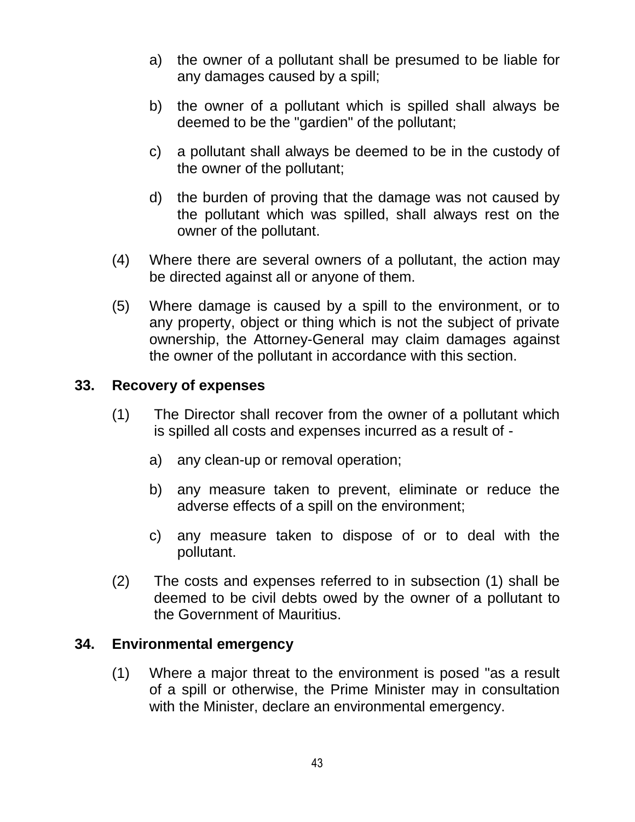- a) the owner of a pollutant shall be presumed to be liable for any damages caused by a spill;
- b) the owner of a pollutant which is spilled shall always be deemed to be the "gardien" of the pollutant;
- c) a pollutant shall always be deemed to be in the custody of the owner of the pollutant;
- d) the burden of proving that the damage was not caused by the pollutant which was spilled, shall always rest on the owner of the pollutant.
- (4) Where there are several owners of a pollutant, the action may be directed against all or anyone of them.
- (5) Where damage is caused by a spill to the environment, or to any property, object or thing which is not the subject of private ownership, the Attorney-General may claim damages against the owner of the pollutant in accordance with this section.

### **33. Recovery of expenses**

- (1) The Director shall recover from the owner of a pollutant which is spilled all costs and expenses incurred as a result of
	- a) any clean-up or removal operation;
	- b) any measure taken to prevent, eliminate or reduce the adverse effects of a spill on the environment;
	- c) any measure taken to dispose of or to deal with the pollutant.
- (2) The costs and expenses referred to in subsection (1) shall be deemed to be civil debts owed by the owner of a pollutant to the Government of Mauritius.

#### **34. Environmental emergency**

(1) Where a major threat to the environment is posed "as a result of a spill or otherwise, the Prime Minister may in consultation with the Minister, declare an environmental emergency.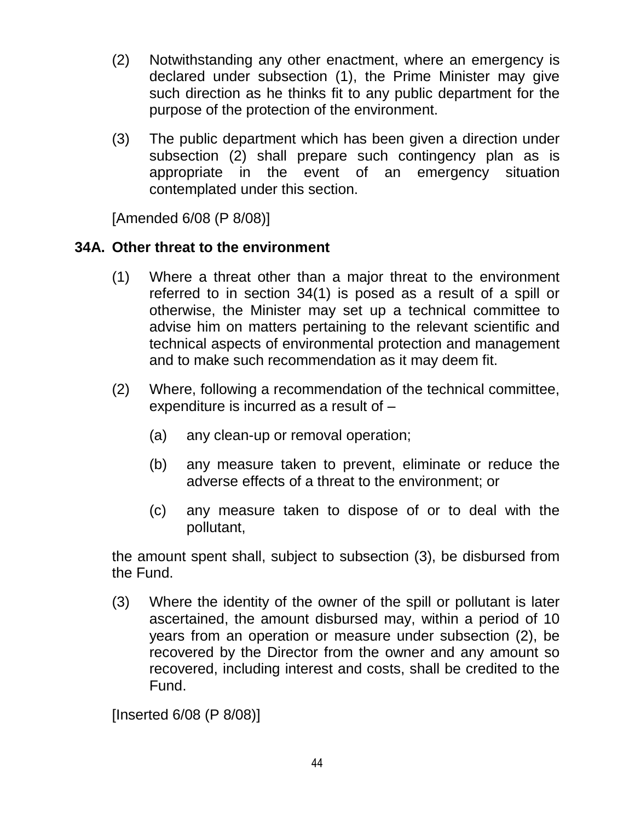- (2) Notwithstanding any other enactment, where an emergency is declared under subsection (1), the Prime Minister may give such direction as he thinks fit to any public department for the purpose of the protection of the environment.
- (3) The public department which has been given a direction under subsection (2) shall prepare such contingency plan as is appropriate in the event of an emergency situation contemplated under this section.

[Amended 6/08 (P 8/08)]

# **34A. Other threat to the environment**

- (1) Where a threat other than a major threat to the environment referred to in section 34(1) is posed as a result of a spill or otherwise, the Minister may set up a technical committee to advise him on matters pertaining to the relevant scientific and technical aspects of environmental protection and management and to make such recommendation as it may deem fit.
- (2) Where, following a recommendation of the technical committee, expenditure is incurred as a result of –
	- (a) any clean-up or removal operation;
	- (b) any measure taken to prevent, eliminate or reduce the adverse effects of a threat to the environment; or
	- (c) any measure taken to dispose of or to deal with the pollutant,

the amount spent shall, subject to subsection (3), be disbursed from the Fund.

(3) Where the identity of the owner of the spill or pollutant is later ascertained, the amount disbursed may, within a period of 10 years from an operation or measure under subsection (2), be recovered by the Director from the owner and any amount so recovered, including interest and costs, shall be credited to the Fund.

[Inserted 6/08 (P 8/08)]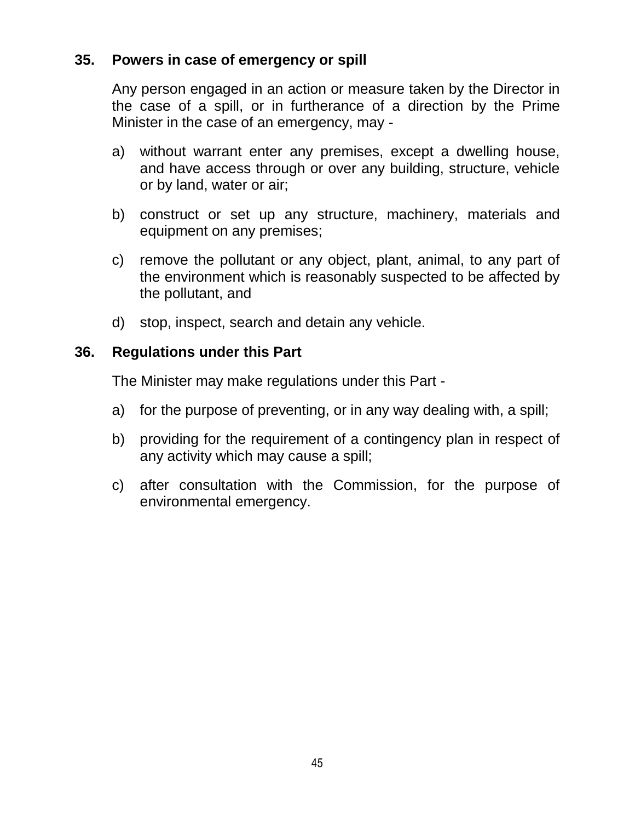### **35. Powers in case of emergency or spill**

Any person engaged in an action or measure taken by the Director in the case of a spill, or in furtherance of a direction by the Prime Minister in the case of an emergency, may -

- a) without warrant enter any premises, except a dwelling house, and have access through or over any building, structure, vehicle or by land, water or air;
- b) construct or set up any structure, machinery, materials and equipment on any premises;
- c) remove the pollutant or any object, plant, animal, to any part of the environment which is reasonably suspected to be affected by the pollutant, and
- d) stop, inspect, search and detain any vehicle.

### **36. Regulations under this Part**

The Minister may make regulations under this Part -

- a) for the purpose of preventing, or in any way dealing with, a spill;
- b) providing for the requirement of a contingency plan in respect of any activity which may cause a spill;
- c) after consultation with the Commission, for the purpose of environmental emergency.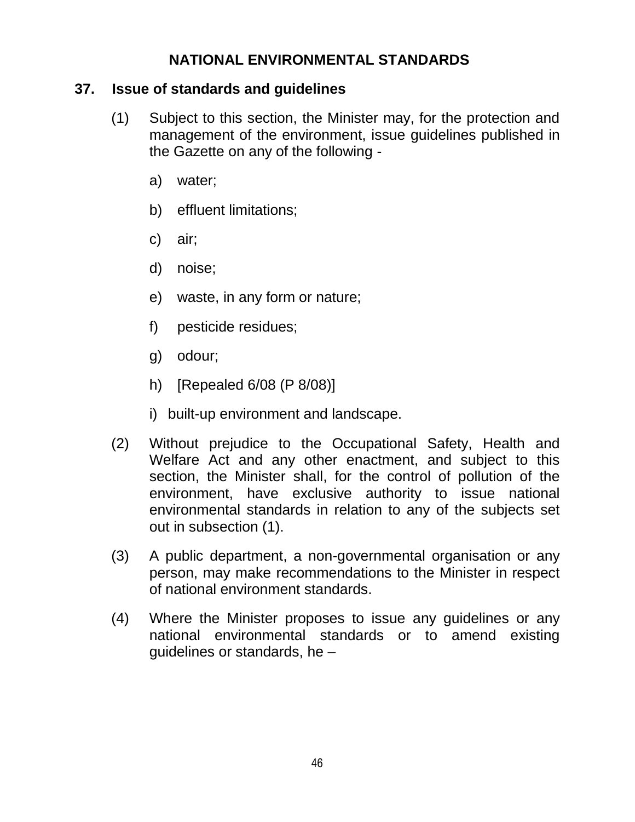## **NATIONAL ENVIRONMENTAL STANDARDS**

### **37. Issue of standards and guidelines**

- (1) Subject to this section, the Minister may, for the protection and management of the environment, issue guidelines published in the Gazette on any of the following
	- a) water;
	- b) effluent limitations;
	- c) air;
	- d) noise;
	- e) waste, in any form or nature;
	- f) pesticide residues;
	- g) odour;
	- h) [Repealed 6/08 (P 8/08)]
	- i) built-up environment and landscape.
- (2) Without prejudice to the Occupational Safety, Health and Welfare Act and any other enactment, and subject to this section, the Minister shall, for the control of pollution of the environment, have exclusive authority to issue national environmental standards in relation to any of the subjects set out in subsection (1).
- (3) A public department, a non-governmental organisation or any person, may make recommendations to the Minister in respect of national environment standards.
- (4) Where the Minister proposes to issue any guidelines or any national environmental standards or to amend existing guidelines or standards, he –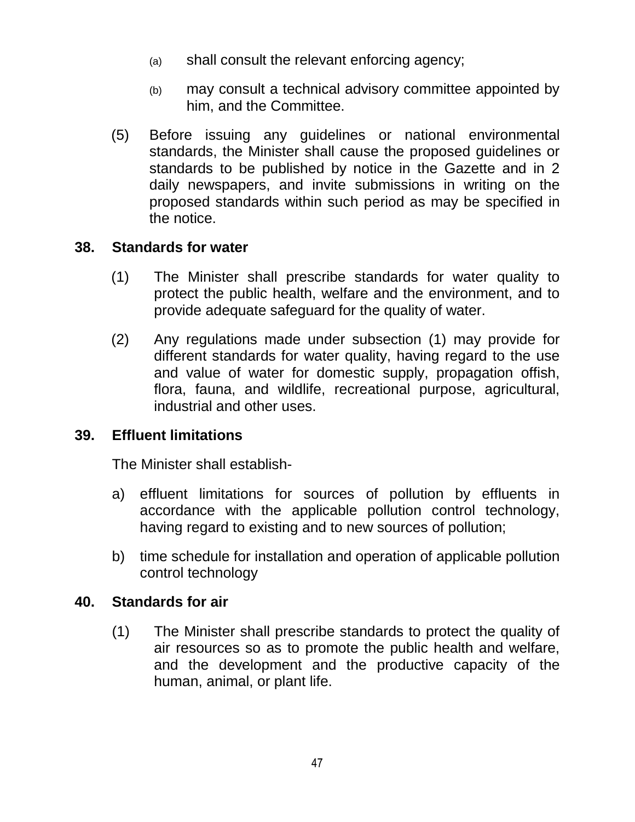- (a) shall consult the relevant enforcing agency;
- (b) may consult a technical advisory committee appointed by him, and the Committee.
- (5) Before issuing any guidelines or national environmental standards, the Minister shall cause the proposed guidelines or standards to be published by notice in the Gazette and in 2 daily newspapers, and invite submissions in writing on the proposed standards within such period as may be specified in the notice.

### **38. Standards for water**

- (1) The Minister shall prescribe standards for water quality to protect the public health, welfare and the environment, and to provide adequate safeguard for the quality of water.
- (2) Any regulations made under subsection (1) may provide for different standards for water quality, having regard to the use and value of water for domestic supply, propagation offish, flora, fauna, and wildlife, recreational purpose, agricultural, industrial and other uses.

## **39. Effluent limitations**

The Minister shall establish-

- a) effluent limitations for sources of pollution by effluents in accordance with the applicable pollution control technology, having regard to existing and to new sources of pollution;
- b) time schedule for installation and operation of applicable pollution control technology

### **40. Standards for air**

(1) The Minister shall prescribe standards to protect the quality of air resources so as to promote the public health and welfare, and the development and the productive capacity of the human, animal, or plant life.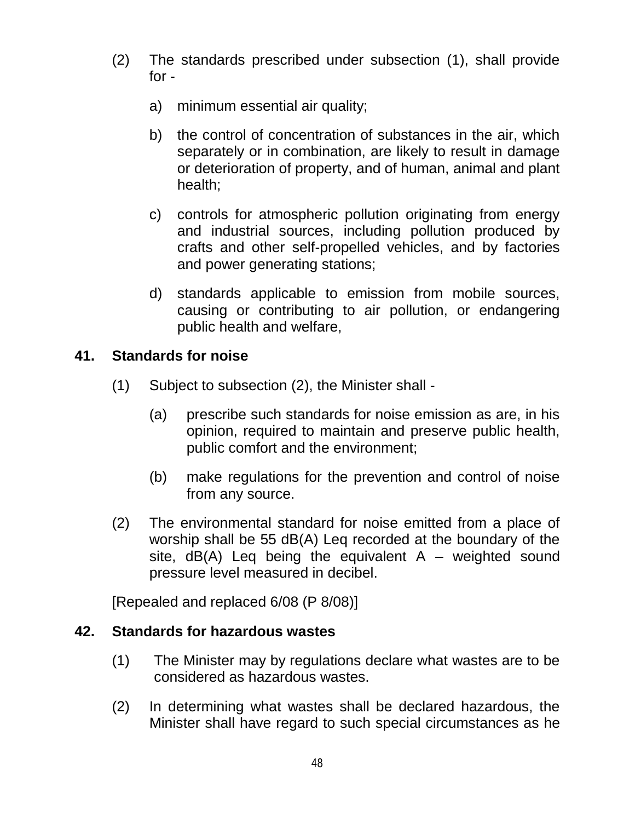- (2) The standards prescribed under subsection (1), shall provide for
	- a) minimum essential air quality;
	- b) the control of concentration of substances in the air, which separately or in combination, are likely to result in damage or deterioration of property, and of human, animal and plant health;
	- c) controls for atmospheric pollution originating from energy and industrial sources, including pollution produced by crafts and other self-propelled vehicles, and by factories and power generating stations;
	- d) standards applicable to emission from mobile sources, causing or contributing to air pollution, or endangering public health and welfare,

## **41. Standards for noise**

- (1) Subject to subsection (2), the Minister shall
	- (a) prescribe such standards for noise emission as are, in his opinion, required to maintain and preserve public health, public comfort and the environment;
	- (b) make regulations for the prevention and control of noise from any source.
- (2) The environmental standard for noise emitted from a place of worship shall be 55 dB(A) Leq recorded at the boundary of the site,  $dB(A)$  Leq being the equivalent A – weighted sound pressure level measured in decibel.

[Repealed and replaced 6/08 (P 8/08)]

### **42. Standards for hazardous wastes**

- (1) The Minister may by regulations declare what wastes are to be considered as hazardous wastes.
- (2) In determining what wastes shall be declared hazardous, the Minister shall have regard to such special circumstances as he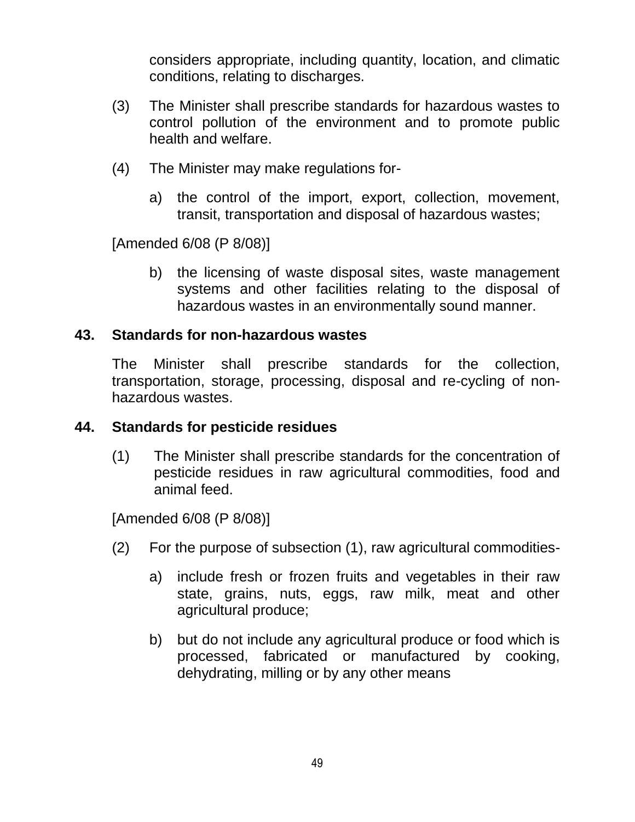considers appropriate, including quantity, location, and climatic conditions, relating to discharges.

- (3) The Minister shall prescribe standards for hazardous wastes to control pollution of the environment and to promote public health and welfare.
- (4) The Minister may make regulations for
	- a) the control of the import, export, collection, movement, transit, transportation and disposal of hazardous wastes;

[Amended 6/08 (P 8/08)]

b) the licensing of waste disposal sites, waste management systems and other facilities relating to the disposal of hazardous wastes in an environmentally sound manner.

#### **43. Standards for non-hazardous wastes**

The Minister shall prescribe standards for the collection, transportation, storage, processing, disposal and re-cycling of nonhazardous wastes.

#### **44. Standards for pesticide residues**

(1) The Minister shall prescribe standards for the concentration of pesticide residues in raw agricultural commodities, food and animal feed.

[Amended 6/08 (P 8/08)]

- (2) For the purpose of subsection (1), raw agricultural commodities
	- a) include fresh or frozen fruits and vegetables in their raw state, grains, nuts, eggs, raw milk, meat and other agricultural produce;
	- b) but do not include any agricultural produce or food which is processed, fabricated or manufactured by cooking, dehydrating, milling or by any other means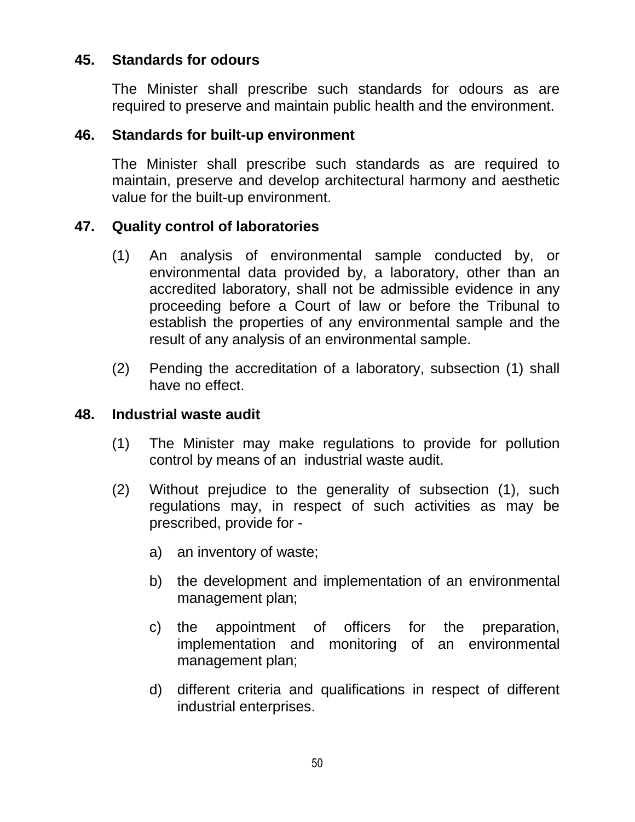### **45. Standards for odours**

The Minister shall prescribe such standards for odours as are required to preserve and maintain public health and the environment.

#### **46. Standards for built-up environment**

The Minister shall prescribe such standards as are required to maintain, preserve and develop architectural harmony and aesthetic value for the built-up environment.

#### **47. Quality control of laboratories**

- (1) An analysis of environmental sample conducted by, or environmental data provided by, a laboratory, other than an accredited laboratory, shall not be admissible evidence in any proceeding before a Court of law or before the Tribunal to establish the properties of any environmental sample and the result of any analysis of an environmental sample.
- (2) Pending the accreditation of a laboratory, subsection (1) shall have no effect.

#### **48. Industrial waste audit**

- (1) The Minister may make regulations to provide for pollution control by means of an industrial waste audit.
- (2) Without prejudice to the generality of subsection (1), such regulations may, in respect of such activities as may be prescribed, provide for
	- a) an inventory of waste;
	- b) the development and implementation of an environmental management plan;
	- c) the appointment of officers for the preparation, implementation and monitoring of an environmental management plan;
	- d) different criteria and qualifications in respect of different industrial enterprises.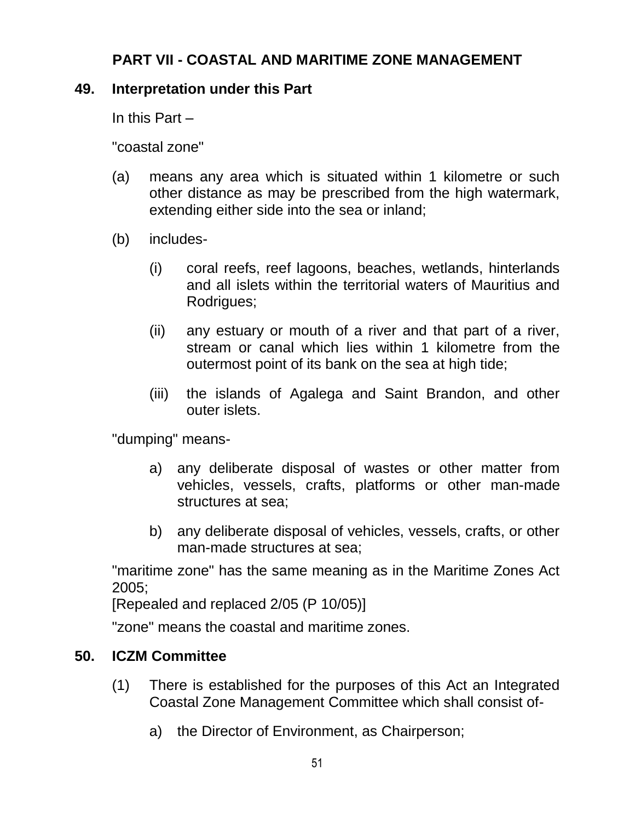# **PART VII - COASTAL AND MARITIME ZONE MANAGEMENT**

### **49. Interpretation under this Part**

In this Part –

"coastal zone"

- (a) means any area which is situated within 1 kilometre or such other distance as may be prescribed from the high watermark, extending either side into the sea or inland;
- (b) includes-
	- (i) coral reefs, reef lagoons, beaches, wetlands, hinterlands and all islets within the territorial waters of Mauritius and Rodrigues;
	- (ii) any estuary or mouth of a river and that part of a river, stream or canal which lies within 1 kilometre from the outermost point of its bank on the sea at high tide;
	- (iii) the islands of Agalega and Saint Brandon, and other outer islets.

"dumping" means-

- a) any deliberate disposal of wastes or other matter from vehicles, vessels, crafts, platforms or other man-made structures at sea;
- b) any deliberate disposal of vehicles, vessels, crafts, or other man-made structures at sea;

"maritime zone" has the same meaning as in the Maritime Zones Act 2005;

[Repealed and replaced 2/05 (P 10/05)]

"zone" means the coastal and maritime zones.

### **50. ICZM Committee**

- (1) There is established for the purposes of this Act an Integrated Coastal Zone Management Committee which shall consist of
	- a) the Director of Environment, as Chairperson;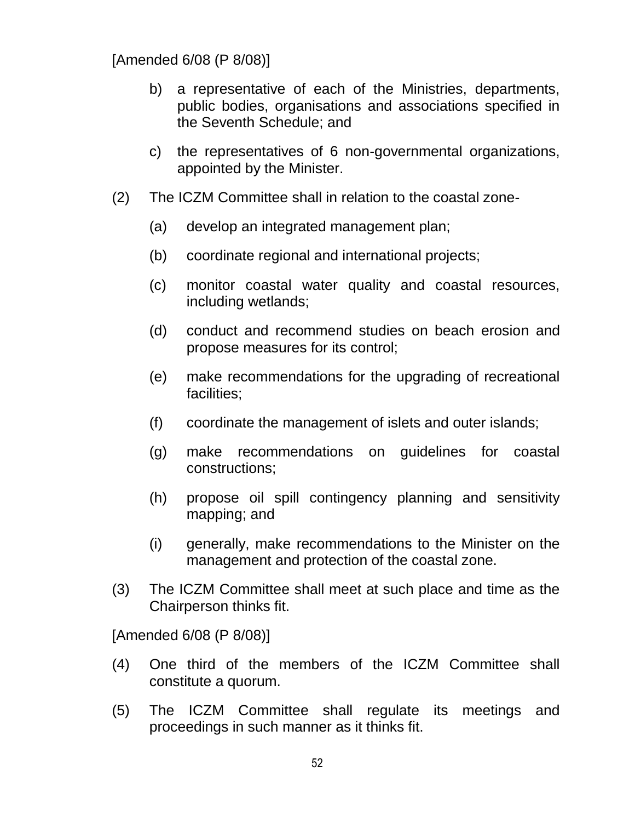[Amended 6/08 (P 8/08)]

- b) a representative of each of the Ministries, departments, public bodies, organisations and associations specified in the Seventh Schedule; and
- c) the representatives of 6 non-governmental organizations, appointed by the Minister.
- (2) The ICZM Committee shall in relation to the coastal zone-
	- (a) develop an integrated management plan;
	- (b) coordinate regional and international projects;
	- (c) monitor coastal water quality and coastal resources, including wetlands;
	- (d) conduct and recommend studies on beach erosion and propose measures for its control;
	- (e) make recommendations for the upgrading of recreational facilities;
	- (f) coordinate the management of islets and outer islands;
	- (g) make recommendations on guidelines for coastal constructions;
	- (h) propose oil spill contingency planning and sensitivity mapping; and
	- (i) generally, make recommendations to the Minister on the management and protection of the coastal zone.
- (3) The ICZM Committee shall meet at such place and time as the Chairperson thinks fit.

[Amended 6/08 (P 8/08)]

- (4) One third of the members of the ICZM Committee shall constitute a quorum.
- (5) The ICZM Committee shall regulate its meetings and proceedings in such manner as it thinks fit.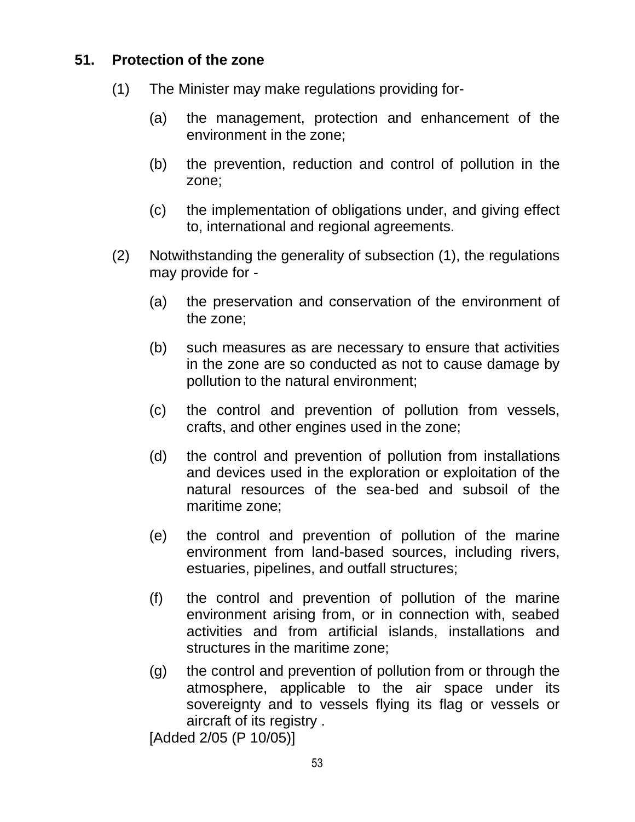## **51. Protection of the zone**

- (1) The Minister may make regulations providing for-
	- (a) the management, protection and enhancement of the environment in the zone;
	- (b) the prevention, reduction and control of pollution in the zone;
	- (c) the implementation of obligations under, and giving effect to, international and regional agreements.
- (2) Notwithstanding the generality of subsection (1), the regulations may provide for -
	- (a) the preservation and conservation of the environment of the zone;
	- (b) such measures as are necessary to ensure that activities in the zone are so conducted as not to cause damage by pollution to the natural environment;
	- (c) the control and prevention of pollution from vessels, crafts, and other engines used in the zone;
	- (d) the control and prevention of pollution from installations and devices used in the exploration or exploitation of the natural resources of the sea-bed and subsoil of the maritime zone;
	- (e) the control and prevention of pollution of the marine environment from land-based sources, including rivers, estuaries, pipelines, and outfall structures;
	- (f) the control and prevention of pollution of the marine environment arising from, or in connection with, seabed activities and from artificial islands, installations and structures in the maritime zone;
	- (g) the control and prevention of pollution from or through the atmosphere, applicable to the air space under its sovereignty and to vessels flying its flag or vessels or aircraft of its registry .

[Added 2/05 (P 10/05)]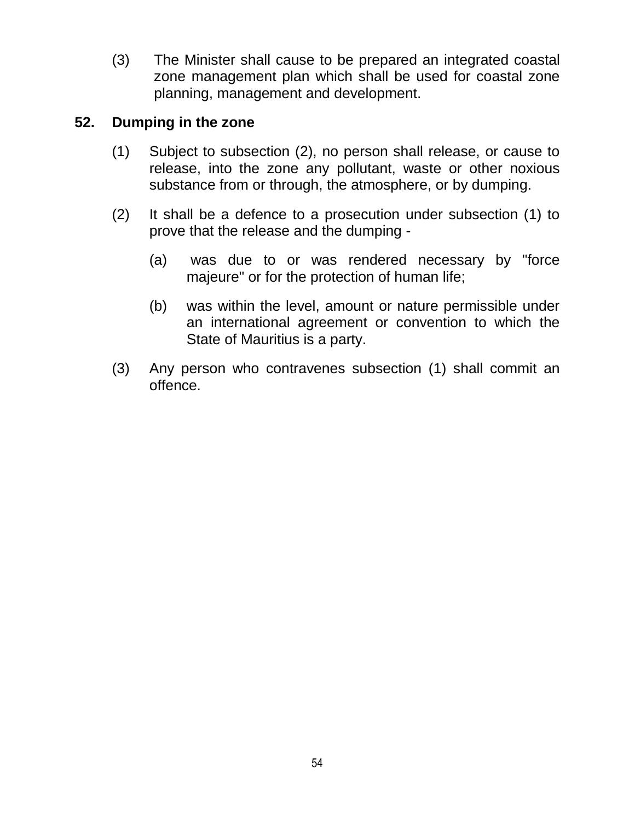(3) The Minister shall cause to be prepared an integrated coastal zone management plan which shall be used for coastal zone planning, management and development.

### **52. Dumping in the zone**

- (1) Subject to subsection (2), no person shall release, or cause to release, into the zone any pollutant, waste or other noxious substance from or through, the atmosphere, or by dumping.
- (2) It shall be a defence to a prosecution under subsection (1) to prove that the release and the dumping -
	- (a) was due to or was rendered necessary by "force majeure" or for the protection of human life;
	- (b) was within the level, amount or nature permissible under an international agreement or convention to which the State of Mauritius is a party.
- (3) Any person who contravenes subsection (1) shall commit an offence.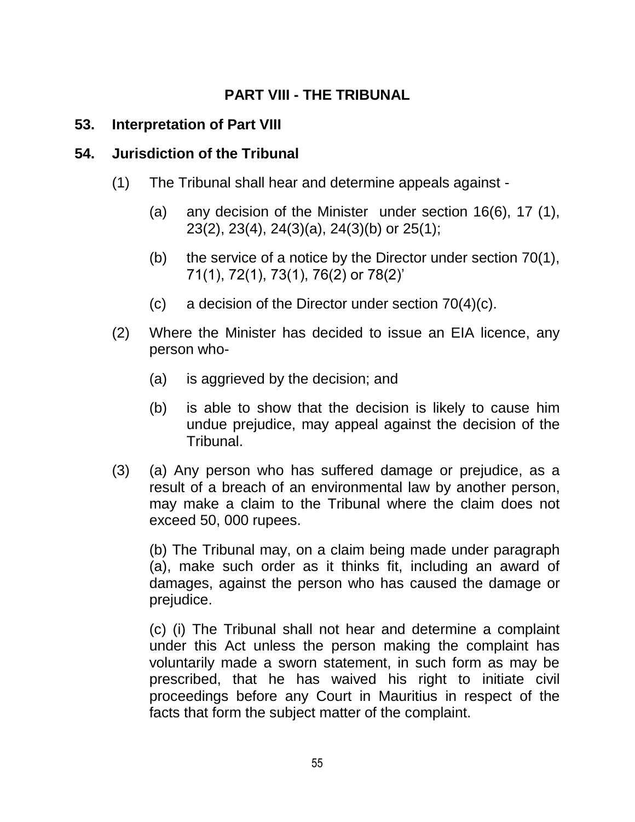# **PART VIII - THE TRIBUNAL**

### **53. Interpretation of Part VIII**

### **54. Jurisdiction of the Tribunal**

- (1) The Tribunal shall hear and determine appeals against
	- (a) any decision of the Minister under section 16(6), 17 (1), 23(2), 23(4), 24(3)(a), 24(3)(b) or 25(1);
	- (b) the service of a notice by the Director under section  $70(1)$ , 71(1), 72(1), 73(1), 76(2) or 78(2)"
	- (c) a decision of the Director under section 70(4)(c).
- (2) Where the Minister has decided to issue an EIA licence, any person who-
	- (a) is aggrieved by the decision; and
	- (b) is able to show that the decision is likely to cause him undue prejudice, may appeal against the decision of the Tribunal.
- (3) (a) Any person who has suffered damage or prejudice, as a result of a breach of an environmental law by another person, may make a claim to the Tribunal where the claim does not exceed 50, 000 rupees.

(b) The Tribunal may, on a claim being made under paragraph (a), make such order as it thinks fit, including an award of damages, against the person who has caused the damage or prejudice.

(c) (i) The Tribunal shall not hear and determine a complaint under this Act unless the person making the complaint has voluntarily made a sworn statement, in such form as may be prescribed, that he has waived his right to initiate civil proceedings before any Court in Mauritius in respect of the facts that form the subject matter of the complaint.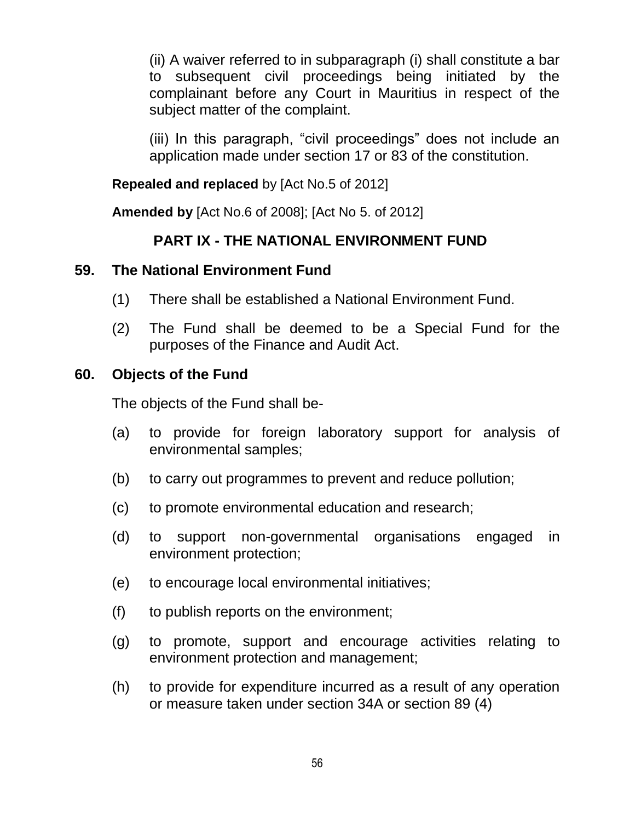(ii) A waiver referred to in subparagraph (i) shall constitute a bar to subsequent civil proceedings being initiated by the complainant before any Court in Mauritius in respect of the subject matter of the complaint.

(iii) In this paragraph, "civil proceedings" does not include an application made under section 17 or 83 of the constitution.

**Repealed and replaced** by [Act No.5 of 2012]

**Amended by** [Act No.6 of 2008]; [Act No 5. of 2012]

## **PART IX - THE NATIONAL ENVIRONMENT FUND**

### **59. The National Environment Fund**

- (1) There shall be established a National Environment Fund.
- (2) The Fund shall be deemed to be a Special Fund for the purposes of the Finance and Audit Act.

#### **60. Objects of the Fund**

The objects of the Fund shall be-

- (a) to provide for foreign laboratory support for analysis of environmental samples;
- (b) to carry out programmes to prevent and reduce pollution;
- (c) to promote environmental education and research;
- (d) to support non-governmental organisations engaged in environment protection;
- (e) to encourage local environmental initiatives;
- (f) to publish reports on the environment;
- (g) to promote, support and encourage activities relating to environment protection and management;
- (h) to provide for expenditure incurred as a result of any operation or measure taken under section 34A or section 89 (4)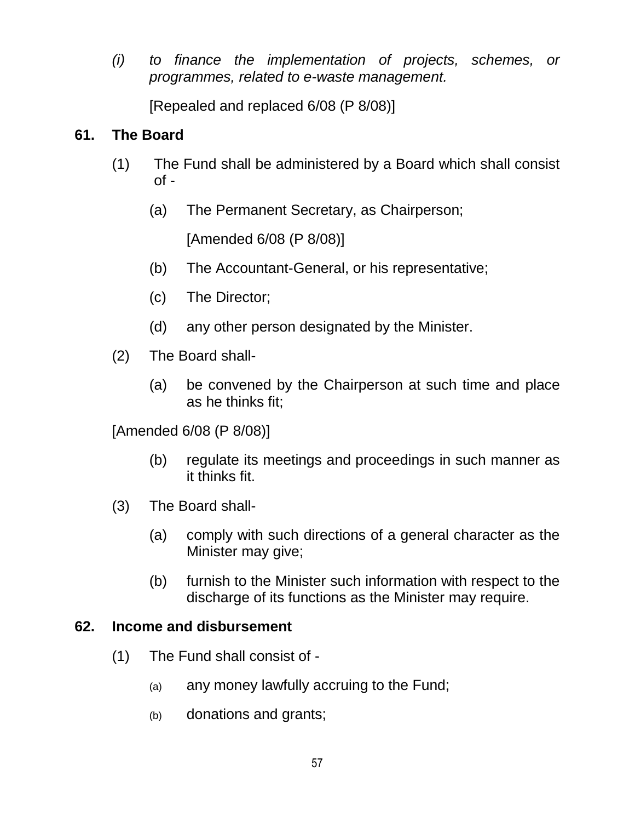*(i) to finance the implementation of projects, schemes, or programmes, related to e-waste management.* 

[Repealed and replaced 6/08 (P 8/08)]

# **61. The Board**

- (1) The Fund shall be administered by a Board which shall consist  $of -$ 
	- (a) The Permanent Secretary, as Chairperson;

[Amended 6/08 (P 8/08)]

- (b) The Accountant-General, or his representative;
- (c) The Director;
- (d) any other person designated by the Minister.
- (2) The Board shall-
	- (a) be convened by the Chairperson at such time and place as he thinks fit;

[Amended 6/08 (P 8/08)]

- (b) regulate its meetings and proceedings in such manner as it thinks fit.
- (3) The Board shall-
	- (a) comply with such directions of a general character as the Minister may give;
	- (b) furnish to the Minister such information with respect to the discharge of its functions as the Minister may require.

### **62. Income and disbursement**

- (1) The Fund shall consist of
	- (a) any money lawfully accruing to the Fund;
	- (b) donations and grants;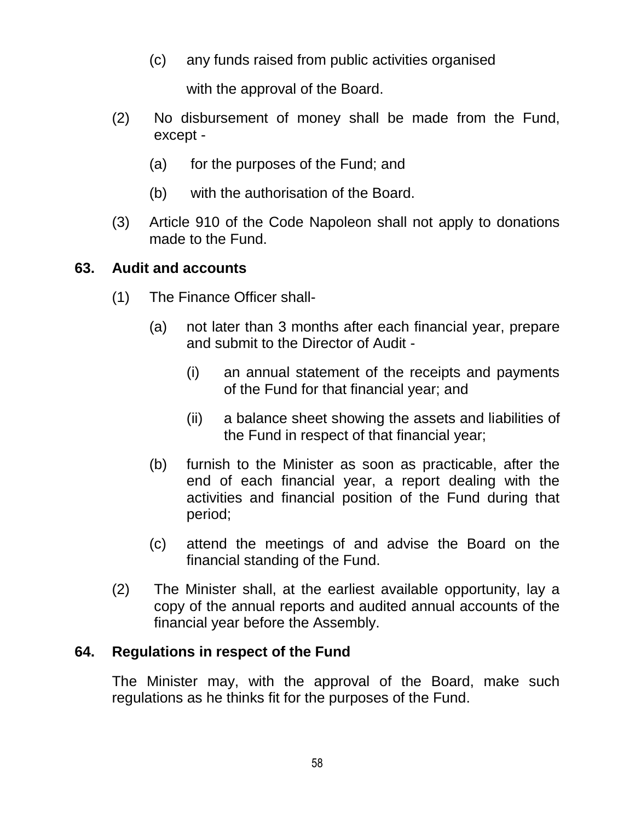(c) any funds raised from public activities organised

with the approval of the Board.

- (2) No disbursement of money shall be made from the Fund, except -
	- (a) for the purposes of the Fund; and
	- (b) with the authorisation of the Board.
- (3) Article 910 of the Code Napoleon shall not apply to donations made to the Fund.

### **63. Audit and accounts**

- (1) The Finance Officer shall-
	- (a) not later than 3 months after each financial year, prepare and submit to the Director of Audit -
		- (i) an annual statement of the receipts and payments of the Fund for that financial year; and
		- (ii) a balance sheet showing the assets and liabilities of the Fund in respect of that financial year;
	- (b) furnish to the Minister as soon as practicable, after the end of each financial year, a report dealing with the activities and financial position of the Fund during that period;
	- (c) attend the meetings of and advise the Board on the financial standing of the Fund.
- (2) The Minister shall, at the earliest available opportunity, lay a copy of the annual reports and audited annual accounts of the financial year before the Assembly.

## **64. Regulations in respect of the Fund**

The Minister may, with the approval of the Board, make such regulations as he thinks fit for the purposes of the Fund.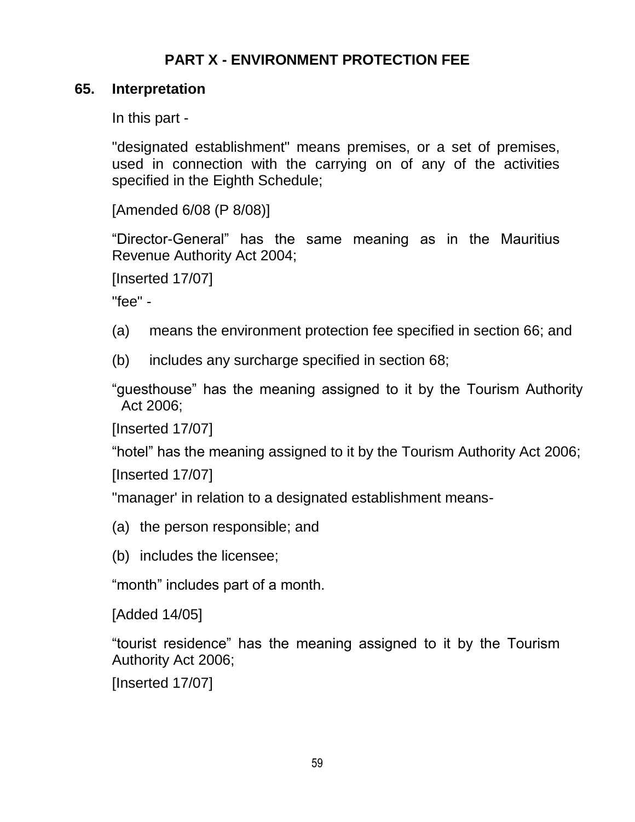# **PART X - ENVIRONMENT PROTECTION FEE**

### **65. Interpretation**

In this part -

"designated establishment" means premises, or a set of premises, used in connection with the carrying on of any of the activities specified in the Eighth Schedule;

[Amended 6/08 (P 8/08)]

"Director-General" has the same meaning as in the Mauritius Revenue Authority Act 2004;

[Inserted 17/07]

"fee" -

- (a) means the environment protection fee specified in section 66; and
- (b) includes any surcharge specified in section 68;

"guesthouse" has the meaning assigned to it by the Tourism Authority Act 2006;

[Inserted 17/07]

"hotel" has the meaning assigned to it by the Tourism Authority Act 2006; [Inserted 17/07]

"manager' in relation to a designated establishment means-

- (a) the person responsible; and
- (b) includes the licensee;

"month" includes part of a month.

[Added 14/05]

"tourist residence" has the meaning assigned to it by the Tourism Authority Act 2006;

[Inserted 17/07]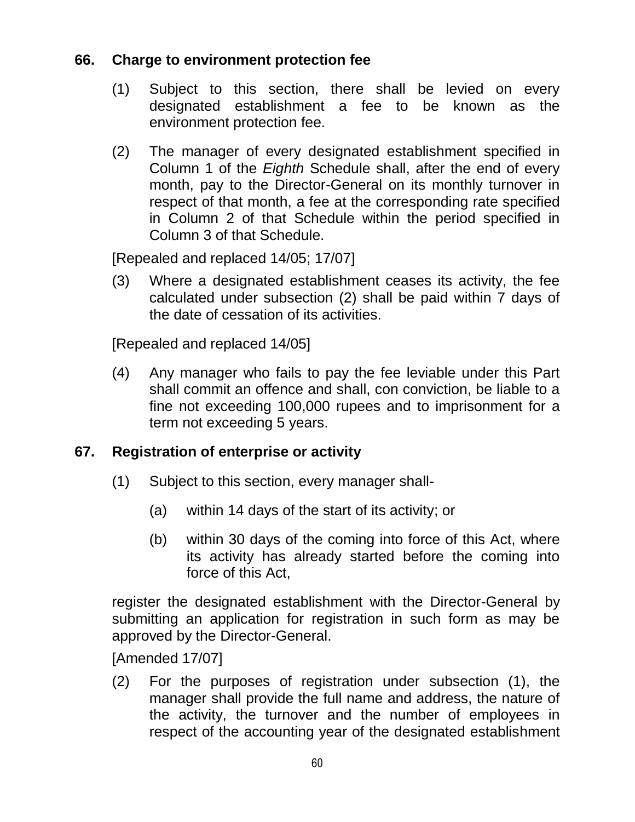## **66. Charge to environment protection fee**

- (1) Subject to this section, there shall be levied on every designated establishment a fee to be known as the environment protection fee.
- (2) The manager of every designated establishment specified in Column 1 of the *Eighth* Schedule shall, after the end of every month, pay to the Director-General on its monthly turnover in respect of that month, a fee at the corresponding rate specified in Column 2 of that Schedule within the period specified in Column 3 of that Schedule.

[Repealed and replaced 14/05; 17/07]

(3) Where a designated establishment ceases its activity, the fee calculated under subsection (2) shall be paid within 7 days of the date of cessation of its activities.

[Repealed and replaced 14/05]

(4) Any manager who fails to pay the fee leviable under this Part shall commit an offence and shall, con conviction, be liable to a fine not exceeding 100,000 rupees and to imprisonment for a term not exceeding 5 years.

## **67. Registration of enterprise or activity**

- (1) Subject to this section, every manager shall-
	- (a) within 14 days of the start of its activity; or
	- (b) within 30 days of the coming into force of this Act, where its activity has already started before the coming into force of this Act,

register the designated establishment with the Director-General by submitting an application for registration in such form as may be approved by the Director-General.

[Amended 17/07]

(2) For the purposes of registration under subsection (1), the manager shall provide the full name and address, the nature of the activity, the turnover and the number of employees in respect of the accounting year of the designated establishment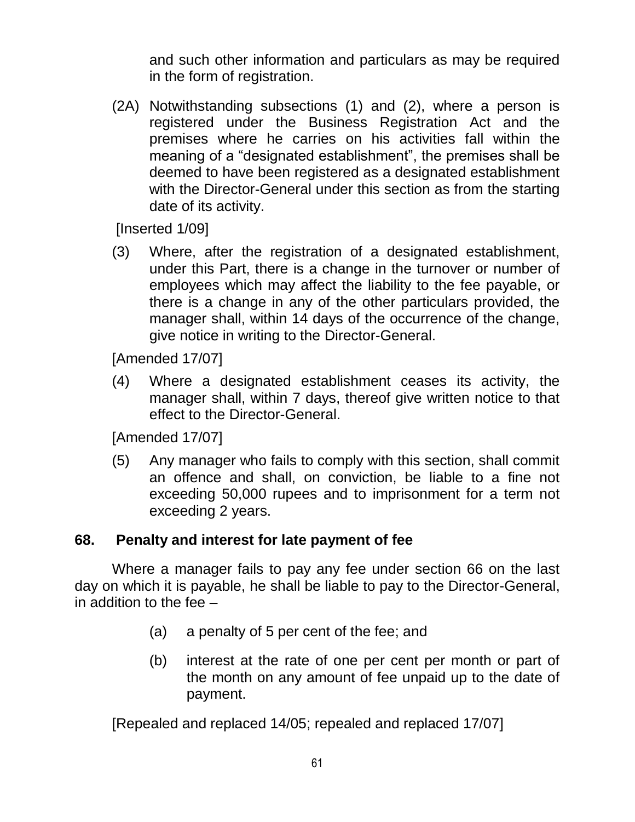and such other information and particulars as may be required in the form of registration.

(2A) Notwithstanding subsections (1) and (2), where a person is registered under the Business Registration Act and the premises where he carries on his activities fall within the meaning of a "designated establishment", the premises shall be deemed to have been registered as a designated establishment with the Director-General under this section as from the starting date of its activity.

[Inserted 1/09]

(3) Where, after the registration of a designated establishment, under this Part, there is a change in the turnover or number of employees which may affect the liability to the fee payable, or there is a change in any of the other particulars provided, the manager shall, within 14 days of the occurrence of the change, give notice in writing to the Director-General.

[Amended 17/07]

(4) Where a designated establishment ceases its activity, the manager shall, within 7 days, thereof give written notice to that effect to the Director-General.

[Amended 17/07]

(5) Any manager who fails to comply with this section, shall commit an offence and shall, on conviction, be liable to a fine not exceeding 50,000 rupees and to imprisonment for a term not exceeding 2 years.

#### **68. Penalty and interest for late payment of fee**

Where a manager fails to pay any fee under section 66 on the last day on which it is payable, he shall be liable to pay to the Director-General, in addition to the fee –

- (a) a penalty of 5 per cent of the fee; and
- (b) interest at the rate of one per cent per month or part of the month on any amount of fee unpaid up to the date of payment.

[Repealed and replaced 14/05; repealed and replaced 17/07]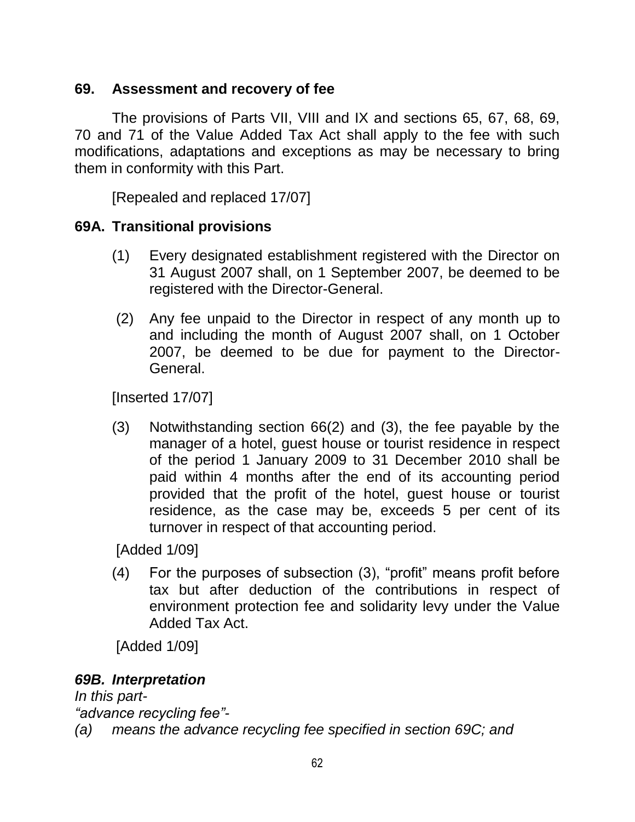## **69. Assessment and recovery of fee**

The provisions of Parts VII, VIII and IX and sections 65, 67, 68, 69, 70 and 71 of the Value Added Tax Act shall apply to the fee with such modifications, adaptations and exceptions as may be necessary to bring them in conformity with this Part.

[Repealed and replaced 17/07]

### **69A. Transitional provisions**

- (1) Every designated establishment registered with the Director on 31 August 2007 shall, on 1 September 2007, be deemed to be registered with the Director-General.
- (2) Any fee unpaid to the Director in respect of any month up to and including the month of August 2007 shall, on 1 October 2007, be deemed to be due for payment to the Director-General.

[Inserted 17/07]

(3) Notwithstanding section 66(2) and (3), the fee payable by the manager of a hotel, guest house or tourist residence in respect of the period 1 January 2009 to 31 December 2010 shall be paid within 4 months after the end of its accounting period provided that the profit of the hotel, guest house or tourist residence, as the case may be, exceeds 5 per cent of its turnover in respect of that accounting period.

[Added 1/09]

(4) For the purposes of subsection (3), "profit" means profit before tax but after deduction of the contributions in respect of environment protection fee and solidarity levy under the Value Added Tax Act.

[Added 1/09]

### *69B. Interpretation*

*In this part- "advance recycling fee"-*

*(a) means the advance recycling fee specified in section 69C; and*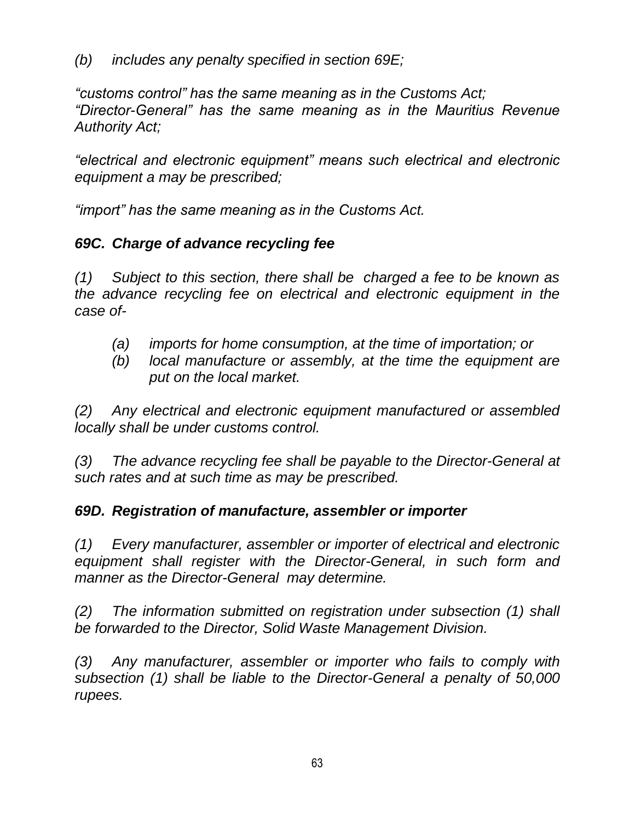*(b) includes any penalty specified in section 69E;*

*"customs control" has the same meaning as in the Customs Act; "Director-General" has the same meaning as in the Mauritius Revenue Authority Act;*

*"electrical and electronic equipment" means such electrical and electronic equipment a may be prescribed;*

*"import" has the same meaning as in the Customs Act.*

# *69C. Charge of advance recycling fee*

*(1) Subject to this section, there shall be charged a fee to be known as the advance recycling fee on electrical and electronic equipment in the case of-*

- *(a) imports for home consumption, at the time of importation; or*
- *(b) local manufacture or assembly, at the time the equipment are put on the local market.*

*(2) Any electrical and electronic equipment manufactured or assembled locally shall be under customs control.*

*(3) The advance recycling fee shall be payable to the Director-General at such rates and at such time as may be prescribed.* 

## *69D. Registration of manufacture, assembler or importer*

*(1) Every manufacturer, assembler or importer of electrical and electronic equipment shall register with the Director-General, in such form and manner as the Director-General may determine.*

*(2) The information submitted on registration under subsection (1) shall be forwarded to the Director, Solid Waste Management Division.*

*(3) Any manufacturer, assembler or importer who fails to comply with subsection (1) shall be liable to the Director-General a penalty of 50,000 rupees.*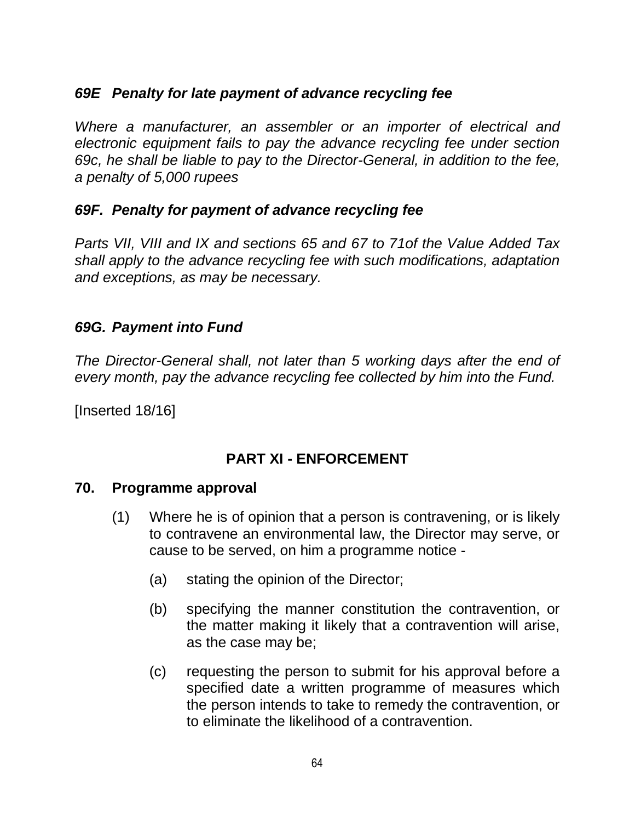### *69E Penalty for late payment of advance recycling fee*

*Where a manufacturer, an assembler or an importer of electrical and electronic equipment fails to pay the advance recycling fee under section 69c, he shall be liable to pay to the Director-General, in addition to the fee, a penalty of 5,000 rupees*

### *69F. Penalty for payment of advance recycling fee*

*Parts VII, VIII and IX and sections 65 and 67 to 71of the Value Added Tax shall apply to the advance recycling fee with such modifications, adaptation and exceptions, as may be necessary.*

#### *69G. Payment into Fund*

*The Director-General shall, not later than 5 working days after the end of every month, pay the advance recycling fee collected by him into the Fund.*

[Inserted 18/16]

### **PART XI - ENFORCEMENT**

#### **70. Programme approval**

- (1) Where he is of opinion that a person is contravening, or is likely to contravene an environmental law, the Director may serve, or cause to be served, on him a programme notice -
	- (a) stating the opinion of the Director;
	- (b) specifying the manner constitution the contravention, or the matter making it likely that a contravention will arise, as the case may be;
	- (c) requesting the person to submit for his approval before a specified date a written programme of measures which the person intends to take to remedy the contravention, or to eliminate the likelihood of a contravention.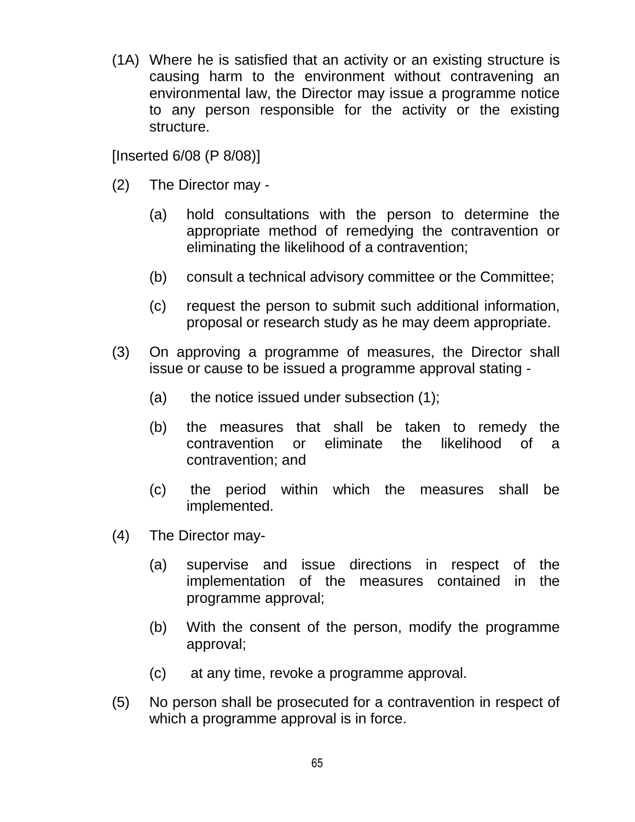(1A) Where he is satisfied that an activity or an existing structure is causing harm to the environment without contravening an environmental law, the Director may issue a programme notice to any person responsible for the activity or the existing structure.

[Inserted 6/08 (P 8/08)]

- (2) The Director may
	- (a) hold consultations with the person to determine the appropriate method of remedying the contravention or eliminating the likelihood of a contravention;
	- (b) consult a technical advisory committee or the Committee;
	- (c) request the person to submit such additional information, proposal or research study as he may deem appropriate.
- (3) On approving a programme of measures, the Director shall issue or cause to be issued a programme approval stating -
	- (a) the notice issued under subsection (1);
	- (b) the measures that shall be taken to remedy the contravention or eliminate the likelihood of a contravention; and
	- (c) the period within which the measures shall be implemented.
- (4) The Director may-
	- (a) supervise and issue directions in respect of the implementation of the measures contained in the programme approval;
	- (b) With the consent of the person, modify the programme approval;
	- (c) at any time, revoke a programme approval.
- (5) No person shall be prosecuted for a contravention in respect of which a programme approval is in force.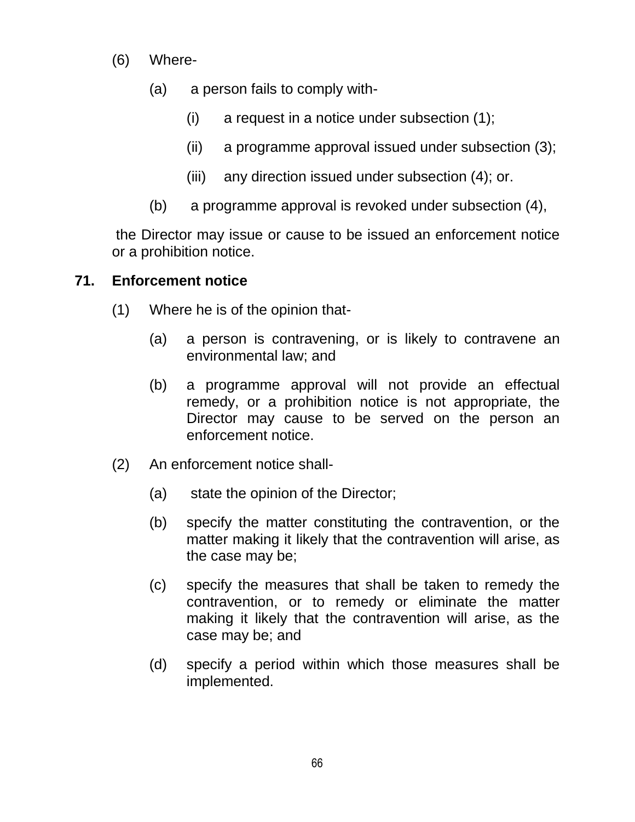- (6) Where-
	- (a) a person fails to comply with-
		- (i) a request in a notice under subsection (1);
		- (ii) a programme approval issued under subsection (3);
		- (iii) any direction issued under subsection (4); or.
	- (b) a programme approval is revoked under subsection (4),

the Director may issue or cause to be issued an enforcement notice or a prohibition notice.

### **71. Enforcement notice**

- (1) Where he is of the opinion that-
	- (a) a person is contravening, or is likely to contravene an environmental law; and
	- (b) a programme approval will not provide an effectual remedy, or a prohibition notice is not appropriate, the Director may cause to be served on the person an enforcement notice.
- (2) An enforcement notice shall-
	- (a) state the opinion of the Director;
	- (b) specify the matter constituting the contravention, or the matter making it likely that the contravention will arise, as the case may be;
	- (c) specify the measures that shall be taken to remedy the contravention, or to remedy or eliminate the matter making it likely that the contravention will arise, as the case may be; and
	- (d) specify a period within which those measures shall be implemented.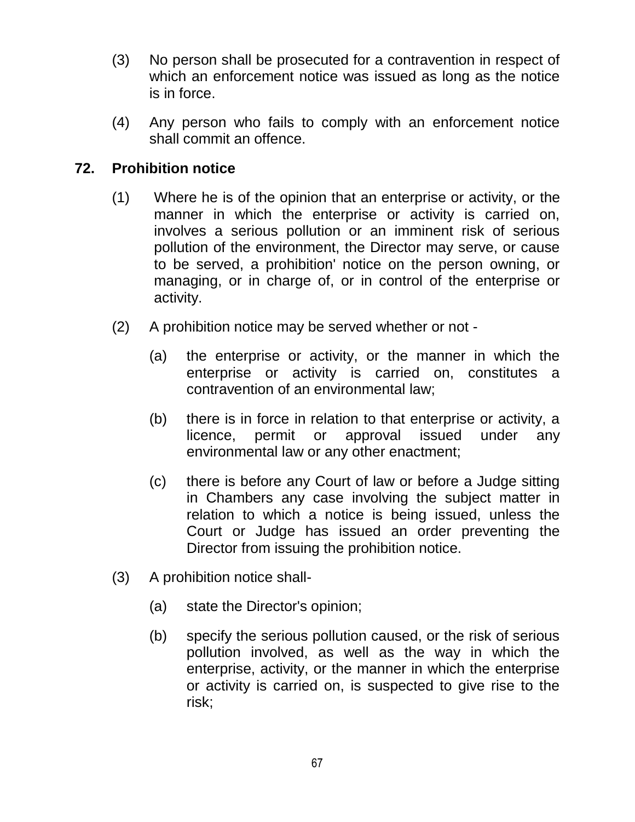- (3) No person shall be prosecuted for a contravention in respect of which an enforcement notice was issued as long as the notice is in force.
- (4) Any person who fails to comply with an enforcement notice shall commit an offence.

## **72. Prohibition notice**

- (1) Where he is of the opinion that an enterprise or activity, or the manner in which the enterprise or activity is carried on, involves a serious pollution or an imminent risk of serious pollution of the environment, the Director may serve, or cause to be served, a prohibition' notice on the person owning, or managing, or in charge of, or in control of the enterprise or activity.
- (2) A prohibition notice may be served whether or not
	- (a) the enterprise or activity, or the manner in which the enterprise or activity is carried on, constitutes a contravention of an environmental law;
	- (b) there is in force in relation to that enterprise or activity, a licence, permit or approval issued under any environmental law or any other enactment;
	- (c) there is before any Court of law or before a Judge sitting in Chambers any case involving the subject matter in relation to which a notice is being issued, unless the Court or Judge has issued an order preventing the Director from issuing the prohibition notice.
- (3) A prohibition notice shall-
	- (a) state the Director's opinion;
	- (b) specify the serious pollution caused, or the risk of serious pollution involved, as well as the way in which the enterprise, activity, or the manner in which the enterprise or activity is carried on, is suspected to give rise to the risk;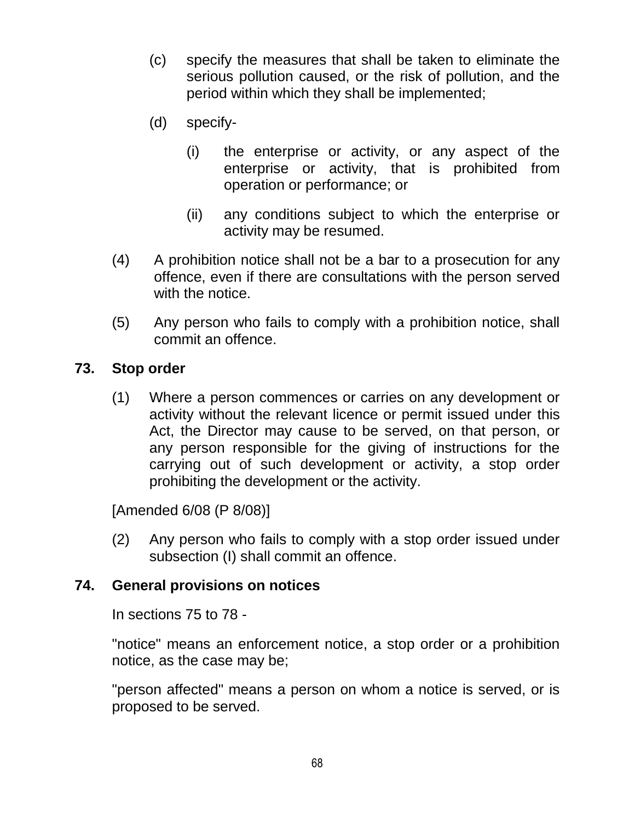- (c) specify the measures that shall be taken to eliminate the serious pollution caused, or the risk of pollution, and the period within which they shall be implemented;
- (d) specify-
	- (i) the enterprise or activity, or any aspect of the enterprise or activity, that is prohibited from operation or performance; or
	- (ii) any conditions subject to which the enterprise or activity may be resumed.
- (4) A prohibition notice shall not be a bar to a prosecution for any offence, even if there are consultations with the person served with the notice.
- (5) Any person who fails to comply with a prohibition notice, shall commit an offence.

### **73. Stop order**

(1) Where a person commences or carries on any development or activity without the relevant licence or permit issued under this Act, the Director may cause to be served, on that person, or any person responsible for the giving of instructions for the carrying out of such development or activity, a stop order prohibiting the development or the activity.

[Amended 6/08 (P 8/08)]

(2) Any person who fails to comply with a stop order issued under subsection (I) shall commit an offence.

#### **74. General provisions on notices**

In sections 75 to 78 -

"notice" means an enforcement notice, a stop order or a prohibition notice, as the case may be;

"person affected" means a person on whom a notice is served, or is proposed to be served.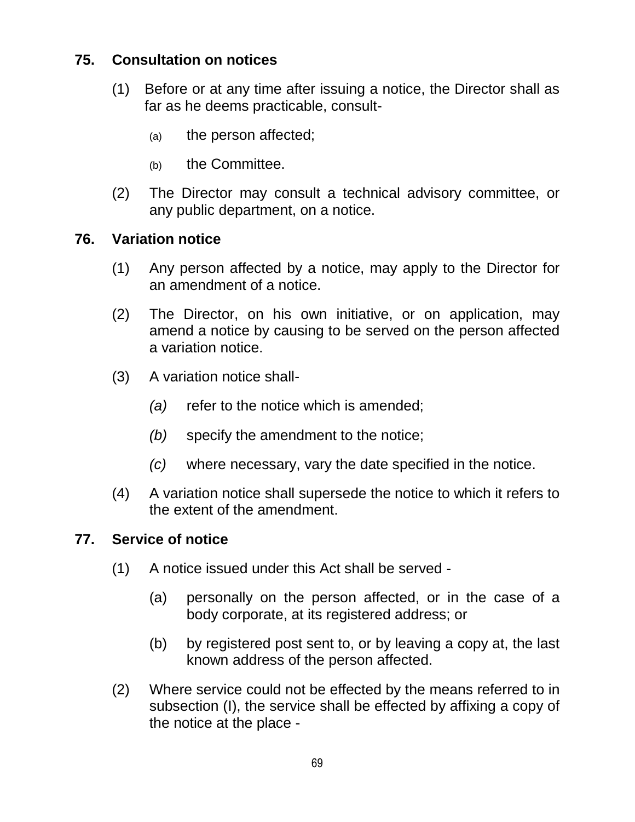## **75. Consultation on notices**

- (1) Before or at any time after issuing a notice, the Director shall as far as he deems practicable, consult-
	- (a) the person affected;
	- (b) the Committee.
- (2) The Director may consult a technical advisory committee, or any public department, on a notice.

### **76. Variation notice**

- (1) Any person affected by a notice, may apply to the Director for an amendment of a notice.
- (2) The Director, on his own initiative, or on application, may amend a notice by causing to be served on the person affected a variation notice.
- (3) A variation notice shall-
	- *(a)* refer to the notice which is amended;
	- *(b)* specify the amendment to the notice;
	- *(c)* where necessary, vary the date specified in the notice.
- (4) A variation notice shall supersede the notice to which it refers to the extent of the amendment.

### **77. Service of notice**

- (1) A notice issued under this Act shall be served
	- (a) personally on the person affected, or in the case of a body corporate, at its registered address; or
	- (b) by registered post sent to, or by leaving a copy at, the last known address of the person affected.
- (2) Where service could not be effected by the means referred to in subsection (I), the service shall be effected by affixing a copy of the notice at the place -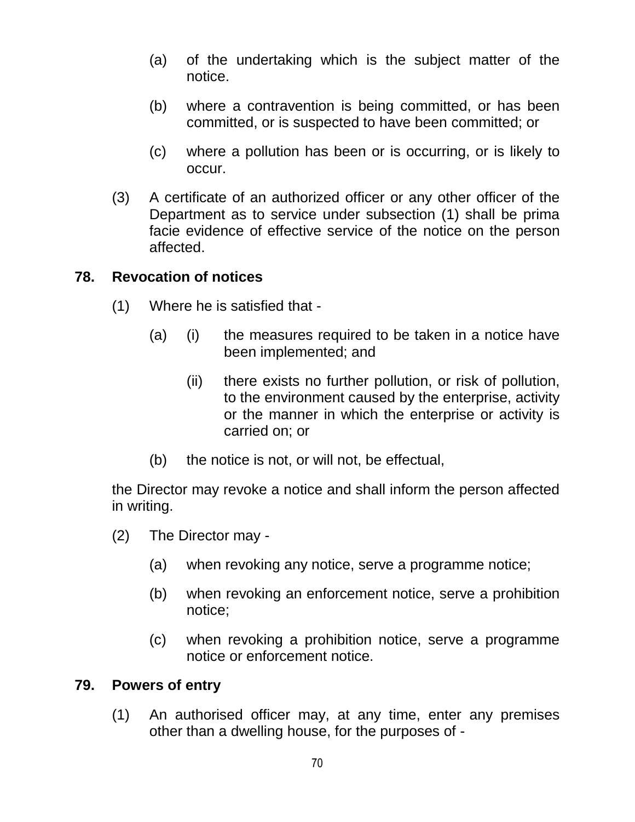- (a) of the undertaking which is the subject matter of the notice.
- (b) where a contravention is being committed, or has been committed, or is suspected to have been committed; or
- (c) where a pollution has been or is occurring, or is likely to occur.
- (3) A certificate of an authorized officer or any other officer of the Department as to service under subsection (1) shall be prima facie evidence of effective service of the notice on the person affected.

#### **78. Revocation of notices**

- (1) Where he is satisfied that
	- (a) (i) the measures required to be taken in a notice have been implemented; and
		- (ii) there exists no further pollution, or risk of pollution, to the environment caused by the enterprise, activity or the manner in which the enterprise or activity is carried on; or
	- (b) the notice is not, or will not, be effectual,

the Director may revoke a notice and shall inform the person affected in writing.

- (2) The Director may
	- (a) when revoking any notice, serve a programme notice;
	- (b) when revoking an enforcement notice, serve a prohibition notice;
	- (c) when revoking a prohibition notice, serve a programme notice or enforcement notice.

#### **79. Powers of entry**

(1) An authorised officer may, at any time, enter any premises other than a dwelling house, for the purposes of -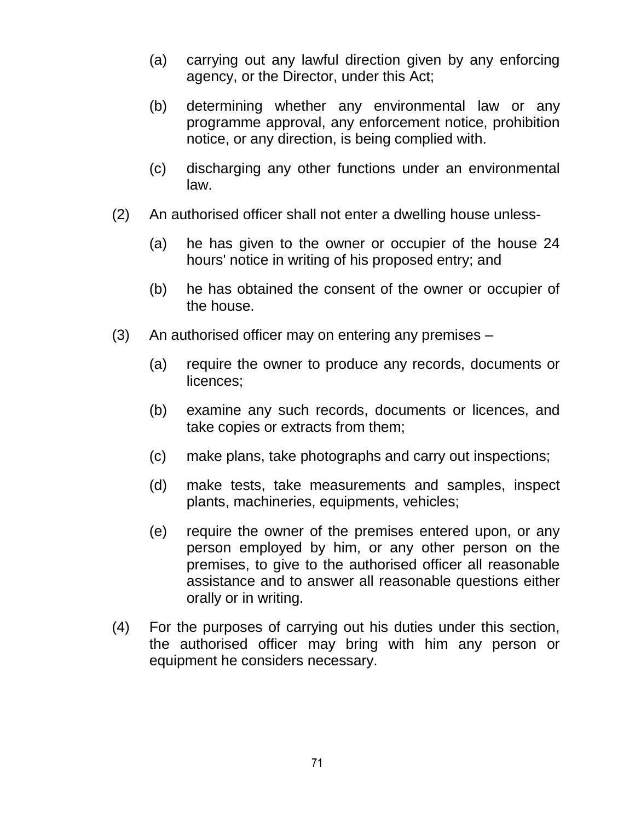- (a) carrying out any lawful direction given by any enforcing agency, or the Director, under this Act;
- (b) determining whether any environmental law or any programme approval, any enforcement notice, prohibition notice, or any direction, is being complied with.
- (c) discharging any other functions under an environmental law.
- (2) An authorised officer shall not enter a dwelling house unless-
	- (a) he has given to the owner or occupier of the house 24 hours' notice in writing of his proposed entry; and
	- (b) he has obtained the consent of the owner or occupier of the house.
- (3) An authorised officer may on entering any premises
	- (a) require the owner to produce any records, documents or licences;
	- (b) examine any such records, documents or licences, and take copies or extracts from them;
	- (c) make plans, take photographs and carry out inspections;
	- (d) make tests, take measurements and samples, inspect plants, machineries, equipments, vehicles;
	- (e) require the owner of the premises entered upon, or any person employed by him, or any other person on the premises, to give to the authorised officer all reasonable assistance and to answer all reasonable questions either orally or in writing.
- (4) For the purposes of carrying out his duties under this section, the authorised officer may bring with him any person or equipment he considers necessary.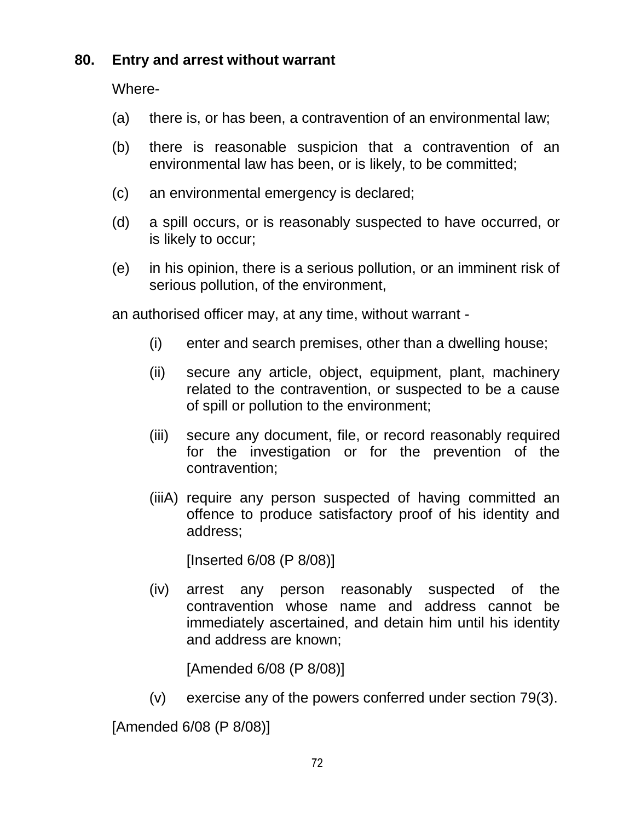### **80. Entry and arrest without warrant**

Where-

- (a) there is, or has been, a contravention of an environmental law;
- (b) there is reasonable suspicion that a contravention of an environmental law has been, or is likely, to be committed;
- (c) an environmental emergency is declared;
- (d) a spill occurs, or is reasonably suspected to have occurred, or is likely to occur;
- (e) in his opinion, there is a serious pollution, or an imminent risk of serious pollution, of the environment,

an authorised officer may, at any time, without warrant -

- (i) enter and search premises, other than a dwelling house;
- (ii) secure any article, object, equipment, plant, machinery related to the contravention, or suspected to be a cause of spill or pollution to the environment;
- (iii) secure any document, file, or record reasonably required for the investigation or for the prevention of the contravention;
- (iiiA) require any person suspected of having committed an offence to produce satisfactory proof of his identity and address;

[Inserted 6/08 (P 8/08)]

(iv) arrest any person reasonably suspected of the contravention whose name and address cannot be immediately ascertained, and detain him until his identity and address are known;

[Amended 6/08 (P 8/08)]

(v) exercise any of the powers conferred under section 79(3).

[Amended 6/08 (P 8/08)]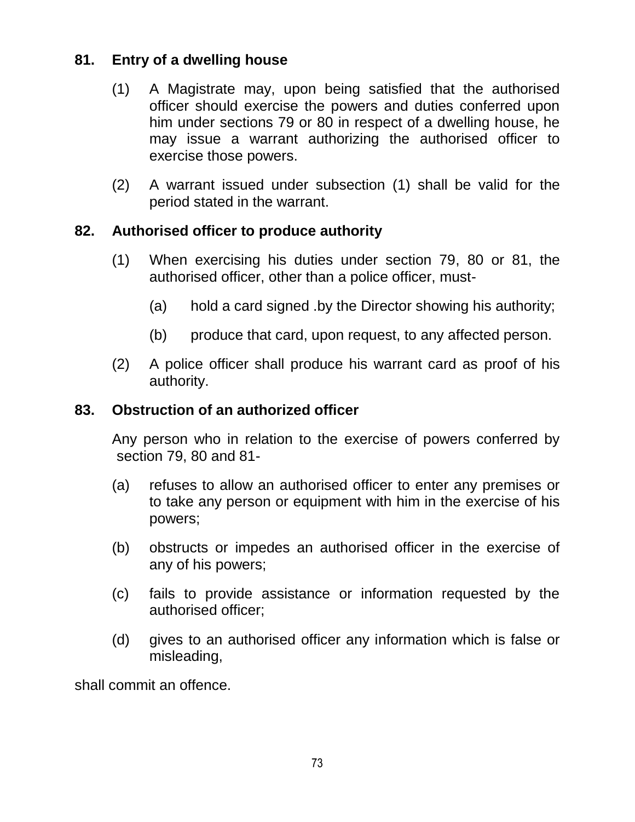## **81. Entry of a dwelling house**

- (1) A Magistrate may, upon being satisfied that the authorised officer should exercise the powers and duties conferred upon him under sections 79 or 80 in respect of a dwelling house, he may issue a warrant authorizing the authorised officer to exercise those powers.
- (2) A warrant issued under subsection (1) shall be valid for the period stated in the warrant.

### **82. Authorised officer to produce authority**

- (1) When exercising his duties under section 79, 80 or 81, the authorised officer, other than a police officer, must-
	- (a) hold a card signed .by the Director showing his authority;
	- (b) produce that card, upon request, to any affected person.
- (2) A police officer shall produce his warrant card as proof of his authority.

#### **83. Obstruction of an authorized officer**

Any person who in relation to the exercise of powers conferred by section 79, 80 and 81-

- (a) refuses to allow an authorised officer to enter any premises or to take any person or equipment with him in the exercise of his powers;
- (b) obstructs or impedes an authorised officer in the exercise of any of his powers;
- (c) fails to provide assistance or information requested by the authorised officer;
- (d) gives to an authorised officer any information which is false or misleading,

shall commit an offence.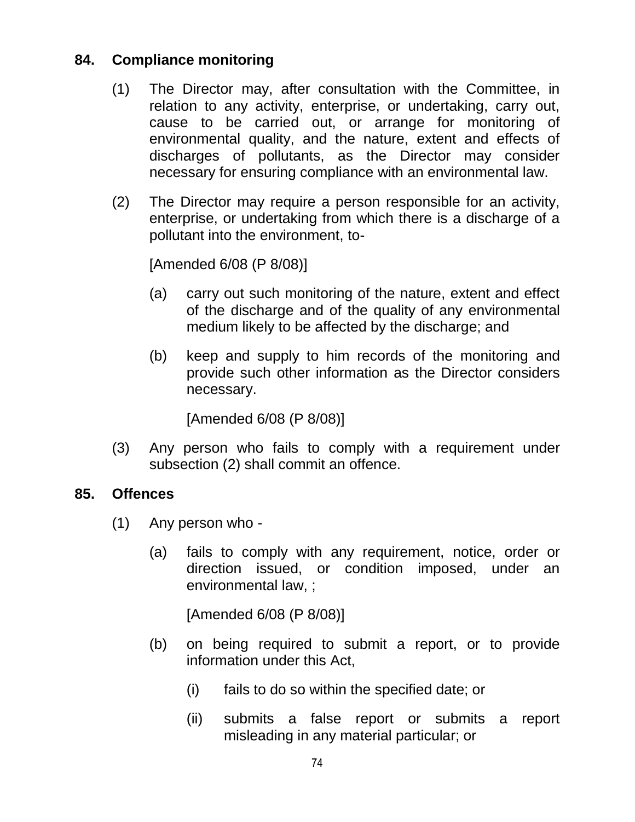### **84. Compliance monitoring**

- (1) The Director may, after consultation with the Committee, in relation to any activity, enterprise, or undertaking, carry out, cause to be carried out, or arrange for monitoring of environmental quality, and the nature, extent and effects of discharges of pollutants, as the Director may consider necessary for ensuring compliance with an environmental law.
- (2) The Director may require a person responsible for an activity, enterprise, or undertaking from which there is a discharge of a pollutant into the environment, to-

[Amended 6/08 (P 8/08)]

- (a) carry out such monitoring of the nature, extent and effect of the discharge and of the quality of any environmental medium likely to be affected by the discharge; and
- (b) keep and supply to him records of the monitoring and provide such other information as the Director considers necessary.

[Amended 6/08 (P 8/08)]

(3) Any person who fails to comply with a requirement under subsection (2) shall commit an offence.

#### **85. Offences**

- (1) Any person who
	- (a) fails to comply with any requirement, notice, order or direction issued, or condition imposed, under an environmental law, ;

[Amended 6/08 (P 8/08)]

- (b) on being required to submit a report, or to provide information under this Act,
	- (i) fails to do so within the specified date; or
	- (ii) submits a false report or submits a report misleading in any material particular; or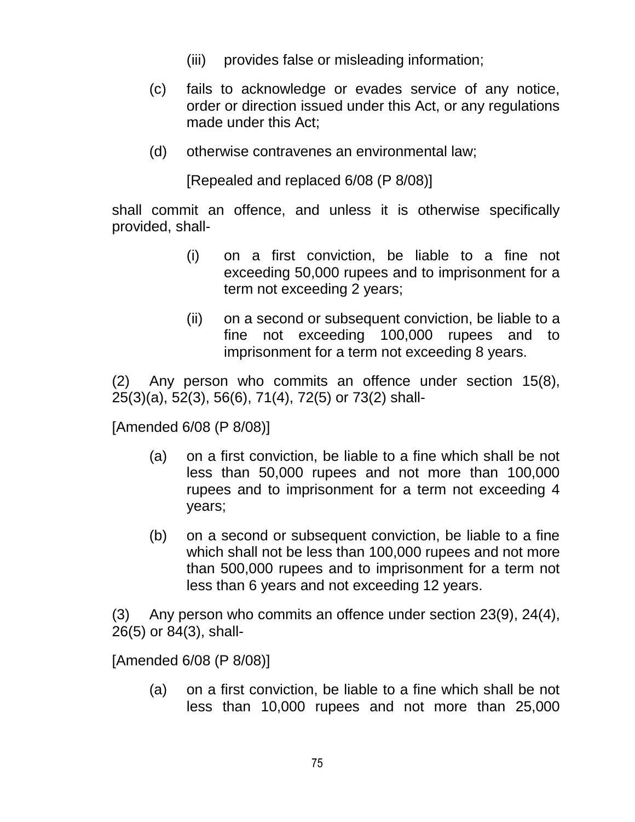- (iii) provides false or misleading information;
- (c) fails to acknowledge or evades service of any notice, order or direction issued under this Act, or any regulations made under this Act;
- (d) otherwise contravenes an environmental law;

[Repealed and replaced 6/08 (P 8/08)]

shall commit an offence, and unless it is otherwise specifically provided, shall-

- (i) on a first conviction, be liable to a fine not exceeding 50,000 rupees and to imprisonment for a term not exceeding 2 years;
- (ii) on a second or subsequent conviction, be liable to a fine not exceeding 100,000 rupees and to imprisonment for a term not exceeding 8 years.

(2) Any person who commits an offence under section 15(8), 25(3)(a), 52(3), 56(6), 71(4), 72(5) or 73(2) shall-

[Amended 6/08 (P 8/08)]

- (a) on a first conviction, be liable to a fine which shall be not less than 50,000 rupees and not more than 100,000 rupees and to imprisonment for a term not exceeding 4 years;
- (b) on a second or subsequent conviction, be liable to a fine which shall not be less than 100,000 rupees and not more than 500,000 rupees and to imprisonment for a term not less than 6 years and not exceeding 12 years.

(3) Any person who commits an offence under section 23(9), 24(4), 26(5) or 84(3), shall-

[Amended 6/08 (P 8/08)]

(a) on a first conviction, be liable to a fine which shall be not less than 10,000 rupees and not more than 25,000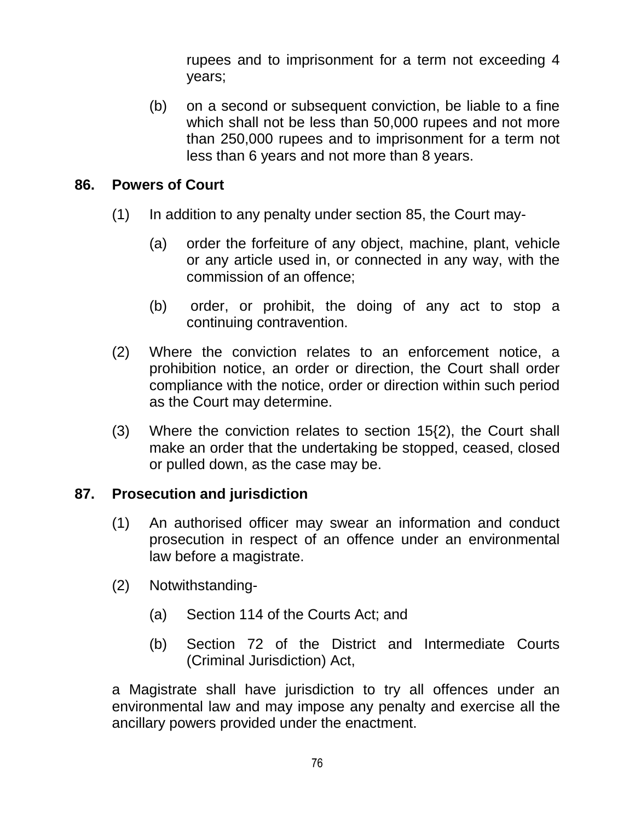rupees and to imprisonment for a term not exceeding 4 years;

(b) on a second or subsequent conviction, be liable to a fine which shall not be less than 50,000 rupees and not more than 250,000 rupees and to imprisonment for a term not less than 6 years and not more than 8 years.

#### **86. Powers of Court**

- (1) In addition to any penalty under section 85, the Court may-
	- (a) order the forfeiture of any object, machine, plant, vehicle or any article used in, or connected in any way, with the commission of an offence;
	- (b) order, or prohibit, the doing of any act to stop a continuing contravention.
- (2) Where the conviction relates to an enforcement notice, a prohibition notice, an order or direction, the Court shall order compliance with the notice, order or direction within such period as the Court may determine.
- (3) Where the conviction relates to section 15{2), the Court shall make an order that the undertaking be stopped, ceased, closed or pulled down, as the case may be.

#### **87. Prosecution and jurisdiction**

- (1) An authorised officer may swear an information and conduct prosecution in respect of an offence under an environmental law before a magistrate.
- (2) Notwithstanding-
	- (a) Section 114 of the Courts Act; and
	- (b) Section 72 of the District and Intermediate Courts (Criminal Jurisdiction) Act,

a Magistrate shall have jurisdiction to try all offences under an environmental law and may impose any penalty and exercise all the ancillary powers provided under the enactment.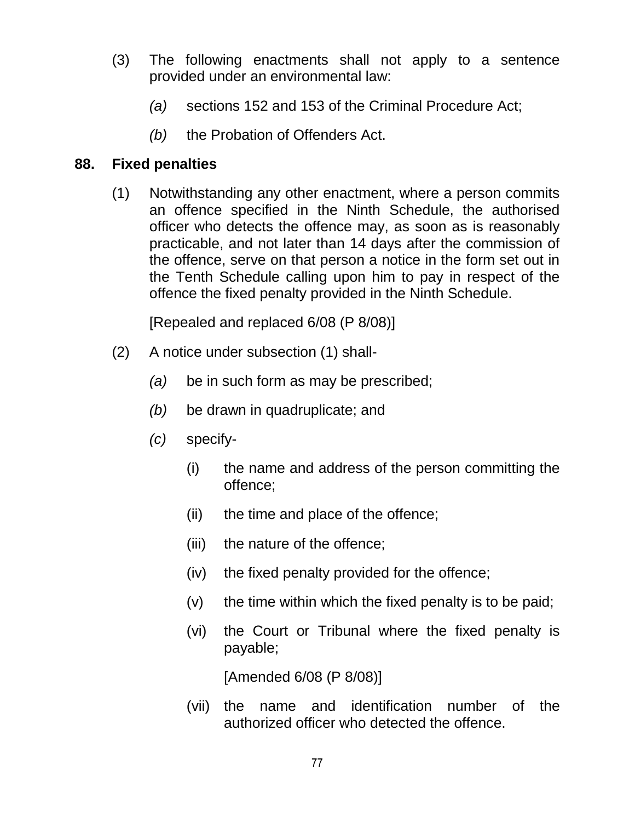- (3) The following enactments shall not apply to a sentence provided under an environmental law:
	- *(a)* sections 152 and 153 of the Criminal Procedure Act;
	- *(b)* the Probation of Offenders Act.

### **88. Fixed penalties**

(1) Notwithstanding any other enactment, where a person commits an offence specified in the Ninth Schedule, the authorised officer who detects the offence may, as soon as is reasonably practicable, and not later than 14 days after the commission of the offence, serve on that person a notice in the form set out in the Tenth Schedule calling upon him to pay in respect of the offence the fixed penalty provided in the Ninth Schedule.

[Repealed and replaced 6/08 (P 8/08)]

- (2) A notice under subsection (1) shall-
	- *(a)* be in such form as may be prescribed;
	- *(b)* be drawn in quadruplicate; and
	- *(c)* specify-
		- (i) the name and address of the person committing the offence;
		- (ii) the time and place of the offence;
		- (iii) the nature of the offence;
		- (iv) the fixed penalty provided for the offence;
		- (v) the time within which the fixed penalty is to be paid;
		- (vi) the Court or Tribunal where the fixed penalty is payable;

[Amended 6/08 (P 8/08)]

(vii) the name and identification number of the authorized officer who detected the offence.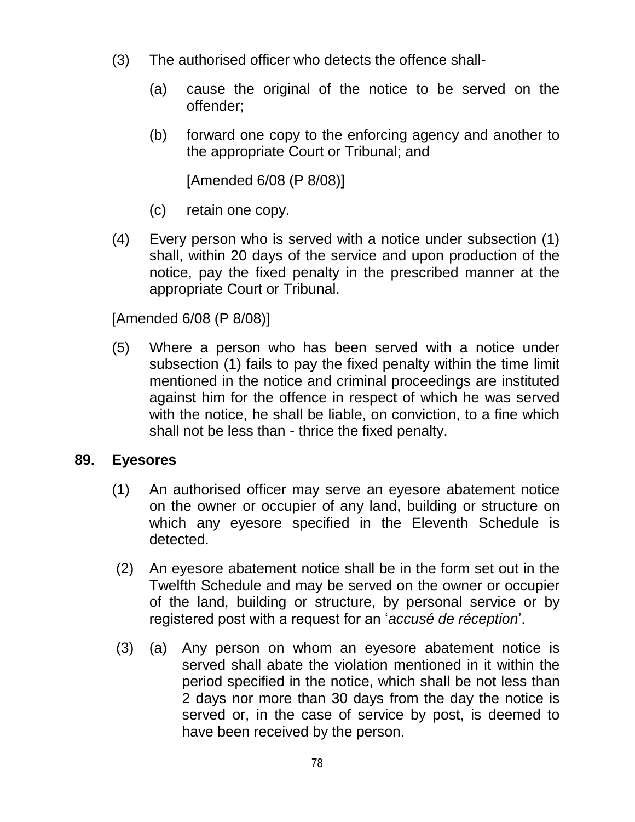- (3) The authorised officer who detects the offence shall-
	- (a) cause the original of the notice to be served on the offender;
	- (b) forward one copy to the enforcing agency and another to the appropriate Court or Tribunal; and

[Amended 6/08 (P 8/08)]

- (c) retain one copy.
- (4) Every person who is served with a notice under subsection (1) shall, within 20 days of the service and upon production of the notice, pay the fixed penalty in the prescribed manner at the appropriate Court or Tribunal.

[Amended 6/08 (P 8/08)]

(5) Where a person who has been served with a notice under subsection (1) fails to pay the fixed penalty within the time limit mentioned in the notice and criminal proceedings are instituted against him for the offence in respect of which he was served with the notice, he shall be liable, on conviction, to a fine which shall not be less than - thrice the fixed penalty.

#### **89. Eyesores**

- (1) An authorised officer may serve an eyesore abatement notice on the owner or occupier of any land, building or structure on which any eyesore specified in the Eleventh Schedule is detected.
- (2) An eyesore abatement notice shall be in the form set out in the Twelfth Schedule and may be served on the owner or occupier of the land, building or structure, by personal service or by registered post with a request for an "*accusé de réception*".
- (3) (a) Any person on whom an eyesore abatement notice is served shall abate the violation mentioned in it within the period specified in the notice, which shall be not less than 2 days nor more than 30 days from the day the notice is served or, in the case of service by post, is deemed to have been received by the person.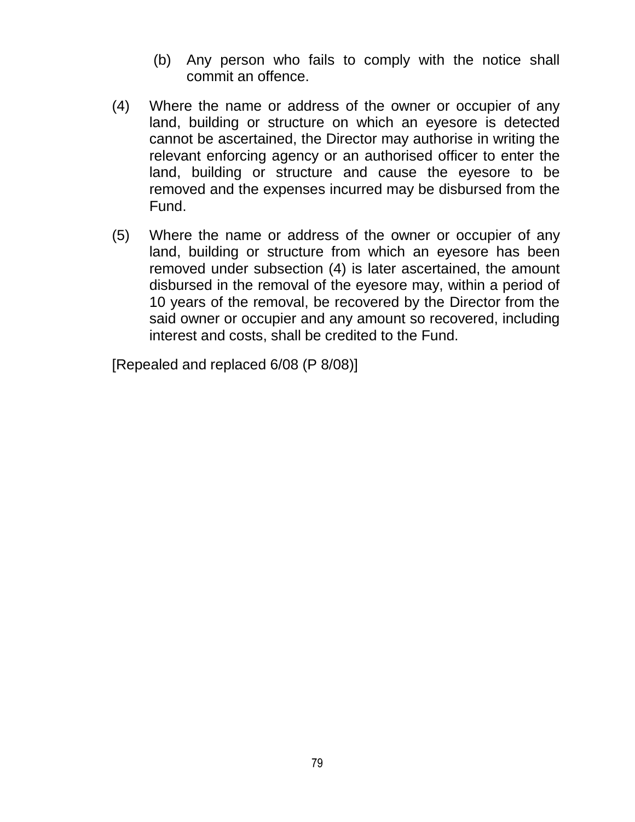- (b) Any person who fails to comply with the notice shall commit an offence.
- (4) Where the name or address of the owner or occupier of any land, building or structure on which an eyesore is detected cannot be ascertained, the Director may authorise in writing the relevant enforcing agency or an authorised officer to enter the land, building or structure and cause the eyesore to be removed and the expenses incurred may be disbursed from the Fund.
- (5) Where the name or address of the owner or occupier of any land, building or structure from which an eyesore has been removed under subsection (4) is later ascertained, the amount disbursed in the removal of the eyesore may, within a period of 10 years of the removal, be recovered by the Director from the said owner or occupier and any amount so recovered, including interest and costs, shall be credited to the Fund.

[Repealed and replaced 6/08 (P 8/08)]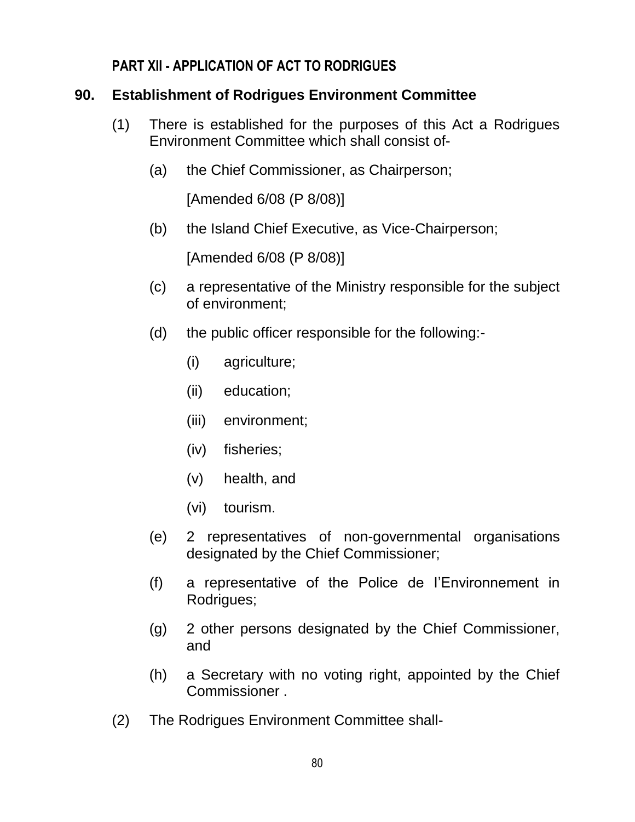#### **PART XII - APPLICATION OF ACT TO RODRIGUES**

### **90. Establishment of Rodrigues Environment Committee**

- (1) There is established for the purposes of this Act a Rodrigues Environment Committee which shall consist of-
	- (a) the Chief Commissioner, as Chairperson;

[Amended 6/08 (P 8/08)]

(b) the Island Chief Executive, as Vice-Chairperson;

[Amended 6/08 (P 8/08)]

- (c) a representative of the Ministry responsible for the subject of environment;
- (d) the public officer responsible for the following:-
	- (i) agriculture;
	- (ii) education;
	- (iii) environment;
	- (iv) fisheries;
	- (v) health, and
	- (vi) tourism.
- (e) 2 representatives of non-governmental organisations designated by the Chief Commissioner;
- (f) a representative of the Police de I"Environnement in Rodrigues;
- (g) 2 other persons designated by the Chief Commissioner, and
- (h) a Secretary with no voting right, appointed by the Chief Commissioner .
- (2) The Rodrigues Environment Committee shall-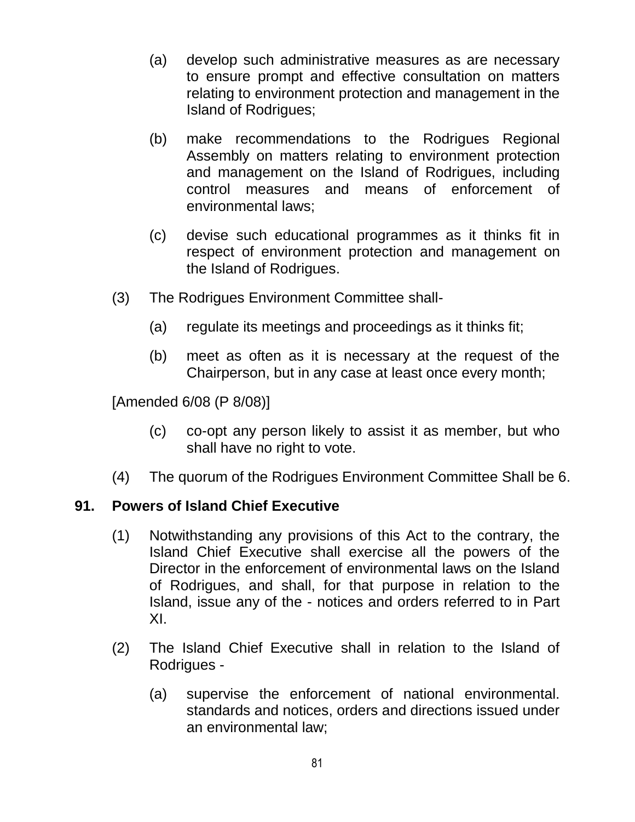- (a) develop such administrative measures as are necessary to ensure prompt and effective consultation on matters relating to environment protection and management in the Island of Rodrigues;
- (b) make recommendations to the Rodrigues Regional Assembly on matters relating to environment protection and management on the Island of Rodrigues, including control measures and means of enforcement of environmental laws;
- (c) devise such educational programmes as it thinks fit in respect of environment protection and management on the Island of Rodrigues.
- (3) The Rodrigues Environment Committee shall-
	- (a) regulate its meetings and proceedings as it thinks fit;
	- (b) meet as often as it is necessary at the request of the Chairperson, but in any case at least once every month;

[Amended 6/08 (P 8/08)]

- (c) co-opt any person likely to assist it as member, but who shall have no right to vote.
- (4) The quorum of the Rodrigues Environment Committee Shall be 6.

#### **91. Powers of Island Chief Executive**

- (1) Notwithstanding any provisions of this Act to the contrary, the Island Chief Executive shall exercise all the powers of the Director in the enforcement of environmental laws on the Island of Rodrigues, and shall, for that purpose in relation to the Island, issue any of the - notices and orders referred to in Part XI.
- (2) The Island Chief Executive shall in relation to the Island of Rodrigues -
	- (a) supervise the enforcement of national environmental. standards and notices, orders and directions issued under an environmental law;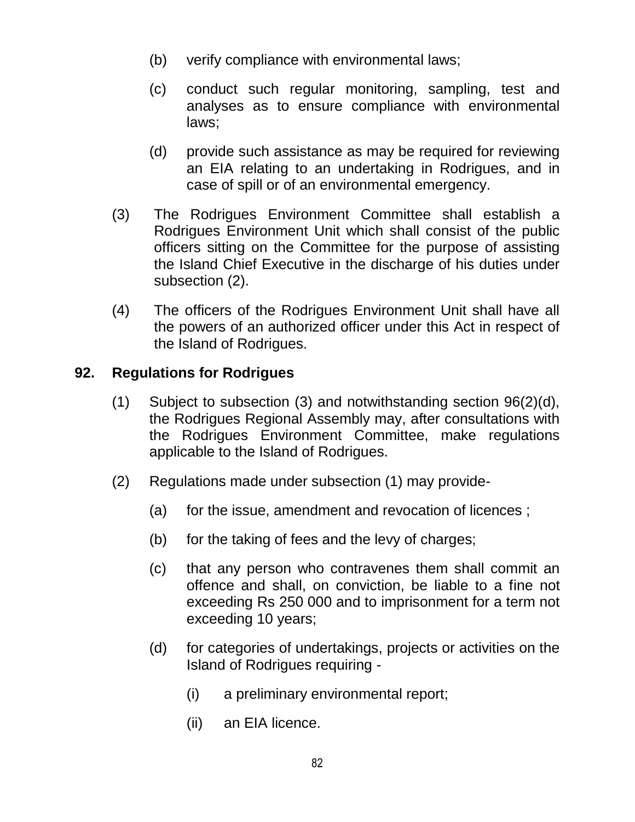- (b) verify compliance with environmental laws;
- (c) conduct such regular monitoring, sampling, test and analyses as to ensure compliance with environmental laws;
- (d) provide such assistance as may be required for reviewing an EIA relating to an undertaking in Rodrigues, and in case of spill or of an environmental emergency.
- (3) The Rodrigues Environment Committee shall establish a Rodrigues Environment Unit which shall consist of the public officers sitting on the Committee for the purpose of assisting the Island Chief Executive in the discharge of his duties under subsection (2).
- (4) The officers of the Rodrigues Environment Unit shall have all the powers of an authorized officer under this Act in respect of the Island of Rodrigues.

## **92. Regulations for Rodrigues**

- (1) Subject to subsection (3) and notwithstanding section 96(2)(d), the Rodrigues Regional Assembly may, after consultations with the Rodrigues Environment Committee, make regulations applicable to the Island of Rodrigues.
- (2) Regulations made under subsection (1) may provide-
	- (a) for the issue, amendment and revocation of licences ;
	- (b) for the taking of fees and the levy of charges;
	- (c) that any person who contravenes them shall commit an offence and shall, on conviction, be liable to a fine not exceeding Rs 250 000 and to imprisonment for a term not exceeding 10 years;
	- (d) for categories of undertakings, projects or activities on the Island of Rodrigues requiring -
		- (i) a preliminary environmental report;
		- (ii) an EIA licence.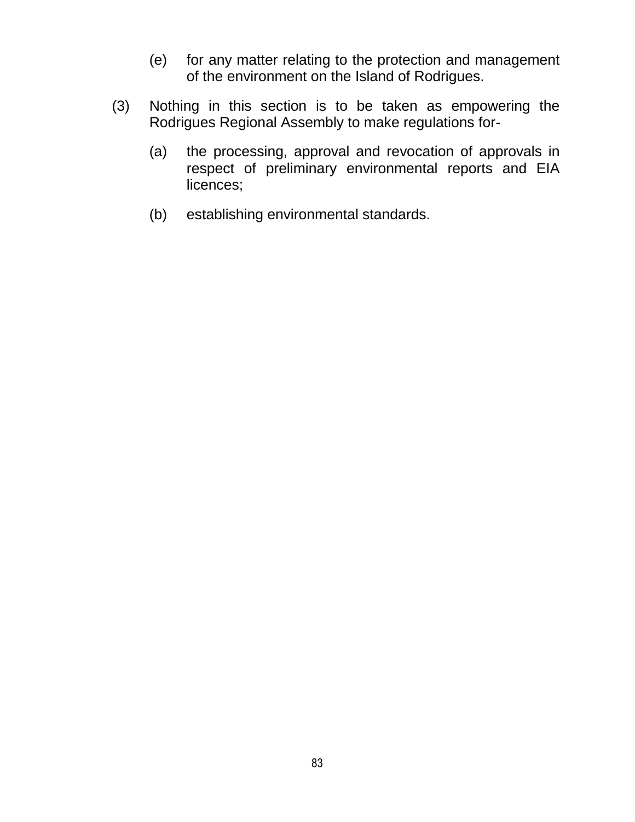- (e) for any matter relating to the protection and management of the environment on the Island of Rodrigues.
- (3) Nothing in this section is to be taken as empowering the Rodrigues Regional Assembly to make regulations for-
	- (a) the processing, approval and revocation of approvals in respect of preliminary environmental reports and EIA licences;
	- (b) establishing environmental standards.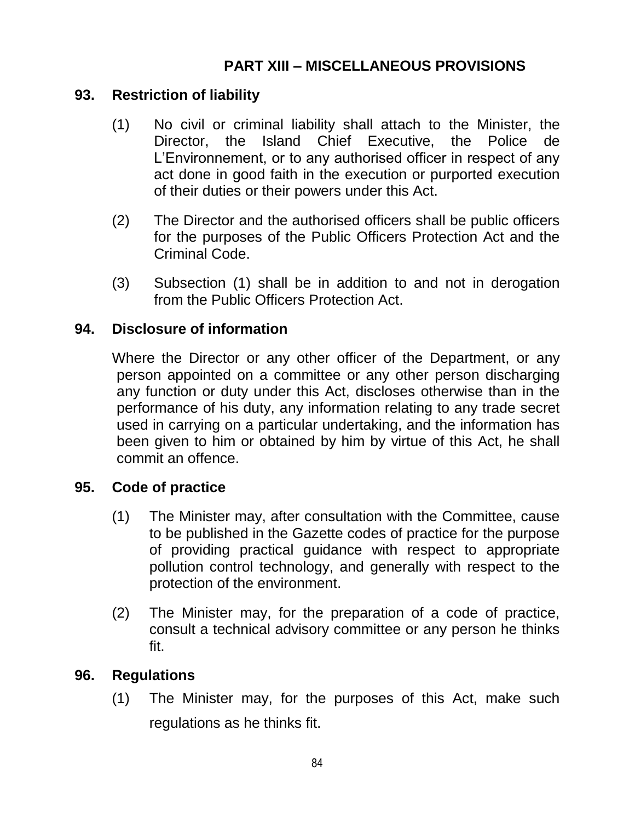## **PART XIII – MISCELLANEOUS PROVISIONS**

#### **93. Restriction of liability**

- (1) No civil or criminal liability shall attach to the Minister, the Director, the Island Chief Executive, the Police de L"Environnement, or to any authorised officer in respect of any act done in good faith in the execution or purported execution of their duties or their powers under this Act.
- (2) The Director and the authorised officers shall be public officers for the purposes of the Public Officers Protection Act and the Criminal Code.
- (3) Subsection (1) shall be in addition to and not in derogation from the Public Officers Protection Act.

#### **94. Disclosure of information**

Where the Director or any other officer of the Department, or any person appointed on a committee or any other person discharging any function or duty under this Act, discloses otherwise than in the performance of his duty, any information relating to any trade secret used in carrying on a particular undertaking, and the information has been given to him or obtained by him by virtue of this Act, he shall commit an offence.

#### **95. Code of practice**

- (1) The Minister may, after consultation with the Committee, cause to be published in the Gazette codes of practice for the purpose of providing practical guidance with respect to appropriate pollution control technology, and generally with respect to the protection of the environment.
- (2) The Minister may, for the preparation of a code of practice, consult a technical advisory committee or any person he thinks fit.

#### **96. Regulations**

(1) The Minister may, for the purposes of this Act, make such regulations as he thinks fit.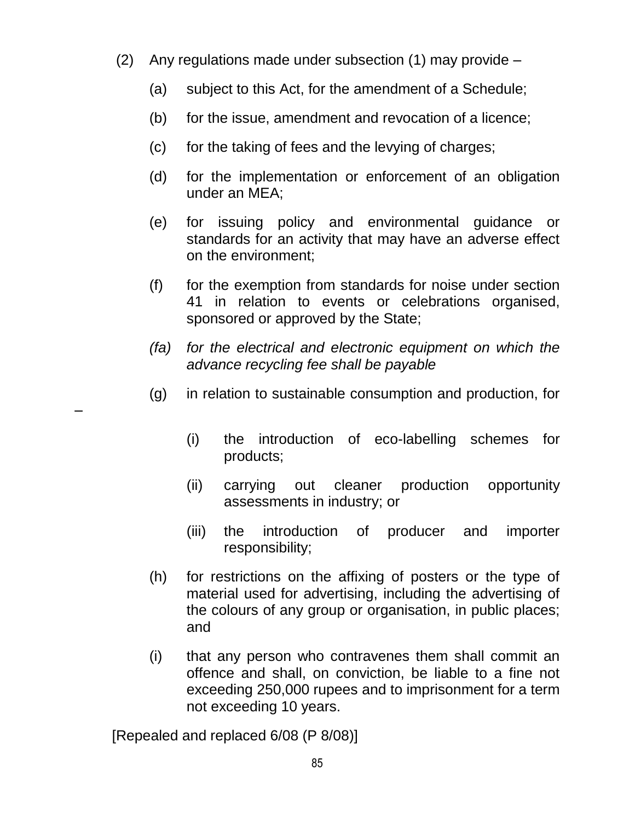- (2) Any regulations made under subsection (1) may provide
	- (a) subject to this Act, for the amendment of a Schedule;
	- (b) for the issue, amendment and revocation of a licence;
	- (c) for the taking of fees and the levying of charges;
	- (d) for the implementation or enforcement of an obligation under an MEA;
	- (e) for issuing policy and environmental guidance or standards for an activity that may have an adverse effect on the environment;
	- (f) for the exemption from standards for noise under section 41 in relation to events or celebrations organised, sponsored or approved by the State;
	- *(fa) for the electrical and electronic equipment on which the advance recycling fee shall be payable*
	- (g) in relation to sustainable consumption and production, for
		- (i) the introduction of eco-labelling schemes for products;
		- (ii) carrying out cleaner production opportunity assessments in industry; or
		- (iii) the introduction of producer and importer responsibility;
	- (h) for restrictions on the affixing of posters or the type of material used for advertising, including the advertising of the colours of any group or organisation, in public places; and
	- (i) that any person who contravenes them shall commit an offence and shall, on conviction, be liable to a fine not exceeding 250,000 rupees and to imprisonment for a term not exceeding 10 years.

[Repealed and replaced 6/08 (P 8/08)]

–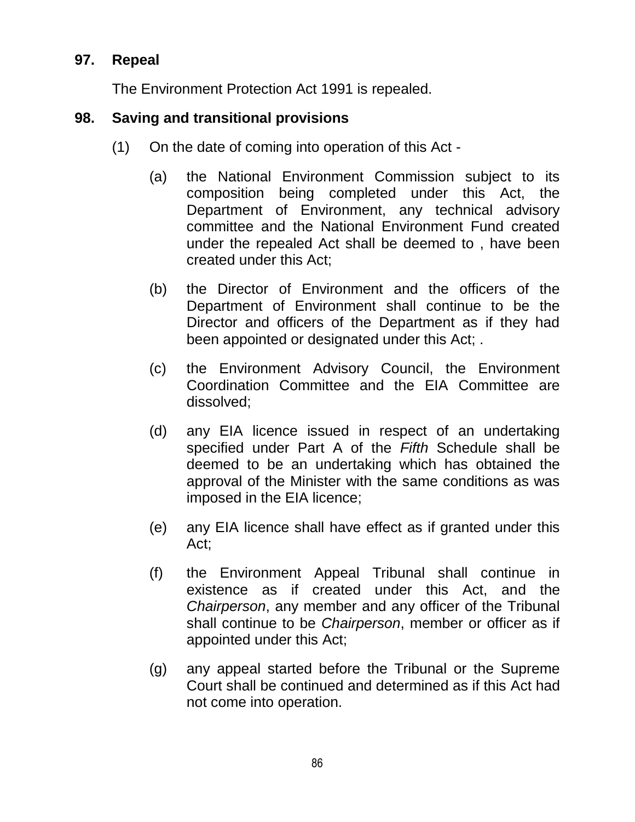## **97. Repeal**

The Environment Protection Act 1991 is repealed.

#### **98. Saving and transitional provisions**

- (1) On the date of coming into operation of this Act
	- (a) the National Environment Commission subject to its composition being completed under this Act, the Department of Environment, any technical advisory committee and the National Environment Fund created under the repealed Act shall be deemed to , have been created under this Act;
	- (b) the Director of Environment and the officers of the Department of Environment shall continue to be the Director and officers of the Department as if they had been appointed or designated under this Act; .
	- (c) the Environment Advisory Council, the Environment Coordination Committee and the EIA Committee are dissolved;
	- (d) any EIA licence issued in respect of an undertaking specified under Part A of the *Fifth* Schedule shall be deemed to be an undertaking which has obtained the approval of the Minister with the same conditions as was imposed in the EIA licence;
	- (e) any EIA licence shall have effect as if granted under this Act;
	- (f) the Environment Appeal Tribunal shall continue in existence as if created under this Act, and the *Chairperson*, any member and any officer of the Tribunal shall continue to be *Chairperson*, member or officer as if appointed under this Act;
	- (g) any appeal started before the Tribunal or the Supreme Court shall be continued and determined as if this Act had not come into operation.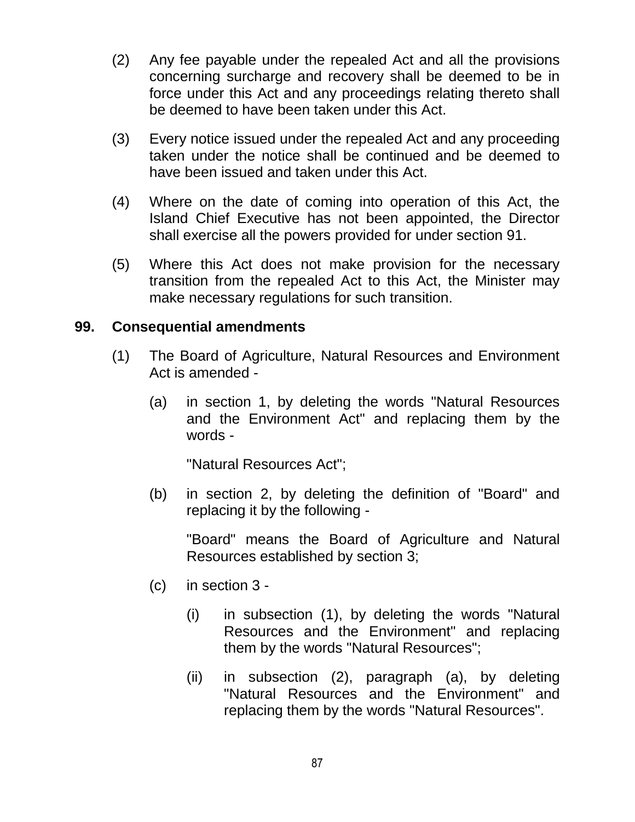- (2) Any fee payable under the repealed Act and all the provisions concerning surcharge and recovery shall be deemed to be in force under this Act and any proceedings relating thereto shall be deemed to have been taken under this Act.
- (3) Every notice issued under the repealed Act and any proceeding taken under the notice shall be continued and be deemed to have been issued and taken under this Act.
- (4) Where on the date of coming into operation of this Act, the Island Chief Executive has not been appointed, the Director shall exercise all the powers provided for under section 91.
- (5) Where this Act does not make provision for the necessary transition from the repealed Act to this Act, the Minister may make necessary regulations for such transition.

#### **99. Consequential amendments**

- (1) The Board of Agriculture, Natural Resources and Environment Act is amended -
	- (a) in section 1, by deleting the words "Natural Resources and the Environment Act" and replacing them by the words -

"Natural Resources Act";

(b) in section 2, by deleting the definition of "Board" and replacing it by the following -

"Board" means the Board of Agriculture and Natural Resources established by section 3;

- (c) in section 3
	- (i) in subsection (1), by deleting the words "Natural Resources and the Environment" and replacing them by the words "Natural Resources";
	- (ii) in subsection (2), paragraph (a), by deleting "Natural Resources and the Environment" and replacing them by the words "Natural Resources".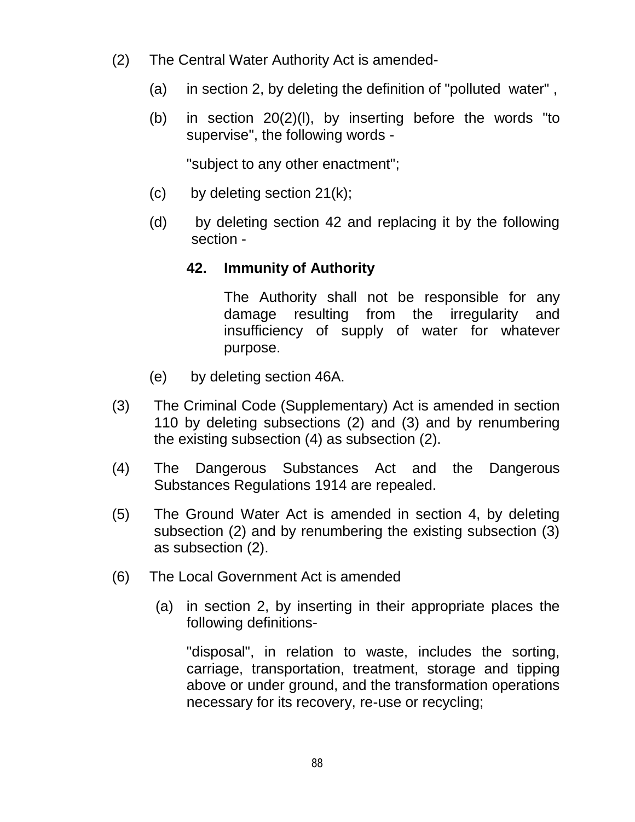- (2) The Central Water Authority Act is amended-
	- (a) in section 2, by deleting the definition of "polluted water" ,
	- (b) in section 20(2)(l), by inserting before the words "to supervise", the following words -

"subject to any other enactment";

- $(c)$  by deleting section 21 $(k)$ ;
- (d) by deleting section 42 and replacing it by the following section -

## **42. Immunity of Authority**

The Authority shall not be responsible for any damage resulting from the irregularity and insufficiency of supply of water for whatever purpose.

- (e) by deleting section 46A.
- (3) The Criminal Code (Supplementary) Act is amended in section 110 by deleting subsections (2) and (3) and by renumbering the existing subsection (4) as subsection (2).
- (4) The Dangerous Substances Act and the Dangerous Substances Regulations 1914 are repealed.
- (5) The Ground Water Act is amended in section 4, by deleting subsection (2) and by renumbering the existing subsection (3) as subsection (2).
- (6) The Local Government Act is amended
	- (a) in section 2, by inserting in their appropriate places the following definitions-

"disposal", in relation to waste, includes the sorting, carriage, transportation, treatment, storage and tipping above or under ground, and the transformation operations necessary for its recovery, re-use or recycling;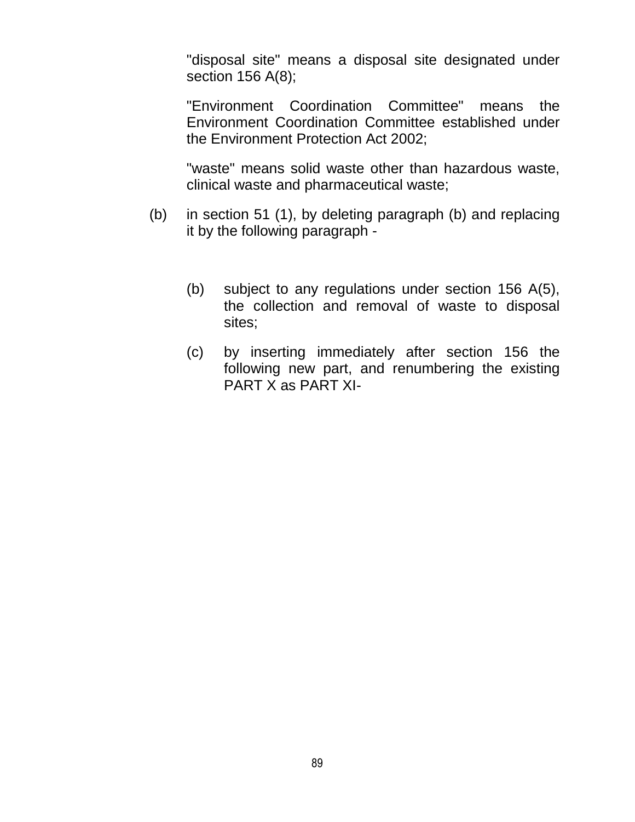"disposal site" means a disposal site designated under section 156 A(8);

"Environment Coordination Committee" means the Environment Coordination Committee established under the Environment Protection Act 2002;

"waste" means solid waste other than hazardous waste, clinical waste and pharmaceutical waste;

- (b) in section 51 (1), by deleting paragraph (b) and replacing it by the following paragraph -
	- (b) subject to any regulations under section 156 A(5), the collection and removal of waste to disposal sites;
	- (c) by inserting immediately after section 156 the following new part, and renumbering the existing PART X as PART XI-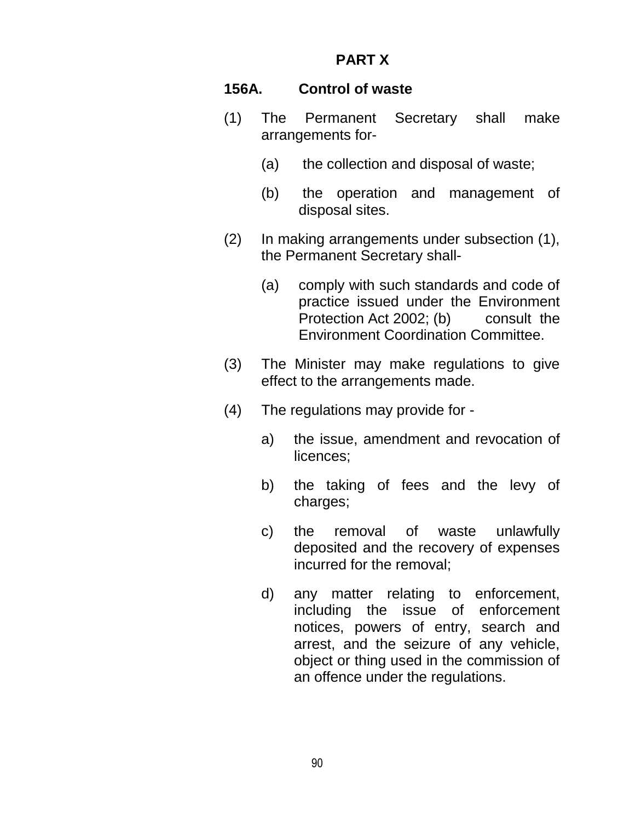## **PART X**

#### **156A. Control of waste**

- (1) The Permanent Secretary shall make arrangements for-
	- (a) the collection and disposal of waste;
	- (b) the operation and management of disposal sites.
- (2) In making arrangements under subsection (1), the Permanent Secretary shall-
	- (a) comply with such standards and code of practice issued under the Environment Protection Act 2002; (b) consult the Environment Coordination Committee.
- (3) The Minister may make regulations to give effect to the arrangements made.
- (4) The regulations may provide for
	- a) the issue, amendment and revocation of licences;
	- b) the taking of fees and the levy of charges;
	- c) the removal of waste unlawfully deposited and the recovery of expenses incurred for the removal;
	- d) any matter relating to enforcement, including the issue of enforcement notices, powers of entry, search and arrest, and the seizure of any vehicle, object or thing used in the commission of an offence under the regulations.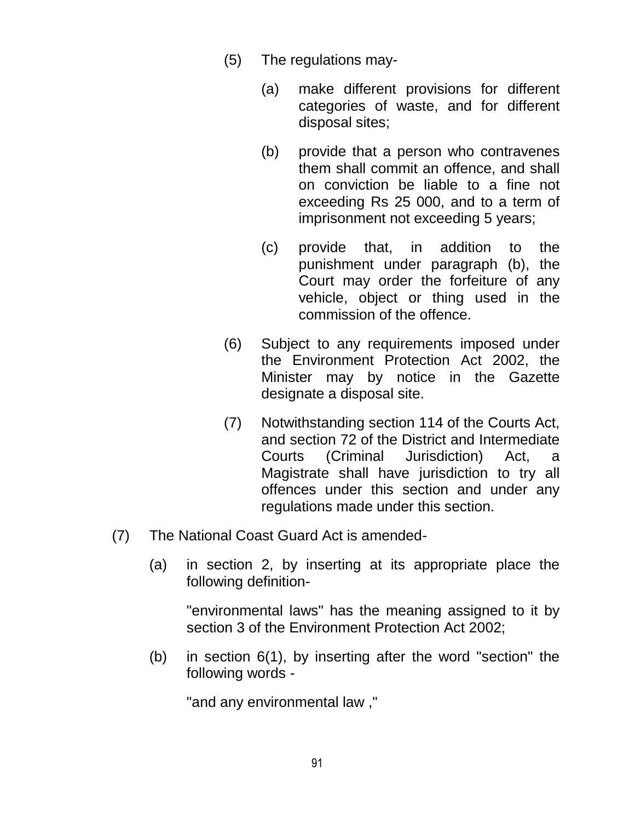- (5) The regulations may-
	- (a) make different provisions for different categories of waste, and for different disposal sites;
	- (b) provide that a person who contravenes them shall commit an offence, and shall on conviction be liable to a fine not exceeding Rs 25 000, and to a term of imprisonment not exceeding 5 years;
	- (c) provide that, in addition to the punishment under paragraph (b), the Court may order the forfeiture of any vehicle, object or thing used in the commission of the offence.
- (6) Subject to any requirements imposed under the Environment Protection Act 2002, the Minister may by notice in the Gazette designate a disposal site.
- (7) Notwithstanding section 114 of the Courts Act, and section 72 of the District and Intermediate Courts (Criminal Jurisdiction) Act, a Magistrate shall have jurisdiction to try all offences under this section and under any regulations made under this section.
- (7) The National Coast Guard Act is amended-
	- (a) in section 2, by inserting at its appropriate place the following definition-

"environmental laws" has the meaning assigned to it by section 3 of the Environment Protection Act 2002;

(b) in section 6(1), by inserting after the word "section" the following words -

"and any environmental law ,"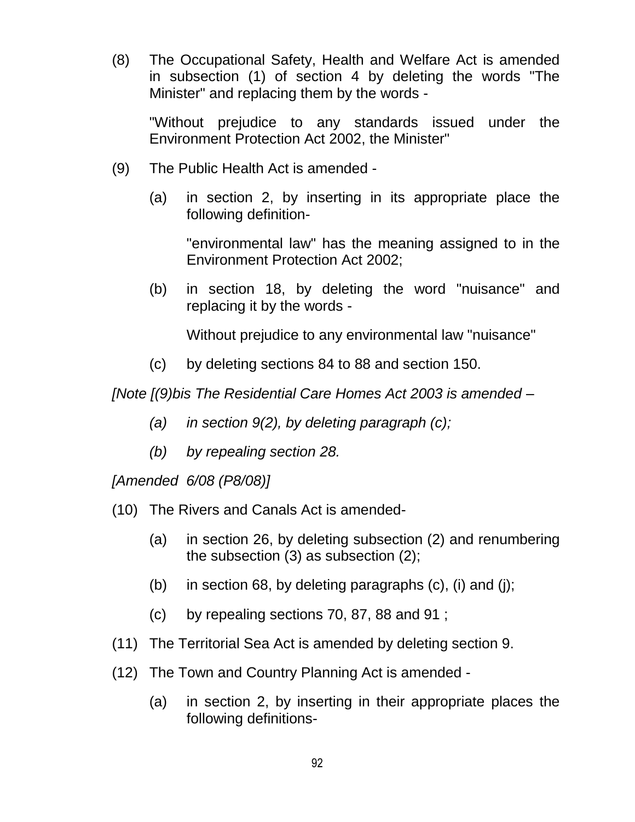(8) The Occupational Safety, Health and Welfare Act is amended in subsection (1) of section 4 by deleting the words "The Minister" and replacing them by the words -

"Without prejudice to any standards issued under the Environment Protection Act 2002, the Minister"

- (9) The Public Health Act is amended
	- (a) in section 2, by inserting in its appropriate place the following definition-

"environmental law" has the meaning assigned to in the Environment Protection Act 2002;

(b) in section 18, by deleting the word "nuisance" and replacing it by the words -

Without prejudice to any environmental law "nuisance"

(c) by deleting sections 84 to 88 and section 150.

*[Note [(9)bis The Residential Care Homes Act 2003 is amended –*

- *(a) in section 9(2), by deleting paragraph (c);*
- *(b) by repealing section 28.*

*[Amended 6/08 (P8/08)]*

- (10) The Rivers and Canals Act is amended-
	- (a) in section 26, by deleting subsection (2) and renumbering the subsection (3) as subsection (2);
	- (b) in section 68, by deleting paragraphs (c), (i) and (j);
	- (c) by repealing sections 70, 87, 88 and 91 ;
- (11) The Territorial Sea Act is amended by deleting section 9.
- (12) The Town and Country Planning Act is amended
	- (a) in section 2, by inserting in their appropriate places the following definitions-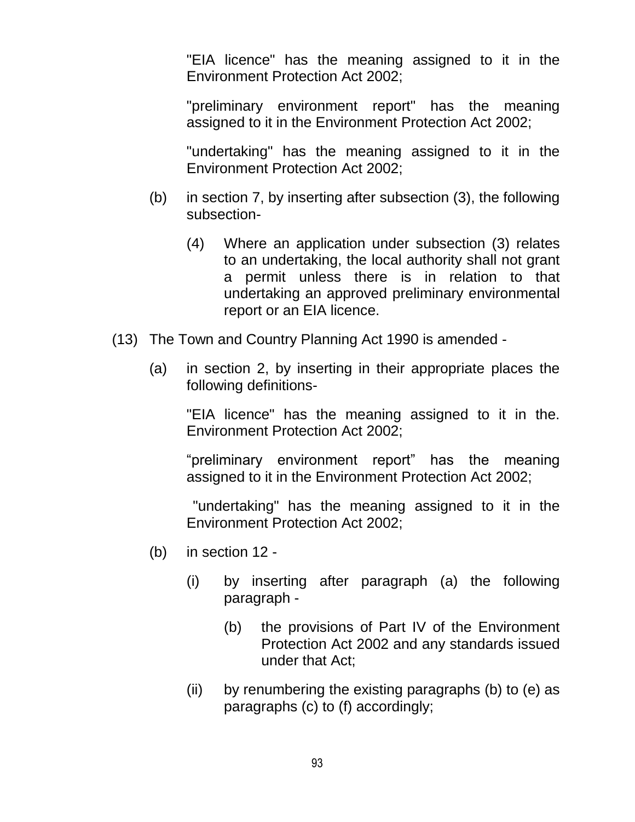"EIA licence" has the meaning assigned to it in the Environment Protection Act 2002;

"preliminary environment report" has the meaning assigned to it in the Environment Protection Act 2002;

"undertaking" has the meaning assigned to it in the Environment Protection Act 2002;

- (b) in section 7, by inserting after subsection (3), the following subsection-
	- (4) Where an application under subsection (3) relates to an undertaking, the local authority shall not grant a permit unless there is in relation to that undertaking an approved preliminary environmental report or an EIA licence.
- (13) The Town and Country Planning Act 1990 is amended
	- (a) in section 2, by inserting in their appropriate places the following definitions-

"EIA licence" has the meaning assigned to it in the. Environment Protection Act 2002;

"preliminary environment report" has the meaning assigned to it in the Environment Protection Act 2002;

"undertaking" has the meaning assigned to it in the Environment Protection Act 2002;

- (b) in section 12
	- (i) by inserting after paragraph (a) the following paragraph -
		- (b) the provisions of Part IV of the Environment Protection Act 2002 and any standards issued under that Act;
	- (ii) by renumbering the existing paragraphs (b) to (e) as paragraphs (c) to (f) accordingly;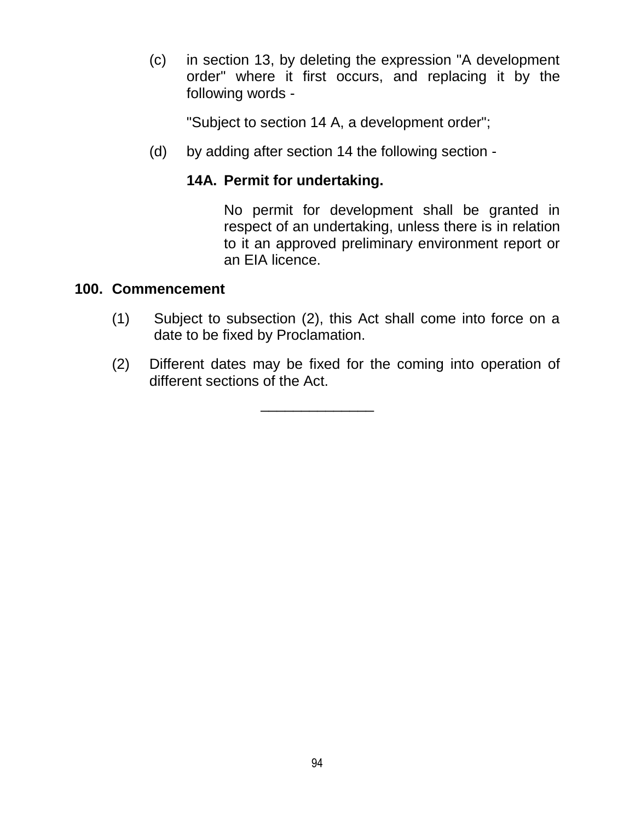(c) in section 13, by deleting the expression "A development order" where it first occurs, and replacing it by the following words -

"Subject to section 14 A, a development order";

(d) by adding after section 14 the following section -

## **14A. Permit for undertaking.**

No permit for development shall be granted in respect of an undertaking, unless there is in relation to it an approved preliminary environment report or an EIA licence.

### **100. Commencement**

- (1) Subject to subsection (2), this Act shall come into force on a date to be fixed by Proclamation.
- (2) Different dates may be fixed for the coming into operation of different sections of the Act.

\_\_\_\_\_\_\_\_\_\_\_\_\_\_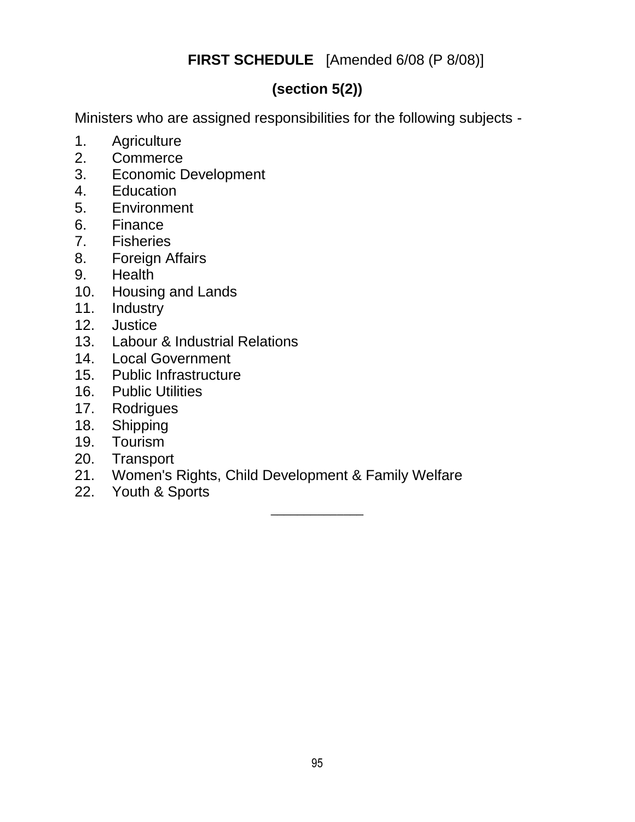## **FIRST SCHEDULE** [Amended 6/08 (P 8/08)]

# **(section 5(2))**

Ministers who are assigned responsibilities for the following subjects -

- 1. Agriculture
- 2. Commerce
- 3. Economic Development
- 4. Education
- 5. Environment
- 6. Finance
- 7. Fisheries
- 8. Foreign Affairs
- 9. Health
- 10. Housing and Lands
- 11. Industry
- 12. Justice
- 13. Labour & Industrial Relations
- 14. Local Government
- 15. Public Infrastructure
- 16. Public Utilities
- 17. Rodrigues
- 18. Shipping
- 19. Tourism
- 20. Transport
- 21. Women's Rights, Child Development & Family Welfare
- 22. Youth & Sports

 $\overline{\phantom{a}}$  , where  $\overline{\phantom{a}}$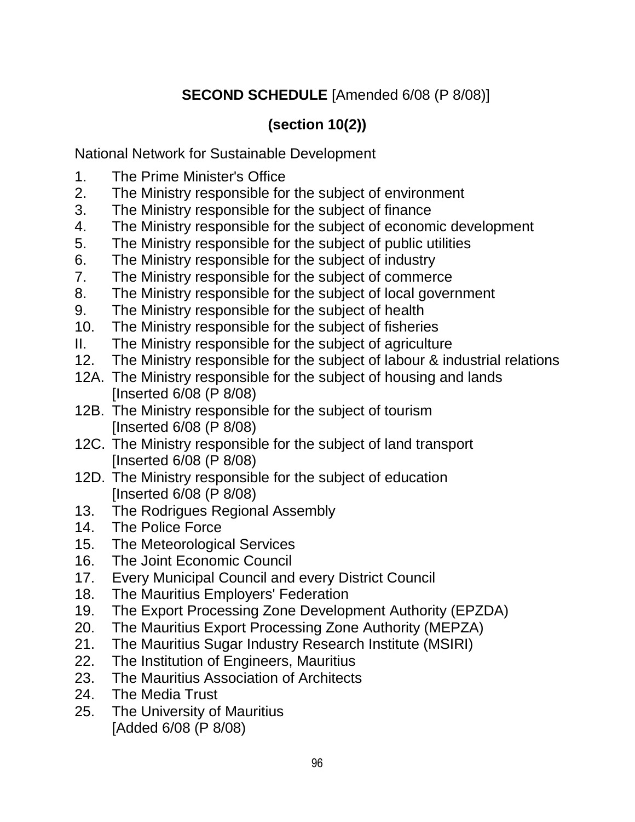# **SECOND SCHEDULE** [Amended 6/08 (P 8/08)]

# **(section 10(2))**

National Network for Sustainable Development

- 1. The Prime Minister's Office
- 2. The Ministry responsible for the subject of environment
- 3. The Ministry responsible for the subject of finance
- 4. The Ministry responsible for the subject of economic development
- 5. The Ministry responsible for the subject of public utilities
- 6. The Ministry responsible for the subject of industry
- 7. The Ministry responsible for the subject of commerce
- 8. The Ministry responsible for the subject of local government
- 9. The Ministry responsible for the subject of health
- 10. The Ministry responsible for the subject of fisheries
- II. The Ministry responsible for the subject of agriculture
- 12. The Ministry responsible for the subject of labour & industrial relations
- 12A. The Ministry responsible for the subject of housing and lands [Inserted 6/08 (P 8/08)
- 12B. The Ministry responsible for the subject of tourism [Inserted 6/08 (P 8/08)
- 12C. The Ministry responsible for the subject of land transport [Inserted 6/08 (P 8/08)
- 12D. The Ministry responsible for the subject of education [Inserted 6/08 (P 8/08)
- 13. The Rodrigues Regional Assembly
- 14. The Police Force
- 15. The Meteorological Services
- 16. The Joint Economic Council
- 17. Every Municipal Council and every District Council
- 18. The Mauritius Employers' Federation
- 19. The Export Processing Zone Development Authority (EPZDA)
- 20. The Mauritius Export Processing Zone Authority (MEPZA)
- 21. The Mauritius Sugar Industry Research Institute (MSIRI)
- 22. The Institution of Engineers, Mauritius
- 23. The Mauritius Association of Architects
- 24. The Media Trust
- 25. The University of Mauritius [Added 6/08 (P 8/08)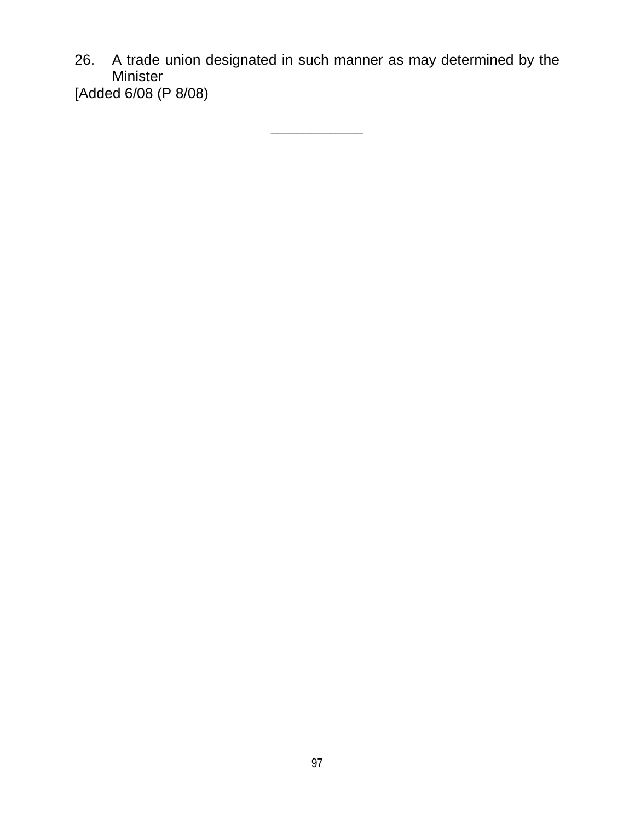26. A trade union designated in such manner as may determined by the Minister [Added 6/08 (P 8/08)

 $\overline{\phantom{a}}$  , where  $\overline{\phantom{a}}$ 

97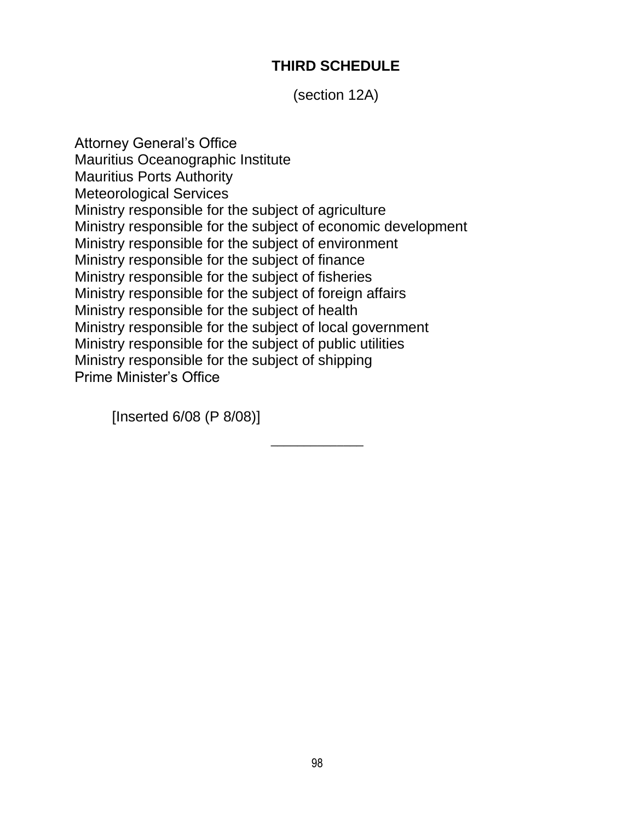## **THIRD SCHEDULE**

(section 12A)

Attorney General"s Office Mauritius Oceanographic Institute Mauritius Ports Authority Meteorological Services Ministry responsible for the subject of agriculture Ministry responsible for the subject of economic development Ministry responsible for the subject of environment Ministry responsible for the subject of finance Ministry responsible for the subject of fisheries Ministry responsible for the subject of foreign affairs Ministry responsible for the subject of health Ministry responsible for the subject of local government Ministry responsible for the subject of public utilities Ministry responsible for the subject of shipping Prime Minister"s Office

[Inserted 6/08 (P 8/08)]

 $\overline{\phantom{a}}$  , where  $\overline{\phantom{a}}$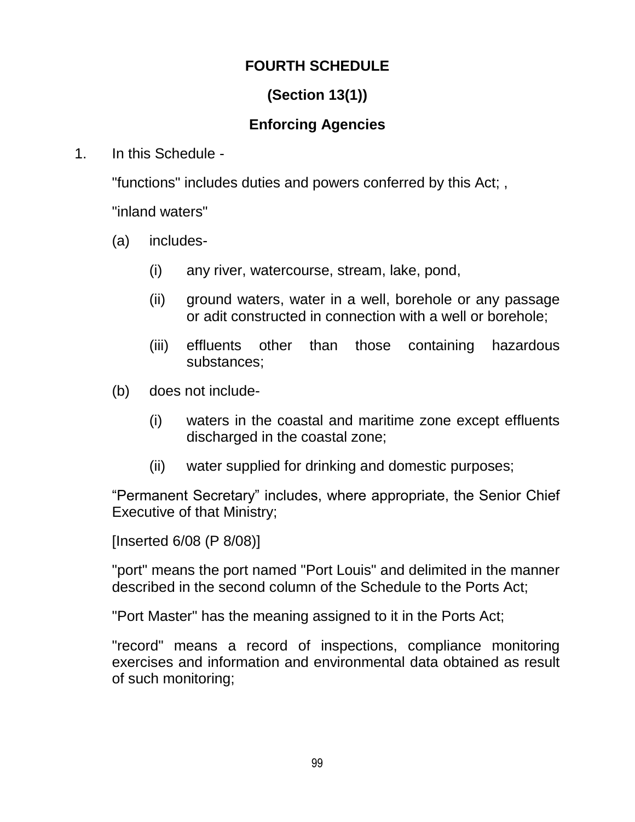## **FOURTH SCHEDULE**

## **(Section 13(1))**

## **Enforcing Agencies**

1. In this Schedule -

"functions" includes duties and powers conferred by this Act; ,

"inland waters"

- (a) includes-
	- (i) any river, watercourse, stream, lake, pond,
	- (ii) ground waters, water in a well, borehole or any passage or adit constructed in connection with a well or borehole;
	- (iii) effluents other than those containing hazardous substances;
- (b) does not include-
	- (i) waters in the coastal and maritime zone except effluents discharged in the coastal zone;
	- (ii) water supplied for drinking and domestic purposes;

"Permanent Secretary" includes, where appropriate, the Senior Chief Executive of that Ministry;

[Inserted 6/08 (P 8/08)]

"port" means the port named "Port Louis" and delimited in the manner described in the second column of the Schedule to the Ports Act;

"Port Master" has the meaning assigned to it in the Ports Act;

"record" means a record of inspections, compliance monitoring exercises and information and environmental data obtained as result of such monitoring;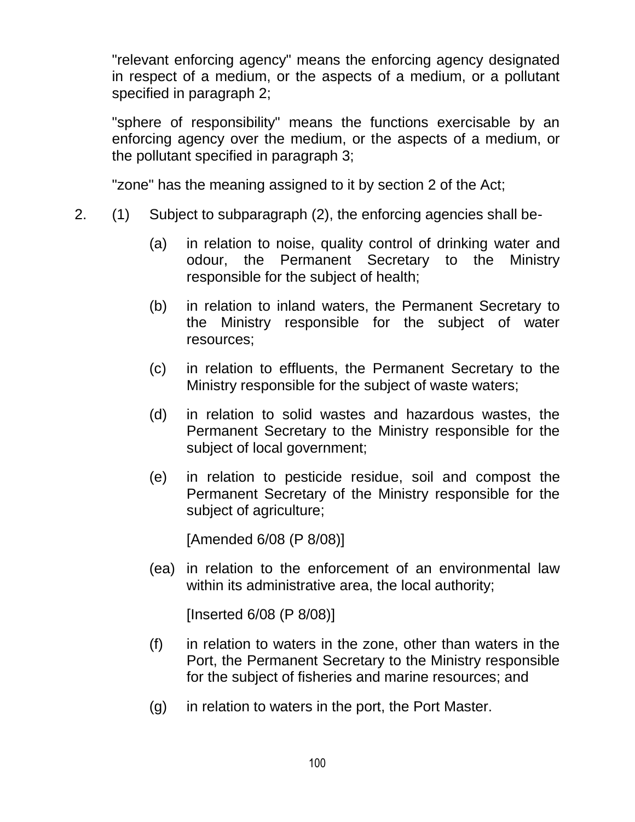"relevant enforcing agency" means the enforcing agency designated in respect of a medium, or the aspects of a medium, or a pollutant specified in paragraph 2;

"sphere of responsibility" means the functions exercisable by an enforcing agency over the medium, or the aspects of a medium, or the pollutant specified in paragraph 3;

"zone" has the meaning assigned to it by section 2 of the Act;

- 2. (1) Subject to subparagraph (2), the enforcing agencies shall be-
	- (a) in relation to noise, quality control of drinking water and odour, the Permanent Secretary to the Ministry responsible for the subject of health;
	- (b) in relation to inland waters, the Permanent Secretary to the Ministry responsible for the subject of water resources;
	- (c) in relation to effluents, the Permanent Secretary to the Ministry responsible for the subject of waste waters;
	- (d) in relation to solid wastes and hazardous wastes, the Permanent Secretary to the Ministry responsible for the subject of local government;
	- (e) in relation to pesticide residue, soil and compost the Permanent Secretary of the Ministry responsible for the subject of agriculture;

[Amended 6/08 (P 8/08)]

(ea) in relation to the enforcement of an environmental law within its administrative area, the local authority;

[Inserted 6/08 (P 8/08)]

- (f) in relation to waters in the zone, other than waters in the Port, the Permanent Secretary to the Ministry responsible for the subject of fisheries and marine resources; and
- (g) in relation to waters in the port, the Port Master.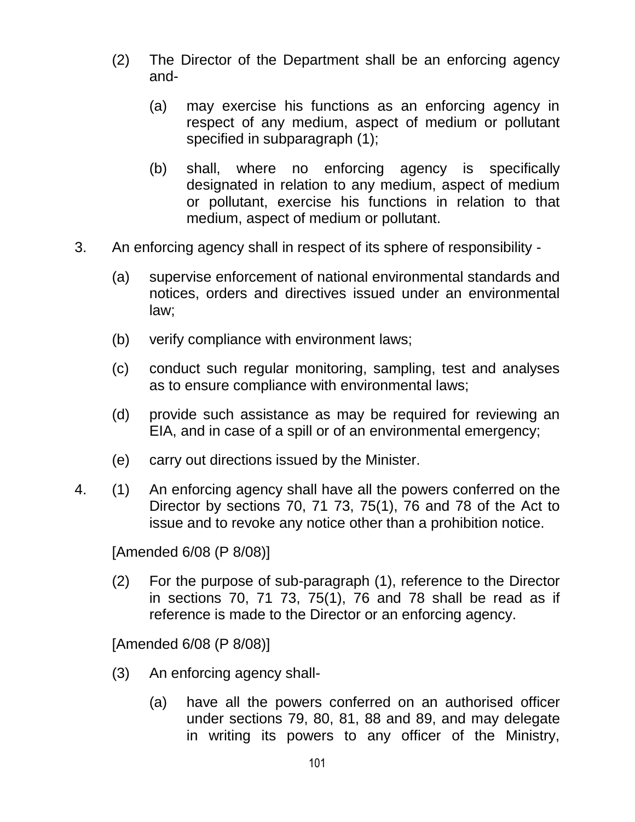- (2) The Director of the Department shall be an enforcing agency and-
	- (a) may exercise his functions as an enforcing agency in respect of any medium, aspect of medium or pollutant specified in subparagraph (1);
	- (b) shall, where no enforcing agency is specifically designated in relation to any medium, aspect of medium or pollutant, exercise his functions in relation to that medium, aspect of medium or pollutant.
- 3. An enforcing agency shall in respect of its sphere of responsibility
	- (a) supervise enforcement of national environmental standards and notices, orders and directives issued under an environmental law;
	- (b) verify compliance with environment laws;
	- (c) conduct such regular monitoring, sampling, test and analyses as to ensure compliance with environmental laws;
	- (d) provide such assistance as may be required for reviewing an EIA, and in case of a spill or of an environmental emergency;
	- (e) carry out directions issued by the Minister.
- 4. (1) An enforcing agency shall have all the powers conferred on the Director by sections 70, 71 73, 75(1), 76 and 78 of the Act to issue and to revoke any notice other than a prohibition notice.

[Amended 6/08 (P 8/08)]

(2) For the purpose of sub-paragraph (1), reference to the Director in sections 70, 71 73, 75(1), 76 and 78 shall be read as if reference is made to the Director or an enforcing agency.

[Amended 6/08 (P 8/08)]

- (3) An enforcing agency shall-
	- (a) have all the powers conferred on an authorised officer under sections 79, 80, 81, 88 and 89, and may delegate in writing its powers to any officer of the Ministry,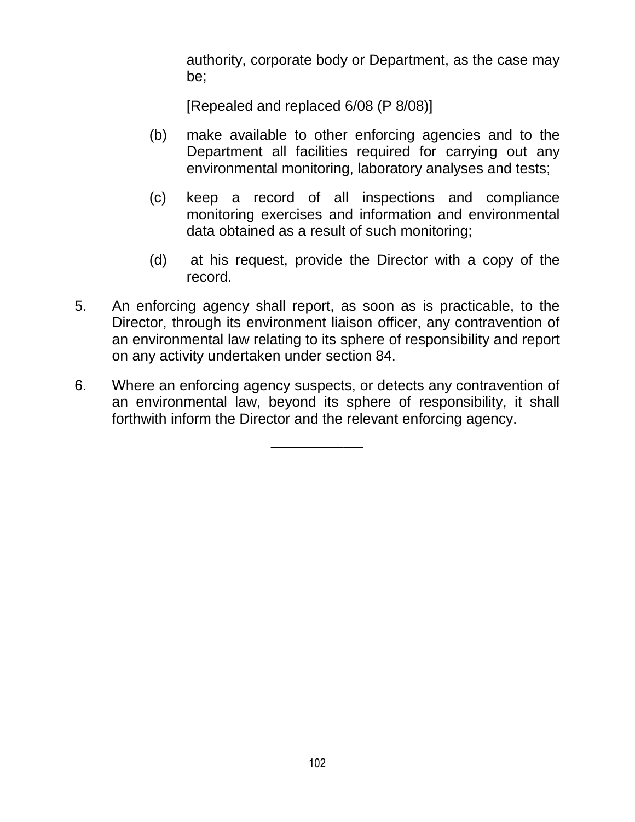authority, corporate body or Department, as the case may be;

[Repealed and replaced 6/08 (P 8/08)]

- (b) make available to other enforcing agencies and to the Department all facilities required for carrying out any environmental monitoring, laboratory analyses and tests;
- (c) keep a record of all inspections and compliance monitoring exercises and information and environmental data obtained as a result of such monitoring;
- (d) at his request, provide the Director with a copy of the record.
- 5. An enforcing agency shall report, as soon as is practicable, to the Director, through its environment liaison officer, any contravention of an environmental law relating to its sphere of responsibility and report on any activity undertaken under section 84.
- 6. Where an enforcing agency suspects, or detects any contravention of an environmental law, beyond its sphere of responsibility, it shall forthwith inform the Director and the relevant enforcing agency.

 $\overline{\phantom{a}}$  , where  $\overline{\phantom{a}}$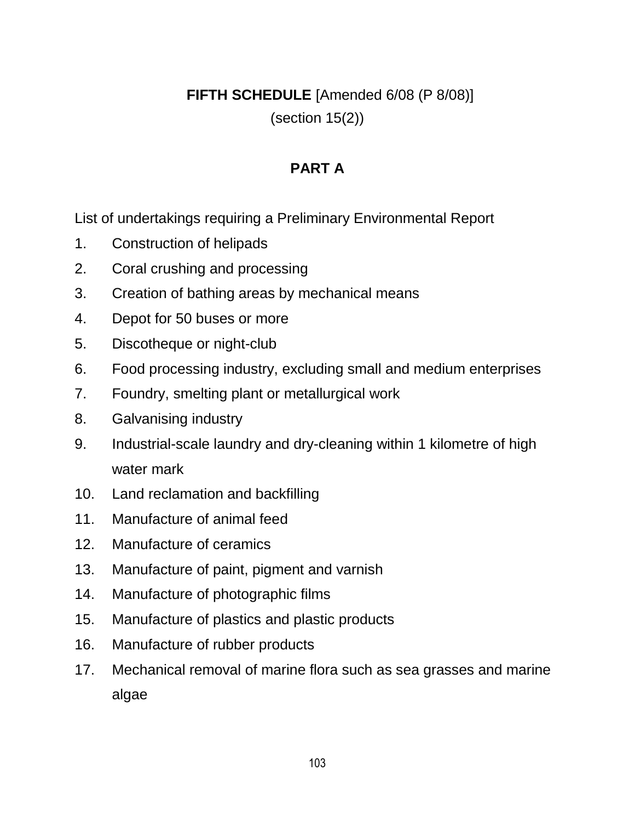**FIFTH SCHEDULE** [Amended 6/08 (P 8/08)] (section 15(2))

## **PART A**

List of undertakings requiring a Preliminary Environmental Report

- 1. Construction of helipads
- 2. Coral crushing and processing
- 3. Creation of bathing areas by mechanical means
- 4. Depot for 50 buses or more
- 5. Discotheque or night-club
- 6. Food processing industry, excluding small and medium enterprises
- 7. Foundry, smelting plant or metallurgical work
- 8. Galvanising industry
- 9. Industrial-scale laundry and dry-cleaning within 1 kilometre of high water mark
- 10. Land reclamation and backfilling
- 11. Manufacture of animal feed
- 12. Manufacture of ceramics
- 13. Manufacture of paint, pigment and varnish
- 14. Manufacture of photographic films
- 15. Manufacture of plastics and plastic products
- 16. Manufacture of rubber products
- 17. Mechanical removal of marine flora such as sea grasses and marine algae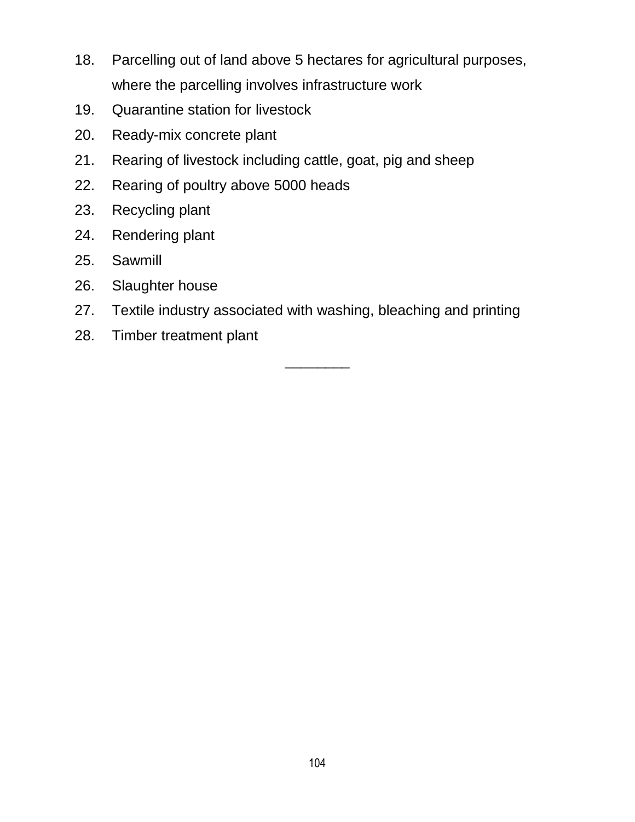- 18. Parcelling out of land above 5 hectares for agricultural purposes, where the parcelling involves infrastructure work
- 19. Quarantine station for livestock
- 20. Ready-mix concrete plant
- 21. Rearing of livestock including cattle, goat, pig and sheep
- 22. Rearing of poultry above 5000 heads
- 23. Recycling plant
- 24. Rendering plant
- 25. Sawmill
- 26. Slaughter house
- 27. Textile industry associated with washing, bleaching and printing
- 28. Timber treatment plant

\_\_\_\_\_\_\_\_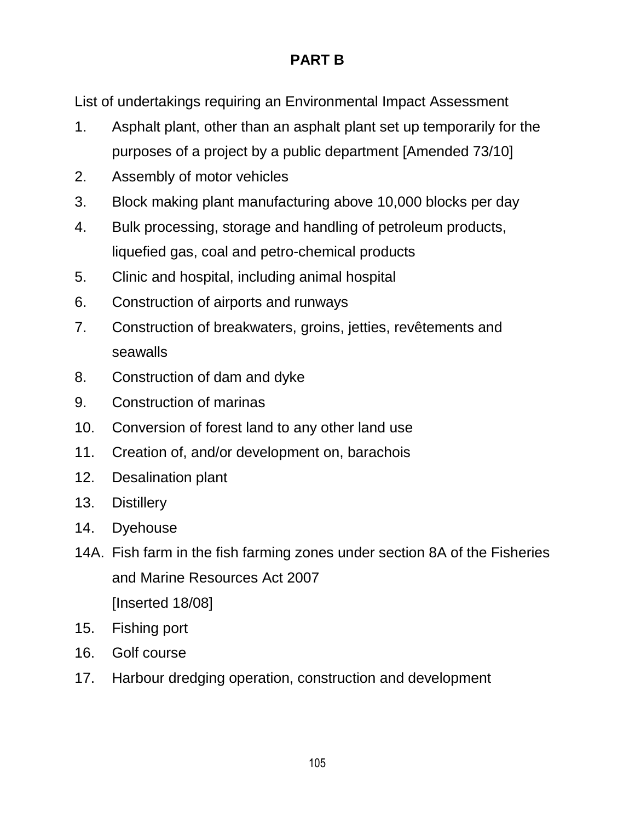# **PART B**

List of undertakings requiring an Environmental Impact Assessment

- 1. Asphalt plant, other than an asphalt plant set up temporarily for the purposes of a project by a public department [Amended 73/10]
- 2. Assembly of motor vehicles
- 3. Block making plant manufacturing above 10,000 blocks per day
- 4. Bulk processing, storage and handling of petroleum products, liquefied gas, coal and petro-chemical products
- 5. Clinic and hospital, including animal hospital
- 6. Construction of airports and runways
- 7. Construction of breakwaters, groins, jetties, revêtements and seawalls
- 8. Construction of dam and dyke
- 9. Construction of marinas
- 10. Conversion of forest land to any other land use
- 11. Creation of, and/or development on, barachois
- 12. Desalination plant
- 13. Distillery
- 14. Dyehouse
- 14A. Fish farm in the fish farming zones under section 8A of the Fisheries and Marine Resources Act 2007 [Inserted 18/08]
- 15. Fishing port
- 16. Golf course
- 17. Harbour dredging operation, construction and development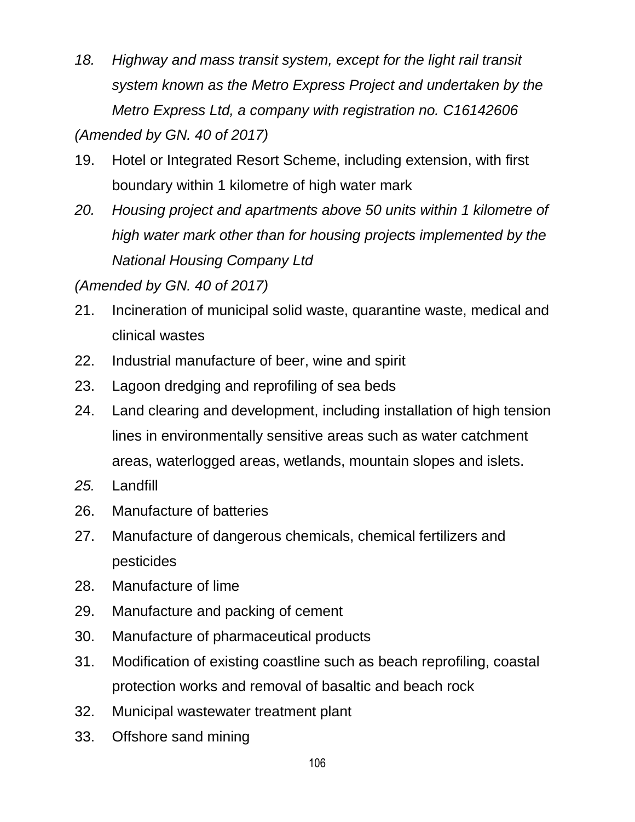*18. Highway and mass transit system, except for the light rail transit system known as the Metro Express Project and undertaken by the Metro Express Ltd, a company with registration no. C16142606* 

*(Amended by GN. 40 of 2017)*

- 19. Hotel or Integrated Resort Scheme, including extension, with first boundary within 1 kilometre of high water mark
- *20. Housing project and apartments above 50 units within 1 kilometre of high water mark other than for housing projects implemented by the National Housing Company Ltd*

*(Amended by GN. 40 of 2017)*

- 21. Incineration of municipal solid waste, quarantine waste, medical and clinical wastes
- 22. Industrial manufacture of beer, wine and spirit
- 23. Lagoon dredging and reprofiling of sea beds
- 24. Land clearing and development, including installation of high tension lines in environmentally sensitive areas such as water catchment areas, waterlogged areas, wetlands, mountain slopes and islets.
- *25.* Landfill
- 26. Manufacture of batteries
- 27. Manufacture of dangerous chemicals, chemical fertilizers and pesticides
- 28. Manufacture of lime
- 29. Manufacture and packing of cement
- 30. Manufacture of pharmaceutical products
- 31. Modification of existing coastline such as beach reprofiling, coastal protection works and removal of basaltic and beach rock
- 32. Municipal wastewater treatment plant
- 33. Offshore sand mining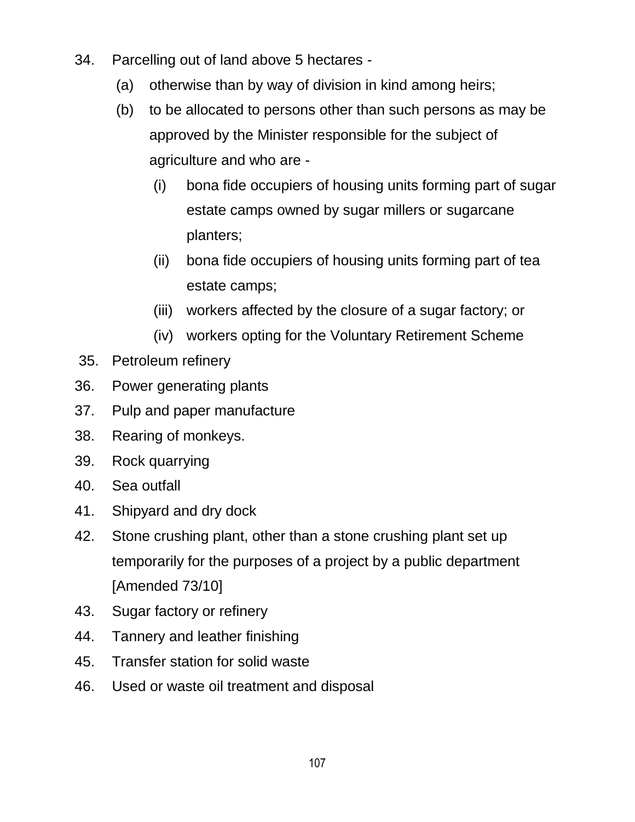- 34. Parcelling out of land above 5 hectares
	- (a) otherwise than by way of division in kind among heirs;
	- (b) to be allocated to persons other than such persons as may be approved by the Minister responsible for the subject of agriculture and who are -
		- (i) bona fide occupiers of housing units forming part of sugar estate camps owned by sugar millers or sugarcane planters;
		- (ii) bona fide occupiers of housing units forming part of tea estate camps;
		- (iii) workers affected by the closure of a sugar factory; or
		- (iv) workers opting for the Voluntary Retirement Scheme
- 35. Petroleum refinery
- 36. Power generating plants
- 37. Pulp and paper manufacture
- 38. Rearing of monkeys.
- 39. Rock quarrying
- 40. Sea outfall
- 41. Shipyard and dry dock
- 42. Stone crushing plant, other than a stone crushing plant set up temporarily for the purposes of a project by a public department [Amended 73/10]
- 43. Sugar factory or refinery
- 44. Tannery and leather finishing
- 45. Transfer station for solid waste
- 46. Used or waste oil treatment and disposal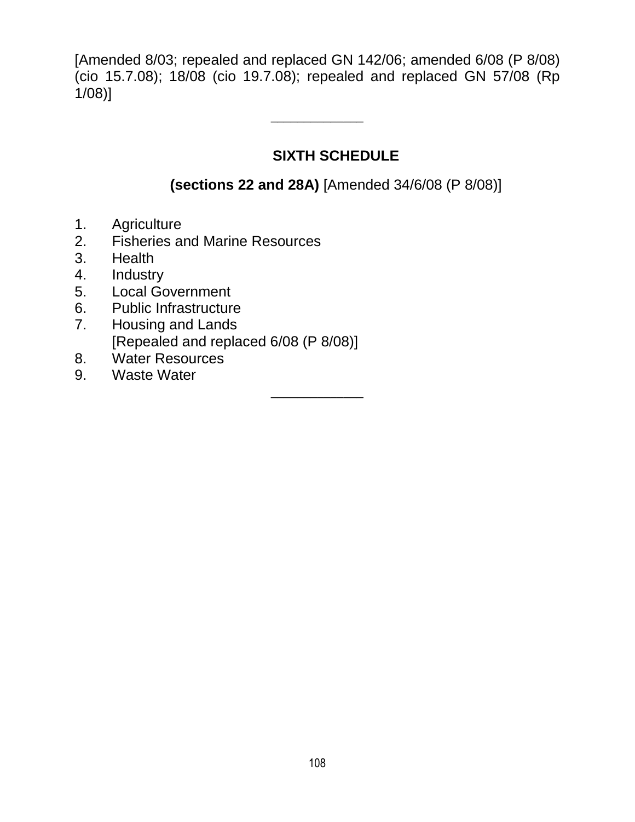[Amended 8/03; repealed and replaced GN 142/06; amended 6/08 (P 8/08) (cio 15.7.08); 18/08 (cio 19.7.08); repealed and replaced GN 57/08 (Rp 1/08)]

 $\overline{\phantom{a}}$  , where  $\overline{\phantom{a}}$ 

 $\overline{\phantom{a}}$  , where  $\overline{\phantom{a}}$ 

## **SIXTH SCHEDULE**

## **(sections 22 and 28A)** [Amended 34/6/08 (P 8/08)]

- 1. Agriculture
- 2. Fisheries and Marine Resources
- 3. Health
- 4. Industry
- 5. Local Government
- 6. Public Infrastructure
- 7. Housing and Lands [Repealed and replaced 6/08 (P 8/08)]
- 8. Water Resources
- 9. Waste Water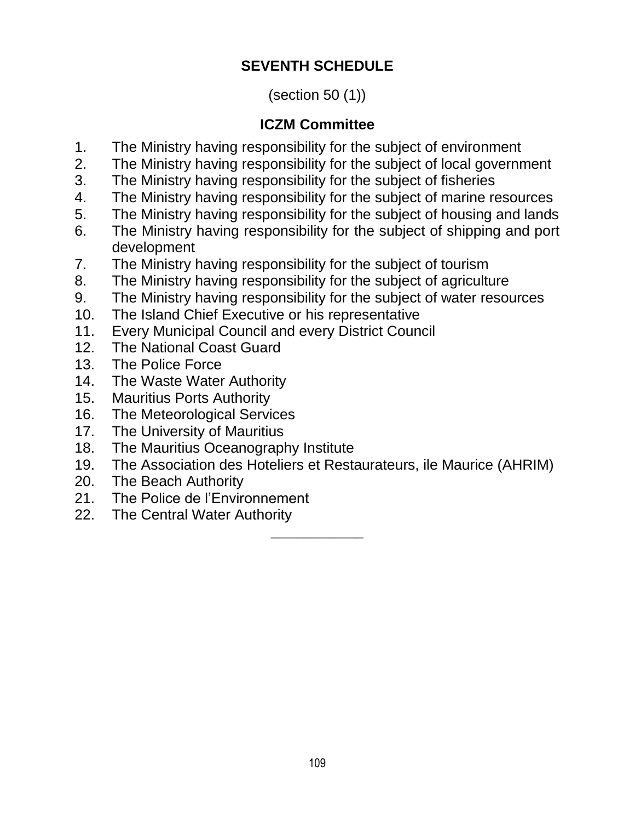# **SEVENTH SCHEDULE**

## (section 50 (1))

# **ICZM Committee**

- 1. The Ministry having responsibility for the subject of environment
- 2. The Ministry having responsibility for the subject of local government
- 3. The Ministry having responsibility for the subject of fisheries
- 4. The Ministry having responsibility for the subject of marine resources
- 5. The Ministry having responsibility for the subject of housing and lands
- 6. The Ministry having responsibility for the subject of shipping and port development
- 7. The Ministry having responsibility for the subject of tourism
- 8. The Ministry having responsibility for the subject of agriculture
- 9. The Ministry having responsibility for the subject of water resources
- 10. The Island Chief Executive or his representative
- 11. Every Municipal Council and every District Council
- 12. The National Coast Guard
- 13. The Police Force
- 14. The Waste Water Authority
- 15. Mauritius Ports Authority
- 16. The Meteorological Services
- 17. The University of Mauritius
- 18. The Mauritius Oceanography Institute
- 19. The Association des Hoteliers et Restaurateurs, ile Maurice (AHRIM)
- 20. The Beach Authority
- 21. The Police de l"Environnement
- 22. The Central Water Authority  $\overline{\phantom{a}}$  , where  $\overline{\phantom{a}}$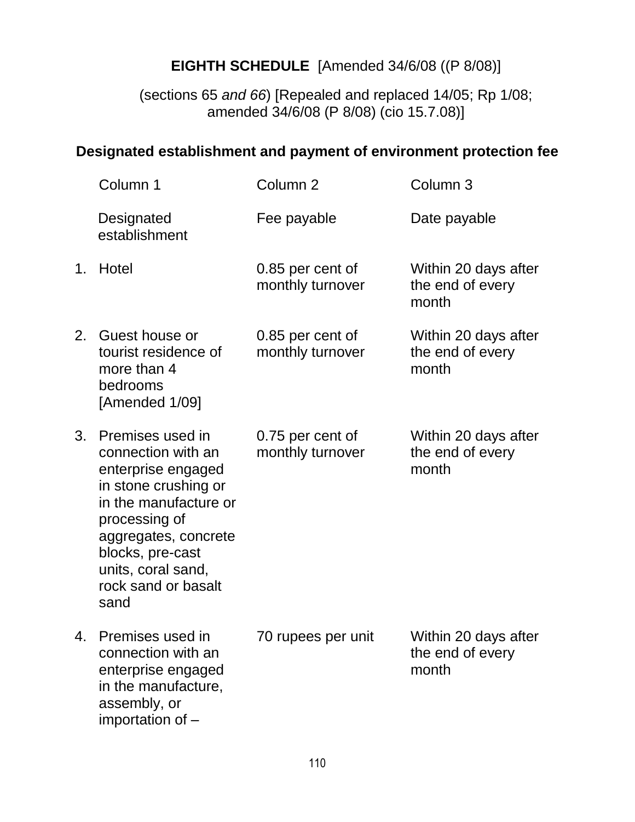# **EIGHTH SCHEDULE** [Amended 34/6/08 ((P 8/08)]

(sections 65 *and 66*) [Repealed and replaced 14/05; Rp 1/08; amended 34/6/08 (P 8/08) (cio 15.7.08)]

## **Designated establishment and payment of environment protection fee**

| Column 1                                                                                                                                                                                                                        | Column <sub>2</sub>                  | Column 3                                          |
|---------------------------------------------------------------------------------------------------------------------------------------------------------------------------------------------------------------------------------|--------------------------------------|---------------------------------------------------|
| Designated<br>establishment                                                                                                                                                                                                     | Fee payable                          | Date payable                                      |
| Hotel                                                                                                                                                                                                                           | 0.85 per cent of<br>monthly turnover | Within 20 days after<br>the end of every<br>month |
| Guest house or<br>tourist residence of<br>more than 4<br>bedrooms<br>[Amended 1/09]                                                                                                                                             | 0.85 per cent of<br>monthly turnover | Within 20 days after<br>the end of every<br>month |
| Premises used in<br>connection with an<br>enterprise engaged<br>in stone crushing or<br>in the manufacture or<br>processing of<br>aggregates, concrete<br>blocks, pre-cast<br>units, coral sand,<br>rock sand or basalt<br>sand | 0.75 per cent of<br>monthly turnover | Within 20 days after<br>the end of every<br>month |
| Premises used in<br>connection with an<br>enterprise engaged<br>in the manufacture,<br>assembly, or<br>importation of -                                                                                                         | 70 rupees per unit                   | Within 20 days after<br>the end of every<br>month |
| 1.                                                                                                                                                                                                                              |                                      |                                                   |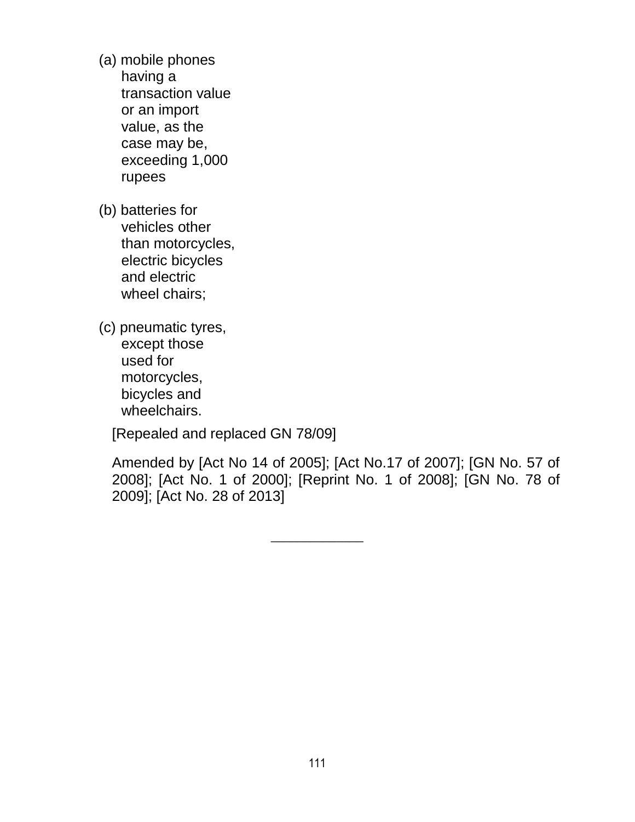- (a) mobile phones having a transaction value or an import value, as the case may be, exceeding 1,000 rupees
- (b) batteries for vehicles other than motorcycles, electric bicycles and electric wheel chairs;
- (c) pneumatic tyres, except those used for motorcycles, bicycles and wheelchairs.

[Repealed and replaced GN 78/09]

Amended by [Act No 14 of 2005]; [Act No.17 of 2007]; [GN No. 57 of 2008]; [Act No. 1 of 2000]; [Reprint No. 1 of 2008]; [GN No. 78 of 2009]; [Act No. 28 of 2013]

 $\overline{\phantom{a}}$  , where  $\overline{\phantom{a}}$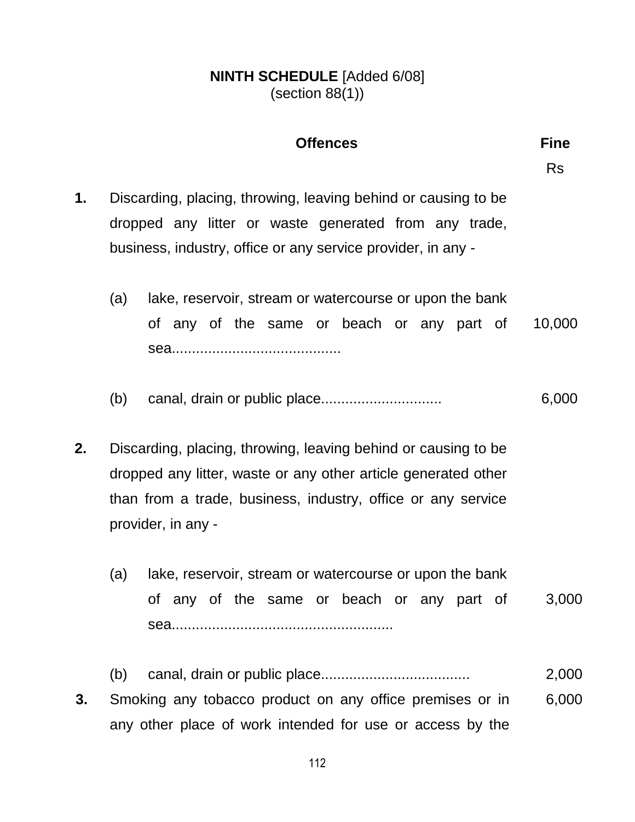#### **NINTH SCHEDULE** [Added 6/08] (section 88(1))

#### **Offences Fine**

Rs

- **1.** Discarding, placing, throwing, leaving behind or causing to be dropped any litter or waste generated from any trade, business, industry, office or any service provider, in any -
	- (a) lake, reservoir, stream or watercourse or upon the bank of any of the same or beach or any part of sea.......................................... 10,000
	- (b) canal, drain or public place.............................. 6,000
- **2.** Discarding, placing, throwing, leaving behind or causing to be dropped any litter, waste or any other article generated other than from a trade, business, industry, office or any service provider, in any -
	- (a) lake, reservoir, stream or watercourse or upon the bank of any of the same or beach or any part of sea....................................................... 3,000
	- (b) canal, drain or public place..................................... 2,000
- **3.** Smoking any tobacco product on any office premises or in any other place of work intended for use or access by the 6,000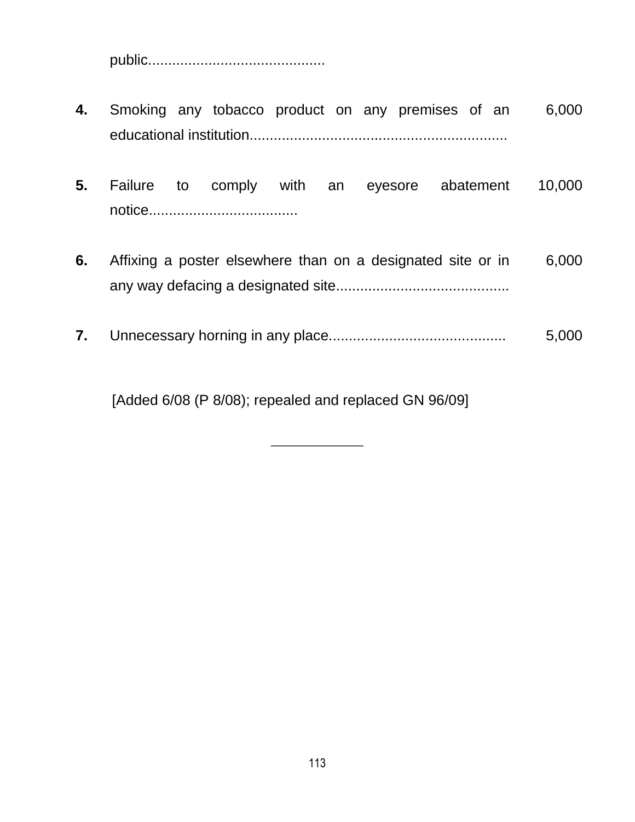public............................................

- **4.** Smoking any tobacco product on any premises of an educational institution................................................................ 6,000
- **5.** Failure to comply with an eyesore abatement notice..................................... 10,000
- **6.** Affixing a poster elsewhere than on a designated site or in any way defacing a designated site........................................... 6,000
- **7.** Unnecessary horning in any place............................................ 5,000

[Added 6/08 (P 8/08); repealed and replaced GN 96/09]

 $\overline{\phantom{a}}$  , where  $\overline{\phantom{a}}$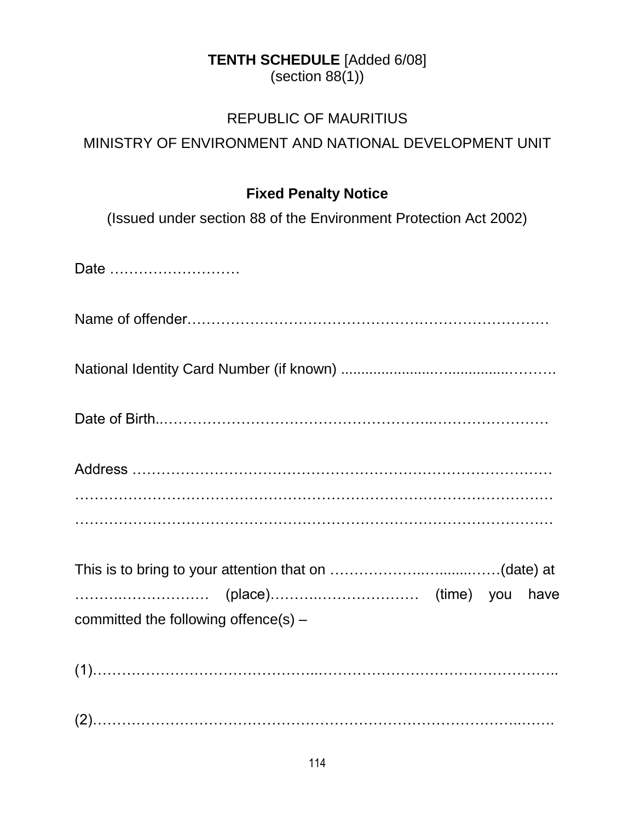# **TENTH SCHEDULE** [Added 6/08]

 $(section 88(1))$ 

#### REPUBLIC OF MAURITIUS

# MINISTRY OF ENVIRONMENT AND NATIONAL DEVELOPMENT UNIT

#### **Fixed Penalty Notice**

(Issued under section 88 of the Environment Protection Act 2002)

| Date                                 |
|--------------------------------------|
|                                      |
|                                      |
|                                      |
|                                      |
|                                      |
|                                      |
| committed the following offence(s) - |
|                                      |
|                                      |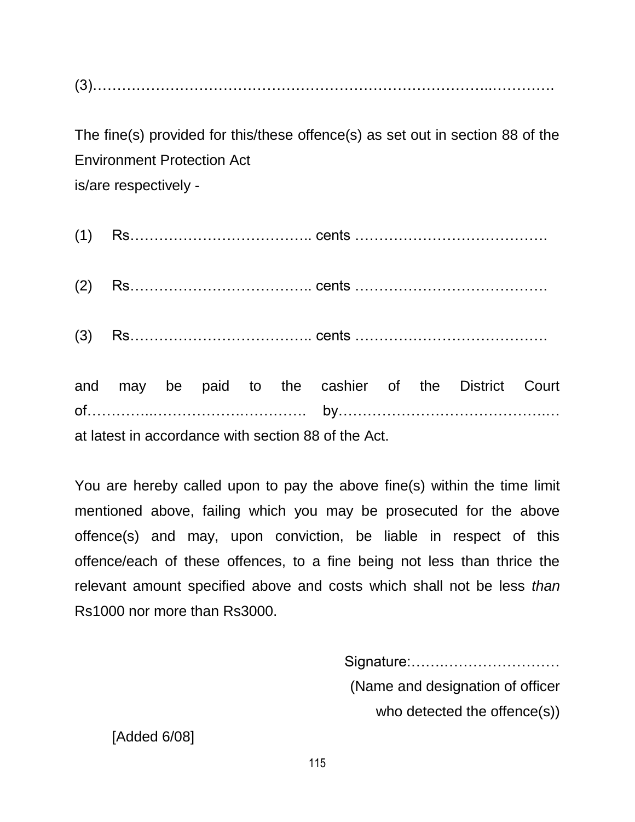(3)………………………………………………………………………..………….

The fine(s) provided for this/these offence(s) as set out in section 88 of the Environment Protection Act is/are respectively -

|  |  |  | and may be paid to the cashier of the District Court |  |  |
|--|--|--|------------------------------------------------------|--|--|

at latest in accordance with section 88 of the Act.

You are hereby called upon to pay the above fine(s) within the time limit mentioned above, failing which you may be prosecuted for the above offence(s) and may, upon conviction, be liable in respect of this offence/each of these offences, to a fine being not less than thrice the relevant amount specified above and costs which shall not be less *than*  Rs1000 nor more than Rs3000.

> Signature:…….…………………… (Name and designation of officer who detected the offence(s))

[Added 6/08]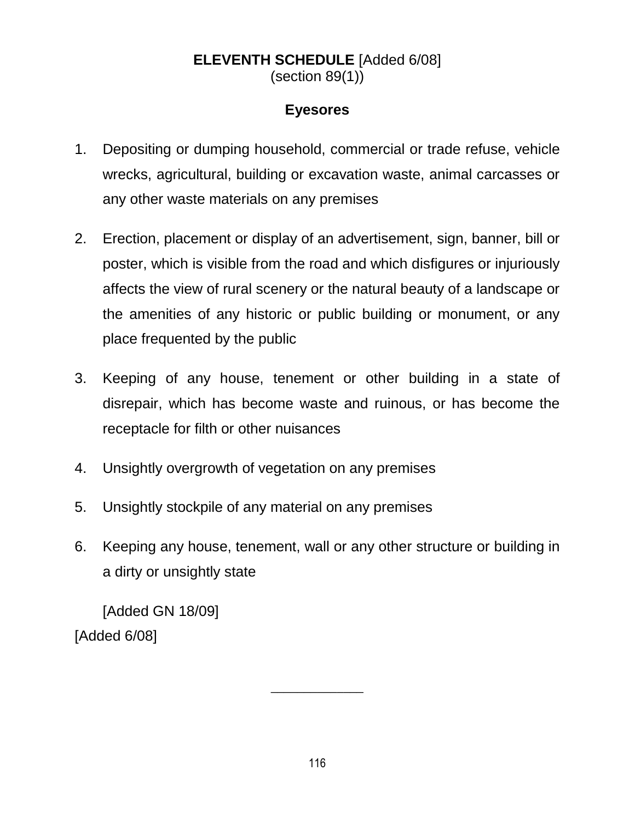#### **ELEVENTH SCHEDULE** [Added 6/08] (section 89(1))

#### **Eyesores**

- 1. Depositing or dumping household, commercial or trade refuse, vehicle wrecks, agricultural, building or excavation waste, animal carcasses or any other waste materials on any premises
- 2. Erection, placement or display of an advertisement, sign, banner, bill or poster, which is visible from the road and which disfigures or injuriously affects the view of rural scenery or the natural beauty of a landscape or the amenities of any historic or public building or monument, or any place frequented by the public
- 3. Keeping of any house, tenement or other building in a state of disrepair, which has become waste and ruinous, or has become the receptacle for filth or other nuisances
- 4. Unsightly overgrowth of vegetation on any premises
- 5. Unsightly stockpile of any material on any premises
- 6. Keeping any house, tenement, wall or any other structure or building in a dirty or unsightly state

[Added GN 18/09] [Added 6/08]

 $\overline{\phantom{a}}$  , where  $\overline{\phantom{a}}$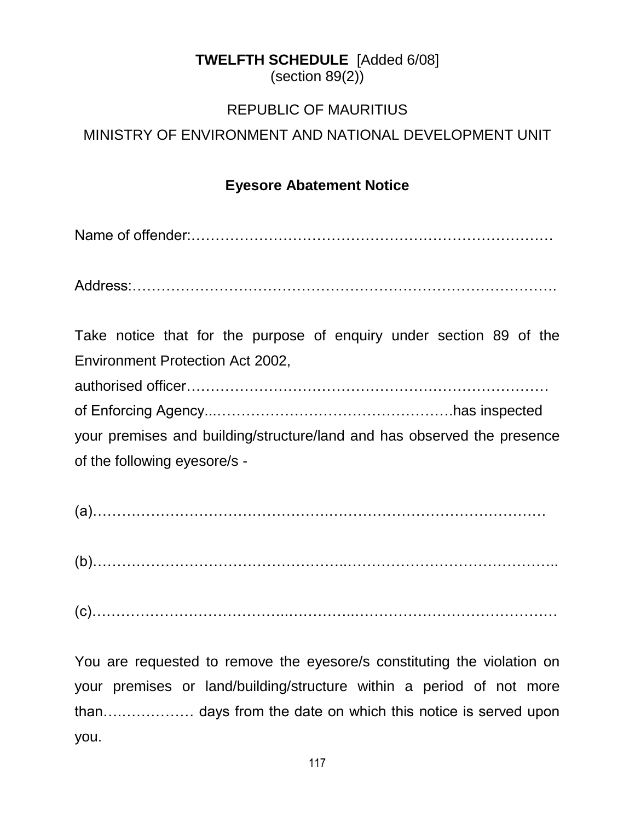# **TWELFTH SCHEDULE** [Added 6/08]

(section 89(2))

#### REPUBLIC OF MAURITIUS

#### MINISTRY OF ENVIRONMENT AND NATIONAL DEVELOPMENT UNIT

#### **Eyesore Abatement Notice**

Name of offender:…………………………………………………………………

Address:…………………………………………………………………………….

Take notice that for the purpose of enquiry under section 89 of the Environment Protection Act 2002, authorised officer………………………………………………………………… of Enforcing Agency...………………………………………….has inspected your premises and building/structure/land and has observed the presence of the following eyesore/s -

(a)………………………………………….………………………………………

(b)……………………………………………..……………………………………..

(c)…………………………………..…………..……………………………………

You are requested to remove the eyesore/s constituting the violation on your premises or land/building/structure within a period of not more than….…………… days from the date on which this notice is served upon you.